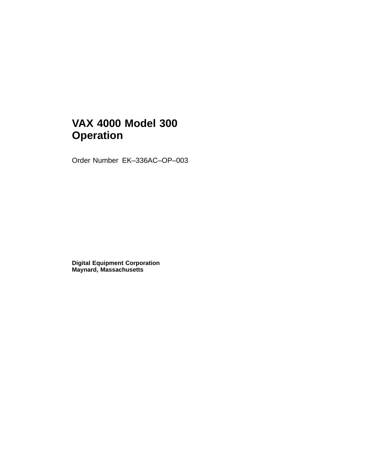# **VAX 4000 Model 300 Operation**

Order Number EK–336AC–OP–003

**Digital Equipment Corporation Maynard, Massachusetts**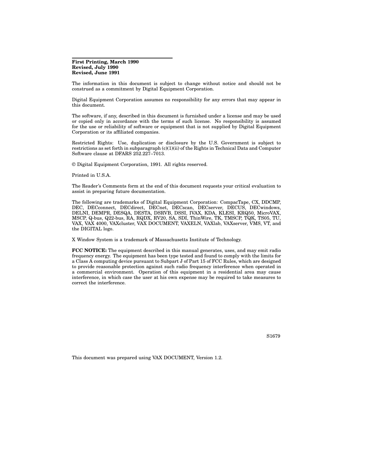#### **First Printing, March 1990 Revised, July 1990 Revised, June 1991**

The information in this document is subject to change without notice and should not be construed as a commitment by Digital Equipment Corporation.

Digital Equipment Corporation assumes no responsibility for any errors that may appear in this document.

The software, if any, described in this document is furnished under a license and may be used or copied only in accordance with the terms of such license. No responsibility is assumed for the use or reliability of software or equipment that is not supplied by Digital Equipment Corporation or its affiliated companies.

Restricted Rights: Use, duplication or disclosure by the U.S. Government is subject to restrictions as set forth in subparagraph (c)(1)(ii) of the Rights in Technical Data and Computer Software clause at DFARS 252.227–7013.

© Digital Equipment Corporation, 1991. All rights reserved.

Printed in U.S.A.

The Reader's Comments form at the end of this document requests your critical evaluation to assist in preparing future documentation.

The following are trademarks of Digital Equipment Corporation: CompacTape, CX, DDCMP, DEC, DECconnect, DECdirect, DECnet, DECscan, DECserver, DECUS, DECwindows, DELNI, DEMPR, DESQA, DESTA, DSRVB, DSSI, IVAX, KDA, KLESI, KRQ50, MicroVAX, MSCP, Q-bus, Q22-bus, RA, RQDX, RV20, SA, SDI, ThinWire, TK, TMSCP, TQK, TS05, TU, VAX, VAX 4000, VAXcluster, VAX DOCUMENT, VAXELN, VAXlab, VAXserver, VMS, VT, and the DIGITAL logo.

X Window System is a trademark of Massachusetts Institute of Technology.

**FCC NOTICE:** The equipment described in this manual generates, uses, and may emit radio frequency energy. The equipment has been type tested and found to comply with the limits for a Class A computing device pursuant to Subpart J of Part 15 of FCC Rules, which are designed to provide reasonable protection against such radio frequency interference when operated in a commercial environment. Operation of this equipment in a residential area may cause interference, in which case the user at his own expense may be required to take measures to correct the interference.

S1679

This document was prepared using VAX DOCUMENT, Version 1.2.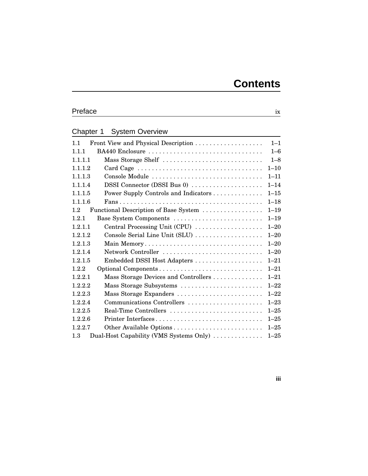# Preface ix

# Chapter 1 System Overview

| 1.1                                             | $1 - 1$  |
|-------------------------------------------------|----------|
| BA440 Enclosure<br>1.1.1                        | $1 - 6$  |
| Mass Storage Shelf<br>1.1.1.1                   | $1 - 8$  |
| 1.1.1.2                                         | $1 - 10$ |
| Console Module<br>1.1.1.3                       | $1 - 11$ |
| DSSI Connector (DSSI Bus 0)<br>1.1.1.4          | $1 - 14$ |
| 1.1.1.5<br>Power Supply Controls and Indicators | $1 - 15$ |
| 1.1.1.6                                         | $1 - 18$ |
| Functional Description of Base System<br>1.2    | $1 - 19$ |
| Base System Components<br>1.2.1                 | $1 - 19$ |
| Central Processing Unit (CPU)<br>1.2.1.1        | $1 - 20$ |
| Console Serial Line Unit (SLU)<br>1.2.1.2       | $1 - 20$ |
| Main Memory<br>1.2.1.3                          | $1 - 20$ |
| Network Controller<br>1.2.1.4                   | $1 - 20$ |
| 1.2.1.5                                         | $1 - 21$ |
| 1.2.2                                           | $1 - 21$ |
| Mass Storage Devices and Controllers<br>1.2.2.1 | $1 - 21$ |
| Mass Storage Subsystems<br>1.2.2.2              | $1 - 22$ |
| Mass Storage Expanders<br>1.2.2.3               | $1 - 22$ |
| 1.2.2.4<br>Communications Controllers           | $1 - 23$ |
| Real-Time Controllers<br>1.2.2.5                | $1 - 25$ |
| Printer Interfaces<br>1.2.2.6                   | $1 - 25$ |
| 1.2.2.7                                         | $1 - 25$ |
| Dual-Host Capability (VMS Systems Only)<br>1.3  | $1 - 25$ |

**iii**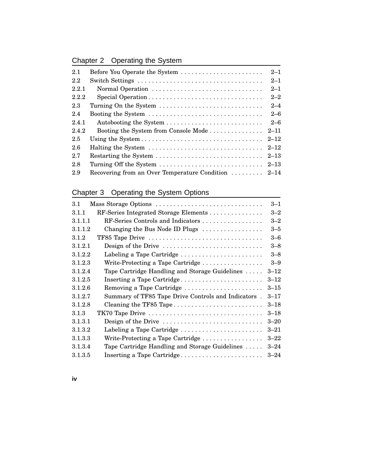# Chapter 2 Operating the System

| 2.1   | Before You Operate the System                       | $2 - 1$  |
|-------|-----------------------------------------------------|----------|
| 2.2   | Switch Settings                                     | $2 - 1$  |
| 2.2.1 |                                                     | $2 - 1$  |
| 2.2.2 | Special Operation                                   | $2 - 2$  |
| 2.3   | Turning On the System                               | $2 - 4$  |
| 2.4   | Booting the System                                  | $2 - 6$  |
| 2.4.1 |                                                     | $2 - 6$  |
| 2.4.2 | Booting the System from Console Mode                | $2 - 11$ |
| 2.5   |                                                     | $2 - 12$ |
| 2.6   |                                                     | $2 - 12$ |
| 2.7   |                                                     | $2 - 13$ |
| 2.8   |                                                     | $2 - 13$ |
| 2.9   | Recovering from an Over Temperature Condition  2-14 |          |

# Chapter 3 Operating the System Options

| $3.1\,$ | Mass Storage Options                                                          | $3 - 1$  |
|---------|-------------------------------------------------------------------------------|----------|
| 3.1.1   | RF-Series Integrated Storage Elements                                         | $3 - 2$  |
| 3.1.1.1 | RF-Series Controls and Indicators                                             | $3 - 2$  |
| 3.1.1.2 | Changing the Bus Node ID Plugs                                                | $3 - 5$  |
| 3.1.2   | TF85 Tape Drive                                                               | $3 - 6$  |
| 3.1.2.1 | Design of the Drive $\dots \dots \dots \dots \dots \dots \dots \dots \dots$   | $3 - 8$  |
| 3.1.2.2 | Labeling a Tape Cartridge                                                     | $3 - 8$  |
| 3.1.2.3 | Write-Protecting a Tape Cartridge                                             | $3 - 9$  |
| 3.1.2.4 | Tape Cartridge Handling and Storage Guidelines                                | $3 - 12$ |
| 3.1.2.5 | Inserting a Tape Cartridge                                                    | $3 - 12$ |
| 3.1.2.6 | Removing a Tape Cartridge                                                     | $3 - 15$ |
| 3.1.2.7 | Summary of TF85 Tape Drive Controls and Indicators.                           | $3 - 17$ |
| 3.1.2.8 | Cleaning the TF85 Tape                                                        | $3 - 18$ |
| 3.1.3   | TK70 Tape Drive                                                               | $3 - 18$ |
| 3.1.3.1 | Design of the Drive $\dots\dots\dots\dots\dots\dots\dots\dots\dots\dots\dots$ | $3 - 20$ |
| 3.1.3.2 | Labeling a Tape Cartridge                                                     | $3 - 21$ |
| 3.1.3.3 | Write-Protecting a Tape Cartridge                                             | $3 - 22$ |
| 3.1.3.4 | Tape Cartridge Handling and Storage Guidelines                                | $3 - 24$ |
| 3.1.3.5 | Inserting a Tape Cartridge                                                    | $3 - 24$ |

**iv**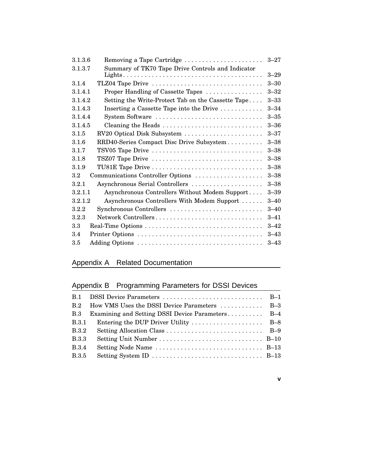| Removing a Tape Cartridge<br>3.1.3.6                          | $3 - 27$ |
|---------------------------------------------------------------|----------|
| Summary of TK70 Tape Drive Controls and Indicator<br>3.1.3.7  |          |
|                                                               | $3 - 29$ |
| 3.1.4<br>TLZ04 Tape Drive                                     | $3 - 30$ |
| 3.1.4.1<br>Proper Handling of Cassette Tapes                  | $3 - 32$ |
| Setting the Write-Protect Tab on the Cassette Tape<br>3.1.4.2 | $3 - 33$ |
| 3.1.4.3<br>Inserting a Cassette Tape into the Drive           | $3 - 34$ |
| System Software<br>3.1.4.4                                    | $3 - 35$ |
| 3.1.4.5<br>Cleaning the Heads                                 | $3 - 36$ |
| 3.1.5<br>RV20 Optical Disk Subsystem                          | $3 - 37$ |
| RRD40-Series Compact Disc Drive Subsystem<br>3.1.6            | $3 - 38$ |
| TSV05 Tape Drive<br>3.1.7                                     | $3 - 38$ |
| 3.1.8<br>TSZ07 Tape Drive                                     | $3 - 38$ |
| TU81E Tape Drive<br>3.1.9                                     | $3 - 38$ |
| $3.2\,$<br>Communications Controller Options                  | $3 - 38$ |
| 3.2.1<br>Asynchronous Serial Controllers                      | $3 - 38$ |
| Asynchronous Controllers Without Modem Support<br>3.2.1.1     | $3 - 39$ |
| 3.2.1.2<br>Asynchronous Controllers With Modem Support        | $3 - 40$ |
| 3.2.2<br>Synchronous Controllers                              | $3 - 40$ |
| 3.2.3<br>Network Controllers                                  | $3 - 41$ |
| 3.3                                                           | $3 - 42$ |
| 3.4                                                           | $3 - 43$ |
| 3.5                                                           | $3 - 43$ |

# Appendix A Related Documentation

# Appendix B Programming Parameters for DSSI Devices

| How VMS Uses the DSSI Device Parameters  B-3                                   |  |
|--------------------------------------------------------------------------------|--|
| Examining and Setting DSSI Device Parameters B-4                               |  |
| Entering the DUP Driver Utility $\dots \dots \dots \dots \dots$ B-8            |  |
|                                                                                |  |
|                                                                                |  |
| Setting Node Name $\dots \dots \dots \dots \dots \dots \dots \dots \dots$ B-13 |  |
|                                                                                |  |
|                                                                                |  |

**v**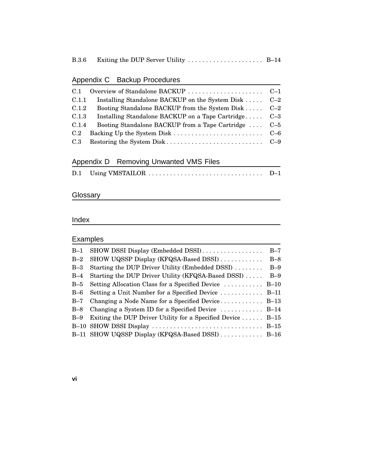|--|--|--|--|--|

# Appendix C Backup Procedures

| C.1   |                                                      |  |
|-------|------------------------------------------------------|--|
| C.1.1 | Installing Standalone BACKUP on the System Disk  C-2 |  |
| C.1.2 | Booting Standalone BACKUP from the System Disk C-2   |  |
| C.1.3 | Installing Standalone BACKUP on a Tape Cartridge C-3 |  |
| C.1.4 | Booting Standalone BACKUP from a Tape Cartridge  C-5 |  |
| C.2   |                                                      |  |
|       |                                                      |  |

### Appendix D Removing Unwanted VMS Files

|  |  | D.1 Using VMSTAILOR | $D-1$ |
|--|--|---------------------|-------|
|--|--|---------------------|-------|

### Glossary

### Index

### Examples

| $B-1$ | SHOW DSSI Display (Embedded DSSI)                            | $B-7$ |
|-------|--------------------------------------------------------------|-------|
| $B-2$ | SHOW UQSSP Display (KFQSA-Based DSSI)                        | $B-8$ |
| $B-3$ | Starting the DUP Driver Utility (Embedded DSSI)              | $B-9$ |
| $B-4$ | Starting the DUP Driver Utility (KFQSA-Based DSSI)           | $B-9$ |
| $B-5$ | Setting Allocation Class for a Specified Device  B-10        |       |
| $B-6$ | Setting a Unit Number for a Specified Device  B-11           |       |
| $B-7$ | Changing a Node Name for a Specified Device $B-13$           |       |
| $B-8$ | Changing a System ID for a Specified Device  B-14            |       |
| $B-9$ | Exiting the DUP Driver Utility for a Specified Device $B-15$ |       |
|       |                                                              |       |
|       | B-11 SHOW UQSSP Display (KFQSA-Based DSSI)  B-16             |       |
|       |                                                              |       |

### **vi**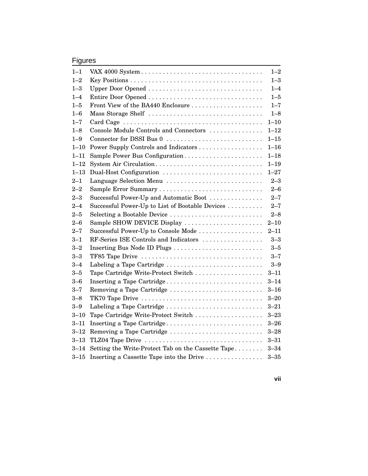# Figures

| $1 - 1$  |                                                    | $1 - 2$  |
|----------|----------------------------------------------------|----------|
| $1 - 2$  |                                                    | $1 - 3$  |
| $1 - 3$  | Upper Door Opened                                  | $1 - 4$  |
| $1 - 4$  | Entire Door Opened                                 | $1 - 5$  |
| $1 - 5$  | Front View of the BA440 Enclosure                  | $1 - 7$  |
| $1 - 6$  | Mass Storage Shelf                                 | $1 - 8$  |
| $1 - 7$  |                                                    | $1 - 10$ |
| $1 - 8$  | Console Module Controls and Connectors             | $1 - 12$ |
| $1 - 9$  | Connector for DSSI Bus 0                           | $1 - 15$ |
| $1 - 10$ | Power Supply Controls and Indicators               | $1 - 16$ |
| $1 - 11$ | Sample Power Bus Configuration                     | $1 - 18$ |
| $1 - 12$ | System Air Circulation                             | $1 - 19$ |
| $1 - 13$ | Dual-Host Configuration                            | $1 - 27$ |
| $2 - 1$  | Language Selection Menu                            | $2 - 3$  |
| $2 - 2$  | Sample Error Summary                               | $2 - 6$  |
| $2 - 3$  | Successful Power-Up and Automatic Boot             | $2 - 7$  |
| $2 - 4$  | Successful Power-Up to List of Bootable Devices    | $2 - 7$  |
| $2 - 5$  | Selecting a Bootable Device                        | $2 - 8$  |
| $2 - 6$  | Sample SHOW DEVICE Display                         | $2 - 10$ |
| $2 - 7$  | Successful Power-Up to Console Mode                | $2 - 11$ |
| $3 - 1$  | RF-Series ISE Controls and Indicators              | $3 - 3$  |
| $3 - 2$  | Inserting Bus Node ID Plugs                        | $3 - 5$  |
| $3 - 3$  | TF85 Tape Drive                                    | $3 - 7$  |
| $3 - 4$  | Labeling a Tape Cartridge                          | $3 - 9$  |
| $3 - 5$  | Tape Cartridge Write-Protect Switch                | $3 - 11$ |
| $3 - 6$  | Inserting a Tape Cartridge                         | $3 - 14$ |
| $3 - 7$  | Removing a Tape Cartridge                          | $3 - 16$ |
| $3 - 8$  | TK70 Tape Drive                                    | $3 - 20$ |
| $3 - 9$  | Labeling a Tape Cartridge                          | $3 - 21$ |
| $3 - 10$ | Tape Cartridge Write-Protect Switch                | $3 - 23$ |
| $3 - 11$ | Inserting a Tape Cartridge                         | $3 - 26$ |
| $3 - 12$ | Removing a Tape Cartridge                          | $3 - 28$ |
| $3 - 13$ | TLZ04 Tape Drive                                   | $3 - 31$ |
| $3 - 14$ | Setting the Write-Protect Tab on the Cassette Tape | $3 - 34$ |
| $3 - 15$ | Inserting a Cassette Tape into the Drive           | $3 - 35$ |

**vii**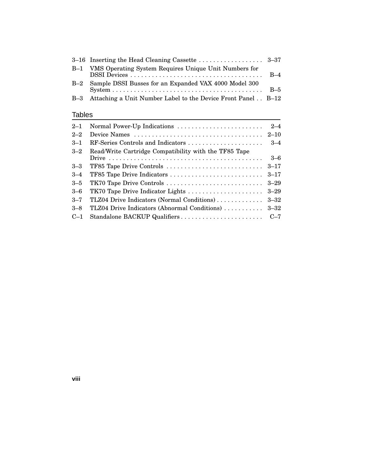|       | B-1 VMS Operating System Requires Unique Unit Numbers for        |  |
|-------|------------------------------------------------------------------|--|
| $B-2$ | Sample DSSI Busses for an Expanded VAX 4000 Model 300            |  |
|       | B-3 Attaching a Unit Number Label to the Device Front Panel B-12 |  |

### Tables

| $2 - 1$ | Normal Power-Up Indications                                                                             | $2 - 4$  |
|---------|---------------------------------------------------------------------------------------------------------|----------|
| $2 - 2$ | Device Names $\ldots \ldots \ldots \ldots \ldots \ldots \ldots \ldots \ldots \ldots \ldots \ldots 2-10$ |          |
| $3 - 1$ | RF-Series Controls and Indicators                                                                       | $-34$    |
| $3 - 2$ | Read/Write Cartridge Compatibility with the TF85 Tape                                                   |          |
|         |                                                                                                         | $3 - 6$  |
| $3 - 3$ |                                                                                                         | $3 - 17$ |
| $3 - 4$ | TF85 Tape Drive Indicators                                                                              | $3 - 17$ |
| $3 - 5$ | TK70 Tape Drive Controls                                                                                | $3 - 29$ |
| $3 - 6$ | TK70 Tape Drive Indicator Lights                                                                        | $3 - 29$ |
| $3 - 7$ | TLZ04 Drive Indicators (Normal Conditions)                                                              | $3 - 32$ |
| $3 - 8$ | TLZ04 Drive Indicators (Abnormal Conditions)                                                            | $3 - 32$ |
| $C-1$   |                                                                                                         | $C-7$    |
|         |                                                                                                         |          |

**viii**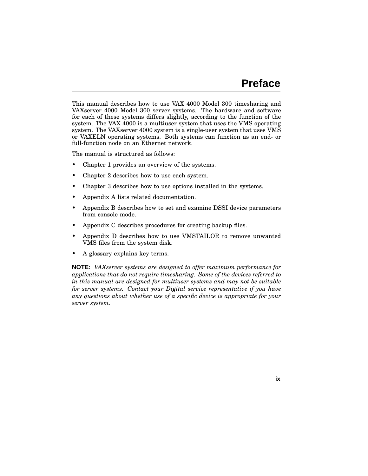This manual describes how to use VAX 4000 Model 300 timesharing and VAXserver 4000 Model 300 server systems. The hardware and software for each of these systems differs slightly, according to the function of the system. The VAX 4000 is a multiuser system that uses the VMS operating system. The VAXserver 4000 system is a single-user system that uses VMS or VAXELN operating systems. Both systems can function as an end- or full-function node on an Ethernet network.

The manual is structured as follows:

- Chapter 1 provides an overview of the systems.
- Chapter 2 describes how to use each system.
- Chapter 3 describes how to use options installed in the systems.
- Appendix A lists related documentation.
- Appendix B describes how to set and examine DSSI device parameters from console mode.
- Appendix C describes procedures for creating backup files.
- Appendix D describes how to use VMSTAILOR to remove unwanted VMS files from the system disk.
- A glossary explains key terms.

**NOTE:** *VAXserver systems are designed to offer maximum performance for applications that do not require timesharing. Some of the devices referred to in this manual are designed for multiuser systems and may not be suitable for server systems. Contact your Digital service representative if you have any questions about whether use of a specific device is appropriate for your server system.*

**ix**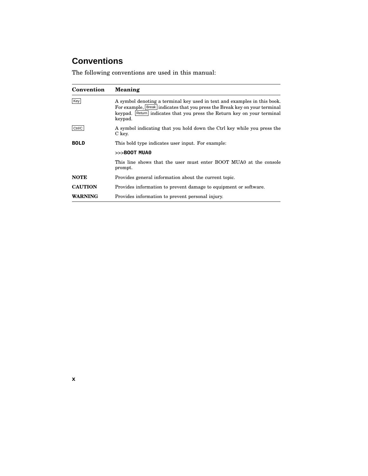# **Conventions**

The following conventions are used in this manual:

| Convention     | Meaning                                                                                                                                                                                                                                      |
|----------------|----------------------------------------------------------------------------------------------------------------------------------------------------------------------------------------------------------------------------------------------|
| Key            | A symbol denoting a terminal key used in text and examples in this book.<br>For example, Break indicates that you press the Break key on your terminal<br>keypad. Return indicates that you press the Return key on your terminal<br>keypad. |
| Ctrl/C         | A symbol indicating that you hold down the Ctrl key while you press the<br>C key.                                                                                                                                                            |
| <b>BOLD</b>    | This bold type indicates user input. For example:                                                                                                                                                                                            |
|                | $>>$ BOOT MUA0                                                                                                                                                                                                                               |
|                | This line shows that the user must enter BOOT MUA0 at the console<br>prompt.                                                                                                                                                                 |
| <b>NOTE</b>    | Provides general information about the current topic.                                                                                                                                                                                        |
| <b>CAUTION</b> | Provides information to prevent damage to equipment or software.                                                                                                                                                                             |
| <b>WARNING</b> | Provides information to prevent personal injury.                                                                                                                                                                                             |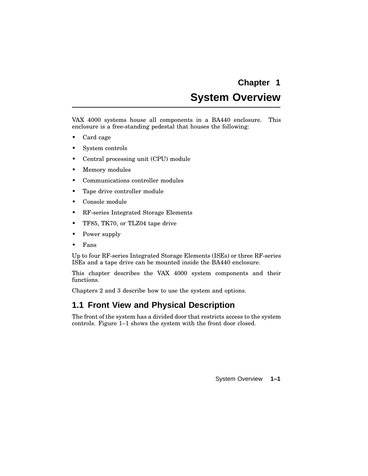# **System Overview**

VAX 4000 systems house all components in a BA440 enclosure. This enclosure is a free-standing pedestal that houses the following:

- Card cage
- System controls
- Central processing unit (CPU) module
- Memory modules
- Communications controller modules
- Tape drive controller module
- Console module
- RF-series Integrated Storage Elements
- TF85, TK70, or TLZ04 tape drive
- Power supply
- Fans

Up to four RF-series Integrated Storage Elements (ISEs) or three RF-series ISEs and a tape drive can be mounted inside the BA440 enclosure.

This chapter describes the VAX 4000 system components and their functions.

Chapters 2 and 3 describe how to use the system and options.

## **1.1 Front View and Physical Description**

The front of the system has a divided door that restricts access to the system controls. Figure 1–1 shows the system with the front door closed.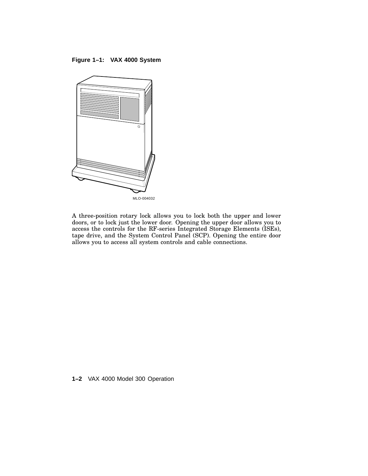**Figure 1–1: VAX 4000 System**



A three-position rotary lock allows you to lock both the upper and lower doors, or to lock just the lower door. Opening the upper door allows you to access the controls for the RF-series Integrated Storage Elements (ISEs), tape drive, and the System Control Panel (SCP). Opening the entire door allows you to access all system controls and cable connections.

**1–2** VAX 4000 Model 300 Operation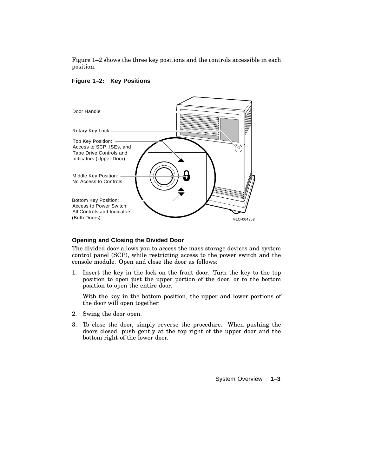Figure 1–2 shows the three key positions and the controls accessible in each position.



#### **Figure 1–2: Key Positions**

#### **Opening and Closing the Divided Door**

The divided door allows you to access the mass storage devices and system control panel (SCP), while restricting access to the power switch and the console module. Open and close the door as follows:

1. Insert the key in the lock on the front door. Turn the key to the top position to open just the upper portion of the door, or to the bottom position to open the entire door.

With the key in the bottom position, the upper and lower portions of the door will open together.

- 2. Swing the door open.
- 3. To close the door, simply reverse the procedure. When pushing the doors closed, push gently at the top right of the upper door and the bottom right of the lower door.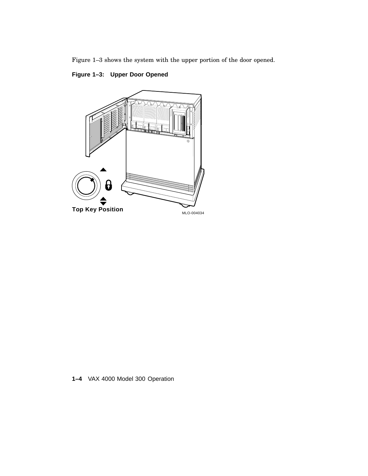Figure 1–3 shows the system with the upper portion of the door opened.

### **Figure 1–3: Upper Door Opened**



**1–4** VAX 4000 Model 300 Operation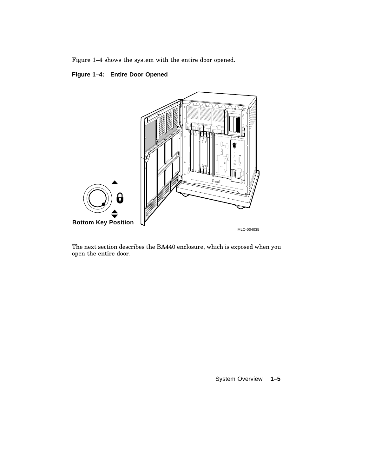Figure 1–4 shows the system with the entire door opened.

### **Figure 1–4: Entire Door Opened**



The next section describes the BA440 enclosure, which is exposed when you open the entire door.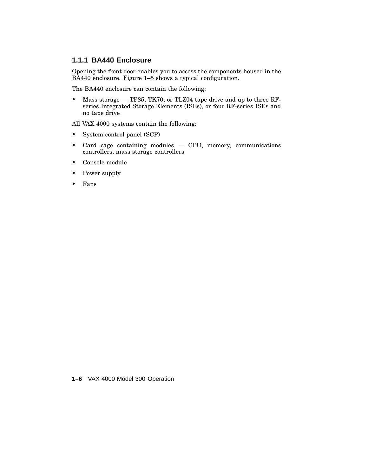### **1.1.1 BA440 Enclosure**

Opening the front door enables you to access the components housed in the BA440 enclosure. Figure 1-5 shows a typical configuration.

The BA440 enclosure can contain the following:

• Mass storage — TF85, TK70, or TLZ04 tape drive and up to three RFseries Integrated Storage Elements (ISEs), or four RF-series ISEs and no tape drive

All VAX 4000 systems contain the following:

- System control panel (SCP)
- Card cage containing modules CPU, memory, communications controllers, mass storage controllers
- Console module
- Power supply
- Fans

**1–6** VAX 4000 Model 300 Operation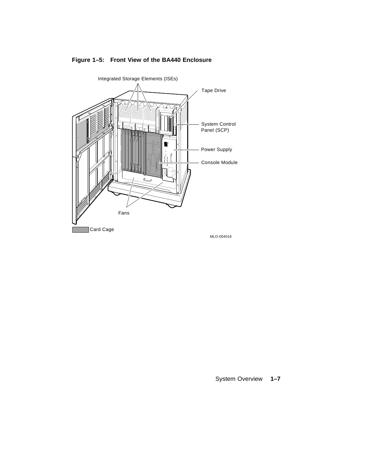

### **Figure 1–5: Front View of the BA440 Enclosure**

System Overview **1–7**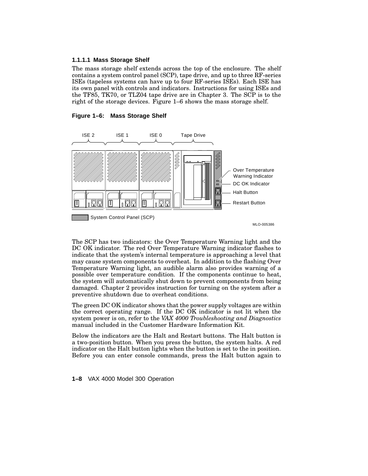#### **1.1.1.1 Mass Storage Shelf**

The mass storage shelf extends across the top of the enclosure. The shelf contains a system control panel (SCP), tape drive, and up to three RF-series ISEs (tapeless systems can have up to four RF-series ISEs). Each ISE has its own panel with controls and indicators. Instructions for using ISEs and the TF85, TK70, or TLZ04 tape drive are in Chapter 3. The SCP is to the right of the storage devices. Figure 1–6 shows the mass storage shelf.

# ISE 2 ISE 1 ISE 0 Tape Drive U)<br>U)<br>|} Over Temperature Warning Indicator DC OK Indicator Halt Button Restart Button System Control Panel (SCP) MLO-005386

**Figure 1–6: Mass Storage Shelf**

The SCP has two indicators: the Over Temperature Warning light and the DC OK indicator. The red Over Temperature Warning indicator flashes to indicate that the system's internal temperature is approaching a level that may cause system components to overheat. In addition to the flashing Over Temperature Warning light, an audible alarm also provides warning of a possible over temperature condition. If the components continue to heat, the system will automatically shut down to prevent components from being damaged. Chapter 2 provides instruction for turning on the system after a preventive shutdown due to overheat conditions.

The green DC OK indicator shows that the power supply voltages are within the correct operating range. If the DC OK indicator is not lit when the system power is on, refer to the *VAX 4000 Troubleshooting and Diagnostics* manual included in the Customer Hardware Information Kit.

Below the indicators are the Halt and Restart buttons. The Halt button is a two-position button. When you press the button, the system halts. A red indicator on the Halt button lights when the button is set to the in position. Before you can enter console commands, press the Halt button again to

**1–8** VAX 4000 Model 300 Operation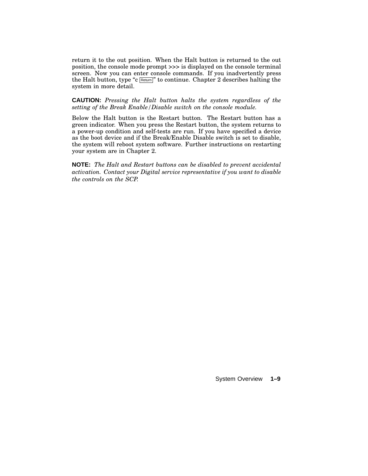return it to the out position. When the Halt button is returned to the out position, the console mode prompt >>> is displayed on the console terminal screen. Now you can enter console commands. If you inadvertently press the Halt button, type "c  $\frac{F_{\text{return}}}{F}$ " to continue. Chapter 2 describes halting the system in more detail.

#### **CAUTION:** *Pressing the Halt button halts the system regardless of the setting of the Break Enable/Disable switch on the console module.*

Below the Halt button is the Restart button. The Restart button has a green indicator. When you press the Restart button, the system returns to a power-up condition and self-tests are run. If you have specified a device as the boot device and if the Break/Enable Disable switch is set to disable, the system will reboot system software. Further instructions on restarting your system are in Chapter 2.

**NOTE:** *The Halt and Restart buttons can be disabled to prevent accidental activation. Contact your Digital service representative if you want to disable the controls on the SCP.*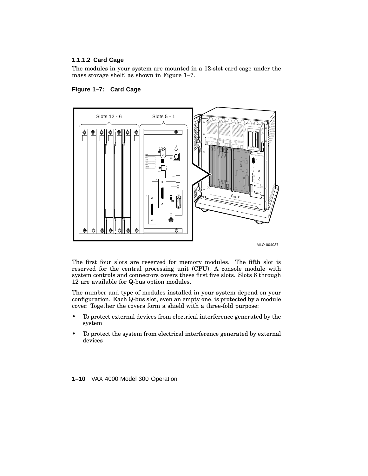#### **1.1.1.2 Card Cage**

The modules in your system are mounted in a 12-slot card cage under the mass storage shelf, as shown in Figure 1–7.





MLO-004037

The first four slots are reserved for memory modules. The fifth slot is reserved for the central processing unit (CPU). A console module with system controls and connectors covers these first five slots. Slots 6 through 12 are available for Q-bus option modules.

The number and type of modules installed in your system depend on your configuration. Each Q-bus slot, even an empty one, is protected by a module cover. Together the covers form a shield with a three-fold purpose:

- To protect external devices from electrical interference generated by the system
- To protect the system from electrical interference generated by external devices

**1–10** VAX 4000 Model 300 Operation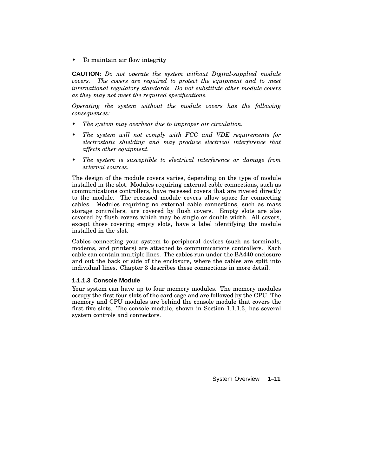• To maintain air flow integrity

**CAUTION:** *Do not operate the system without Digital-supplied module covers. The covers are required to protect the equipment and to meet international regulatory standards. Do not substitute other module covers as they may not meet the required specifications.*

*Operating the system without the module covers has the following consequences:*

- *• The system may overheat due to improper air circulation.*
- *• The system will not comply with FCC and VDE requirements for electrostatic shielding and may produce electrical interference that affects other equipment.*
- *• The system is susceptible to electrical interference or damage from external sources.*

The design of the module covers varies, depending on the type of module installed in the slot. Modules requiring external cable connections, such as communications controllers, have recessed covers that are riveted directly to the module. The recessed module covers allow space for connecting cables. Modules requiring no external cable connections, such as mass storage controllers, are covered by flush covers. Empty slots are also covered by flush covers which may be single or double width. All covers, except those covering empty slots, have a label identifying the module installed in the slot.

Cables connecting your system to peripheral devices (such as terminals, modems, and printers) are attached to communications controllers. Each cable can contain multiple lines. The cables run under the BA440 enclosure and out the back or side of the enclosure, where the cables are split into individual lines. Chapter 3 describes these connections in more detail.

#### **1.1.1.3 Console Module**

Your system can have up to four memory modules. The memory modules occupy the first four slots of the card cage and are followed by the CPU. The memory and CPU modules are behind the console module that covers the first five slots. The console module, shown in Section 1.1.1.3, has several system controls and connectors.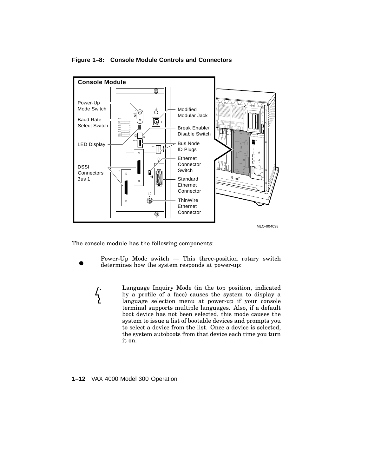

#### **Figure 1–8: Console Module Controls and Connectors**

The console module has the following components:

 $\frac{1}{2}$ 

Power-Up Mode switch — This three-position rotary switch determines how the system responds at power-up:

Language Inquiry Mode (in the top position, indicated by a profile of a face) causes the system to display a language selection menu at power-up if your console terminal supports multiple languages. Also, if a default boot device has not been selected, this mode causes the system to issue a list of bootable devices and prompts you to select a device from the list. Once a device is selected, the system autoboots from that device each time you turn it on.

**1–12** VAX 4000 Model 300 Operation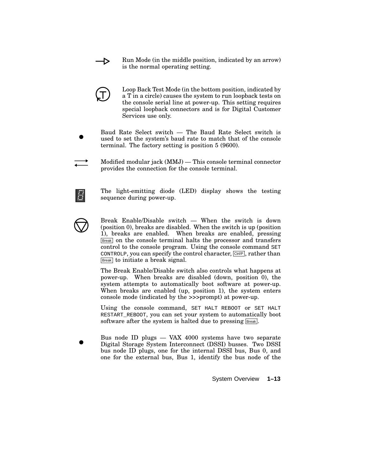Run Mode (in the middle position, indicated by an arrow) is the normal operating setting.



Ð

Loop Back Test Mode (in the bottom position, indicated by a T in a circle) causes the system to run loopback tests on the console serial line at power-up. This setting requires special loopback connectors and is for Digital Customer Services use only.

- Baud Rate Select switch The Baud Rate Select switch is used to set the system's baud rate to match that of the console terminal. The factory setting is position 5 (9600).
- Modified modular jack (MMJ) This console terminal connector provides the connection for the console terminal.

The light-emitting diode (LED) display shows the testing sequence during power-up.



Break Enable/Disable switch — When the switch is down (position 0), breaks are disabled. When the switch is up (position 1), breaks are enabled. When breaks are enabled, pressing Break on the console terminal halts the processor and transfers control to the console program. Using the console command SET CONTROLP, you can specify the control character,  $\boxed{\text{CtrlP}}$ , rather than Break to initiate a break signal.

The Break Enable/Disable switch also controls what happens at power-up. When breaks are disabled (down, position 0), the system attempts to automatically boot software at power-up. When breaks are enabled (up, position 1), the system enters console mode (indicated by the >>>prompt) at power-up.

Using the console command, SET HALT REBOOT or SET HALT RESTART\_REBOOT, you can set your system to automatically boot software after the system is halted due to pressing **Break**.

Bus node ID plugs — VAX 4000 systems have two separate Digital Storage System Interconnect (DSSI) busses. Two DSSI bus node ID plugs, one for the internal DSSI bus, Bus 0, and one for the external bus, Bus 1, identify the bus node of the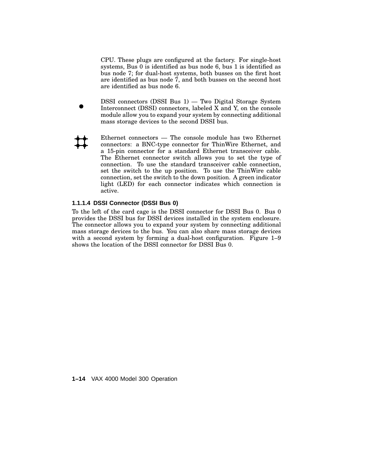CPU. These plugs are configured at the factory. For single-host systems, Bus 0 is identified as bus node 6, bus 1 is identified as bus node 7; for dual-host systems, both busses on the first host are identified as bus node 7, and both busses on the second host are identified as bus node 6.

- DSSI connectors (DSSI Bus 1) Two Digital Storage System Interconnect (DSSI) connectors, labeled X and Y, on the console module allow you to expand your system by connecting additional mass storage devices to the second DSSI bus.
	- Ethernet connectors The console module has two Ethernet connectors: a BNC-type connector for ThinWire Ethernet, and a 15-pin connector for a standard Ethernet transceiver cable. The Ethernet connector switch allows you to set the type of connection. To use the standard transceiver cable connection, set the switch to the up position. To use the ThinWire cable connection, set the switch to the down position. A green indicator light (LED) for each connector indicates which connection is active.

#### **1.1.1.4 DSSI Connector (DSSI Bus 0)**

To the left of the card cage is the DSSI connector for DSSI Bus 0. Bus 0 provides the DSSI bus for DSSI devices installed in the system enclosure. The connector allows you to expand your system by connecting additional mass storage devices to the bus. You can also share mass storage devices with a second system by forming a dual-host configuration. Figure 1–9 shows the location of the DSSI connector for DSSI Bus 0.

**1–14** VAX 4000 Model 300 Operation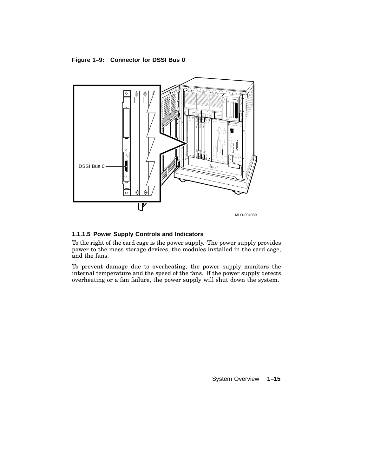#### **Figure 1–9: Connector for DSSI Bus 0**



#### **1.1.1.5 Power Supply Controls and Indicators**

To the right of the card cage is the power supply. The power supply provides power to the mass storage devices, the modules installed in the card cage, and the fans.

To prevent damage due to overheating, the power supply monitors the internal temperature and the speed of the fans. If the power supply detects overheating or a fan failure, the power supply will shut down the system.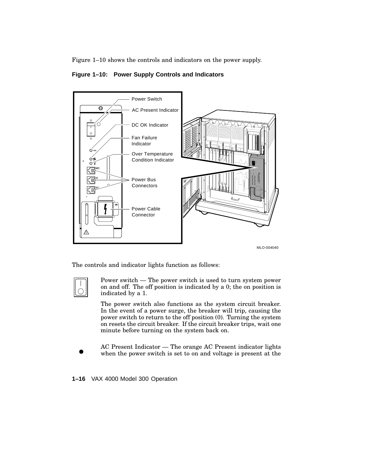Figure 1–10 shows the controls and indicators on the power supply.





MLO-004040

The controls and indicator lights function as follows:



Power switch — The power switch is used to turn system power on and off. The off position is indicated by a 0; the on position is indicated by a 1.

The power switch also functions as the system circuit breaker. In the event of a power surge, the breaker will trip, causing the power switch to return to the off position (0). Turning the system on resets the circuit breaker. If the circuit breaker trips, wait one minute before turning on the system back on.

AC Present Indicator — The orange AC Present indicator lights when the power switch is set to on and voltage is present at the

**1–16** VAX 4000 Model 300 Operation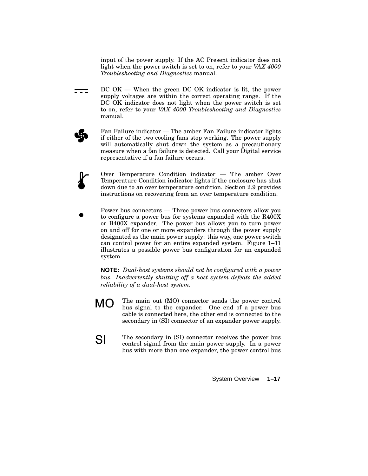input of the power supply. If the AC Present indicator does not light when the power switch is set to on, refer to your *VAX 4000 Troubleshooting and Diagnostics* manual.

- $DC\ OK$  When the green DC OK indicator is lit, the power === supply voltages are within the correct operating range. If the DC OK indicator does not light when the power switch is set to on, refer to your *VAX 4000 Troubleshooting and Diagnostics* manual.
	- Fan Failure indicator The amber Fan Failure indicator lights if either of the two cooling fans stop working. The power supply will automatically shut down the system as a precautionary measure when a fan failure is detected. Call your Digital service representative if a fan failure occurs.
	- Over Temperature Condition indicator The amber Over Temperature Condition indicator lights if the enclosure has shut down due to an over temperature condition. Section 2.9 provides instructions on recovering from an over temperature condition.
	- Power bus connectors Three power bus connectors allow you to configure a power bus for systems expanded with the R400X or B400X expander. The power bus allows you to turn power on and off for one or more expanders through the power supply designated as the main power supply: this way, one power switch can control power for an entire expanded system. Figure 1–11 illustrates a possible power bus configuration for an expanded system.

**NOTE:** *Dual-host systems should not be configured with a power bus. Inadvertently shutting off a host system defeats the added reliability of a dual-host system.*

- **MO** The main out (MO) connector sends the power control bus signal to the expander. One end of a power bus cable is connected here, the other end is connected to the secondary in (SI) connector of an expander power supply.
- SI The secondary in (SI) connector receives the power bus control signal from the main power supply. In a power bus with more than one expander, the power control bus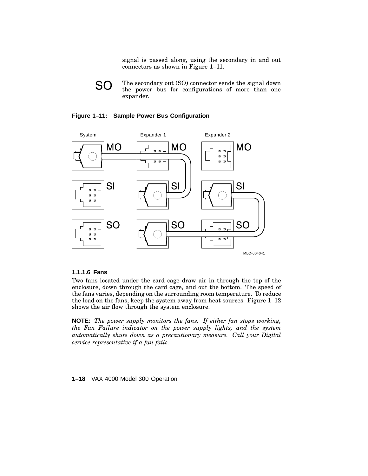signal is passed along, using the secondary in and out connectors as shown in Figure 1–11.



The secondary out (SO) connector sends the signal down the power bus for configurations of more than one expander.

#### **Figure 1–11: Sample Power Bus Configuration**



#### **1.1.1.6 Fans**

Two fans located under the card cage draw air in through the top of the enclosure, down through the card cage, and out the bottom. The speed of the fans varies, depending on the surrounding room temperature. To reduce the load on the fans, keep the system away from heat sources. Figure 1–12 shows the air flow through the system enclosure.

**NOTE:** *The power supply monitors the fans. If either fan stops working, the Fan Failure indicator on the power supply lights, and the system automatically shuts down as a precautionary measure. Call your Digital service representative if a fan fails.*

#### **1–18** VAX 4000 Model 300 Operation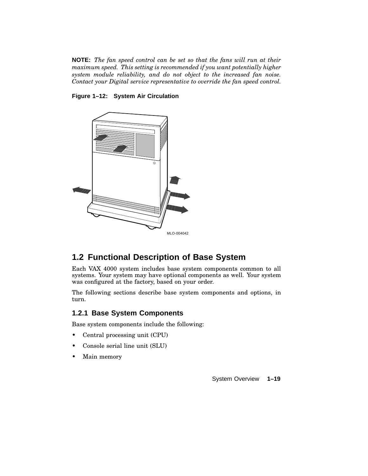**NOTE:** *The fan speed control can be set so that the fans will run at their maximum speed. This setting is recommended if you want potentially higher system module reliability, and do not object to the increased fan noise. Contact your Digital service representative to override the fan speed control.*

#### **Figure 1–12: System Air Circulation**



# **1.2 Functional Description of Base System**

Each VAX 4000 system includes base system components common to all systems. Your system may have optional components as well. Your system was configured at the factory, based on your order.

The following sections describe base system components and options, in turn.

### **1.2.1 Base System Components**

Base system components include the following:

- Central processing unit (CPU)
- Console serial line unit (SLU)
- Main memory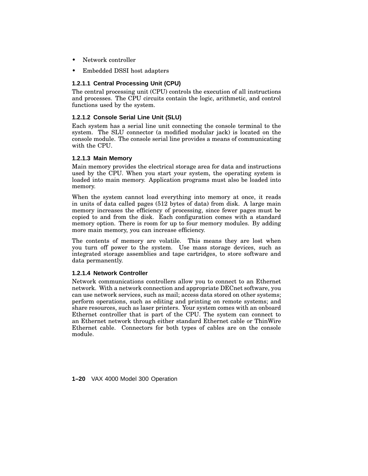- Network controller
- Embedded DSSI host adapters

#### **1.2.1.1 Central Processing Unit (CPU)**

The central processing unit (CPU) controls the execution of all instructions and processes. The CPU circuits contain the logic, arithmetic, and control functions used by the system.

#### **1.2.1.2 Console Serial Line Unit (SLU)**

Each system has a serial line unit connecting the console terminal to the system. The SLU connector (a modified modular jack) is located on the console module. The console serial line provides a means of communicating with the CPU.

#### **1.2.1.3 Main Memory**

Main memory provides the electrical storage area for data and instructions used by the CPU. When you start your system, the operating system is loaded into main memory. Application programs must also be loaded into memory.

When the system cannot load everything into memory at once, it reads in units of data called pages (512 bytes of data) from disk. A large main memory increases the efficiency of processing, since fewer pages must be copied to and from the disk. Each configuration comes with a standard memory option. There is room for up to four memory modules. By adding more main memory, you can increase efficiency.

The contents of memory are volatile. This means they are lost when you turn off power to the system. Use mass storage devices, such as integrated storage assemblies and tape cartridges, to store software and data permanently.

#### **1.2.1.4 Network Controller**

Network communications controllers allow you to connect to an Ethernet network. With a network connection and appropriate DECnet software, you can use network services, such as mail; access data stored on other systems; perform operations, such as editing and printing on remote systems; and share resources, such as laser printers. Your system comes with an onboard Ethernet controller that is part of the CPU. The system can connect to an Ethernet network through either standard Ethernet cable or ThinWire Ethernet cable. Connectors for both types of cables are on the console module.

**1–20** VAX 4000 Model 300 Operation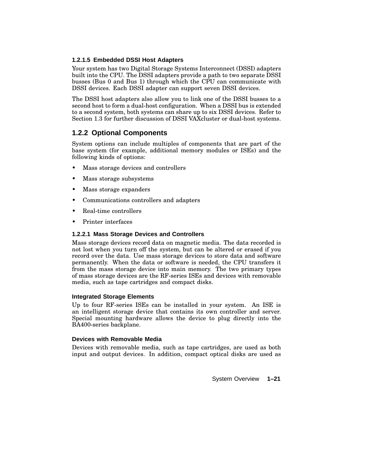#### **1.2.1.5 Embedded DSSI Host Adapters**

Your system has two Digital Storage Systems Interconnect (DSSI) adapters built into the CPU. The DSSI adapters provide a path to two separate DSSI busses (Bus 0 and Bus 1) through which the CPU can communicate with DSSI devices. Each DSSI adapter can support seven DSSI devices.

The DSSI host adapters also allow you to link one of the DSSI busses to a second host to form a dual-host configuration. When a DSSI bus is extended to a second system, both systems can share up to six DSSI devices. Refer to Section 1.3 for further discussion of DSSI VAXcluster or dual-host systems.

### **1.2.2 Optional Components**

System options can include multiples of components that are part of the base system (for example, additional memory modules or ISEs) and the following kinds of options:

- Mass storage devices and controllers
- Mass storage subsystems
- Mass storage expanders
- Communications controllers and adapters
- Real-time controllers
- Printer interfaces

#### **1.2.2.1 Mass Storage Devices and Controllers**

Mass storage devices record data on magnetic media. The data recorded is not lost when you turn off the system, but can be altered or erased if you record over the data. Use mass storage devices to store data and software permanently. When the data or software is needed, the CPU transfers it from the mass storage device into main memory. The two primary types of mass storage devices are the RF-series ISEs and devices with removable media, such as tape cartridges and compact disks.

#### **Integrated Storage Elements**

Up to four RF-series ISEs can be installed in your system. An ISE is an intelligent storage device that contains its own controller and server. Special mounting hardware allows the device to plug directly into the BA400-series backplane.

#### **Devices with Removable Media**

Devices with removable media, such as tape cartridges, are used as both input and output devices. In addition, compact optical disks are used as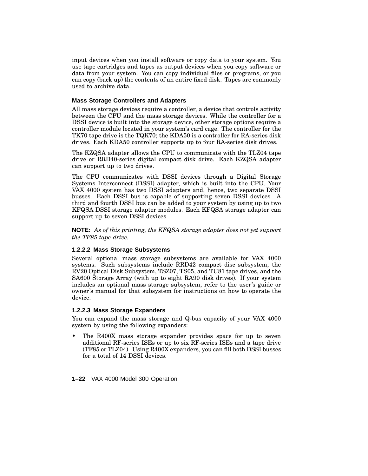input devices when you install software or copy data to your system. You use tape cartridges and tapes as output devices when you copy software or data from your system. You can copy individual files or programs, or you can copy (back up) the contents of an entire fixed disk. Tapes are commonly used to archive data.

#### **Mass Storage Controllers and Adapters**

All mass storage devices require a controller, a device that controls activity between the CPU and the mass storage devices. While the controller for a DSSI device is built into the storage device, other storage options require a controller module located in your system's card cage. The controller for the TK70 tape drive is the TQK70; the KDA50 is a controller for RA-series disk drives. Each KDA50 controller supports up to four RA-series disk drives.

The KZQSA adapter allows the CPU to communicate with the TLZ04 tape drive or RRD40-series digital compact disk drive. Each KZQSA adapter can support up to two drives.

The CPU communicates with DSSI devices through a Digital Storage Systems Interconnect (DSSI) adapter, which is built into the CPU. Your VAX 4000 system has two DSSI adapters and, hence, two separate DSSI busses. Each DSSI bus is capable of supporting seven DSSI devices. A third and fourth DSSI bus can be added to your system by using up to two KFQSA DSSI storage adapter modules. Each KFQSA storage adapter can support up to seven DSSI devices.

**NOTE:** *As of this printing, the KFQSA storage adapter does not yet support the TF85 tape drive.*

#### **1.2.2.2 Mass Storage Subsystems**

Several optional mass storage subsystems are available for VAX 4000 systems. Such subsystems include RRD42 compact disc subsystem, the RV20 Optical Disk Subsystem, TSZ07, TS05, and TU81 tape drives, and the SA600 Storage Array (with up to eight RA90 disk drives). If your system includes an optional mass storage subsystem, refer to the user's guide or owner's manual for that subsystem for instructions on how to operate the device.

#### **1.2.2.3 Mass Storage Expanders**

You can expand the mass storage and Q-bus capacity of your VAX 4000 system by using the following expanders:

The R400X mass storage expander provides space for up to seven additional RF-series ISEs or up to six RF-series ISEs and a tape drive (TF85 or TLZ04). Using R400X expanders, you can fill both DSSI busses for a total of 14 DSSI devices.

**1–22** VAX 4000 Model 300 Operation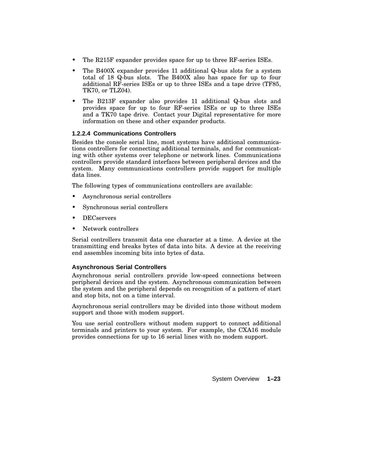- The R215F expander provides space for up to three RF-series ISEs.
- The B400X expander provides 11 additional Q-bus slots for a system total of 18 Q-bus slots. The B400X also has space for up to four additional RF-series ISEs or up to three ISEs and a tape drive (TF85, TK70, or TLZ04).
- The B213F expander also provides 11 additional Q-bus slots and provides space for up to four RF-series ISEs or up to three ISEs and a TK70 tape drive. Contact your Digital representative for more information on these and other expander products.

#### **1.2.2.4 Communications Controllers**

Besides the console serial line, most systems have additional communications controllers for connecting additional terminals, and for communicating with other systems over telephone or network lines. Communications controllers provide standard interfaces between peripheral devices and the system. Many communications controllers provide support for multiple data lines.

The following types of communications controllers are available:

- Asynchronous serial controllers
- Synchronous serial controllers
- DECservers
- Network controllers

Serial controllers transmit data one character at a time. A device at the transmitting end breaks bytes of data into bits. A device at the receiving end assembles incoming bits into bytes of data.

#### **Asynchronous Serial Controllers**

Asynchronous serial controllers provide low-speed connections between peripheral devices and the system. Asynchronous communication between the system and the peripheral depends on recognition of a pattern of start and stop bits, not on a time interval.

Asynchronous serial controllers may be divided into those without modem support and those with modem support.

You use serial controllers without modem support to connect additional terminals and printers to your system. For example, the CXA16 module provides connections for up to 16 serial lines with no modem support.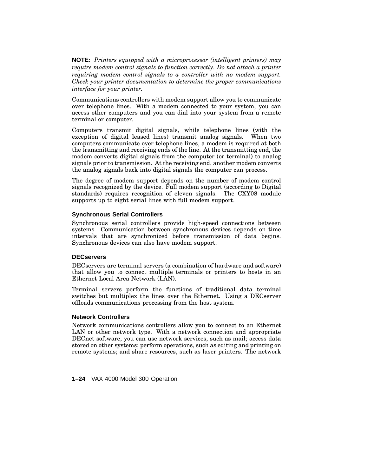**NOTE:** *Printers equipped with a microprocessor (intelligent printers) may require modem control signals to function correctly. Do not attach a printer requiring modem control signals to a controller with no modem support. Check your printer documentation to determine the proper communications interface for your printer.*

Communications controllers with modem support allow you to communicate over telephone lines. With a modem connected to your system, you can access other computers and you can dial into your system from a remote terminal or computer.

Computers transmit digital signals, while telephone lines (with the exception of digital leased lines) transmit analog signals. When two computers communicate over telephone lines, a modem is required at both the transmitting and receiving ends of the line. At the transmitting end, the modem converts digital signals from the computer (or terminal) to analog signals prior to transmission. At the receiving end, another modem converts the analog signals back into digital signals the computer can process.

The degree of modem support depends on the number of modem control signals recognized by the device. Full modem support (according to Digital standards) requires recognition of eleven signals. The CXY08 module supports up to eight serial lines with full modem support.

#### **Synchronous Serial Controllers**

Synchronous serial controllers provide high-speed connections between systems. Communication between synchronous devices depends on time intervals that are synchronized before transmission of data begins. Synchronous devices can also have modem support.

#### **DECservers**

DECservers are terminal servers (a combination of hardware and software) that allow you to connect multiple terminals or printers to hosts in an Ethernet Local Area Network (LAN).

Terminal servers perform the functions of traditional data terminal switches but multiplex the lines over the Ethernet. Using a DECserver offloads communications processing from the host system.

#### **Network Controllers**

Network communications controllers allow you to connect to an Ethernet LAN or other network type. With a network connection and appropriate DECnet software, you can use network services, such as mail; access data stored on other systems; perform operations, such as editing and printing on remote systems; and share resources, such as laser printers. The network

**1–24** VAX 4000 Model 300 Operation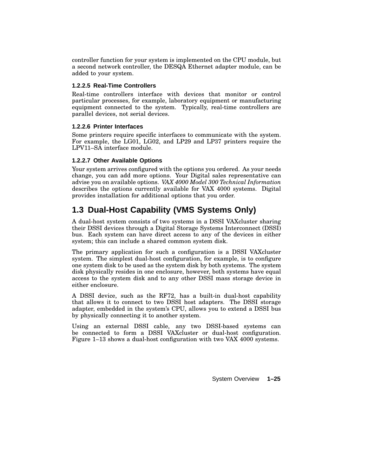controller function for your system is implemented on the CPU module, but a second network controller, the DESQA Ethernet adapter module, can be added to your system.

#### **1.2.2.5 Real-Time Controllers**

Real-time controllers interface with devices that monitor or control particular processes, for example, laboratory equipment or manufacturing equipment connected to the system. Typically, real-time controllers are parallel devices, not serial devices.

#### **1.2.2.6 Printer Interfaces**

Some printers require specific interfaces to communicate with the system. For example, the LG01, LG02, and LP29 and LP37 printers require the LPV11–SA interface module.

#### **1.2.2.7 Other Available Options**

Your system arrives configured with the options you ordered. As your needs change, you can add more options. Your Digital sales representative can advise you on available options. *VAX 4000 Model 300 Technical Information* describes the options currently available for VAX 4000 systems. Digital provides installation for additional options that you order.

# **1.3 Dual-Host Capability (VMS Systems Only)**

A dual-host system consists of two systems in a DSSI VAXcluster sharing their DSSI devices through a Digital Storage Systems Interconnect (DSSI) bus. Each system can have direct access to any of the devices in either system; this can include a shared common system disk.

The primary application for such a configuration is a DSSI VAXcluster system. The simplest dual-host configuration, for example, is to configure one system disk to be used as the system disk by both systems. The system disk physically resides in one enclosure, however, both systems have equal access to the system disk and to any other DSSI mass storage device in either enclosure.

A DSSI device, such as the RF72, has a built-in dual-host capability that allows it to connect to two DSSI host adapters. The DSSI storage adapter, embedded in the system's CPU, allows you to extend a DSSI bus by physically connecting it to another system.

Using an external DSSI cable, any two DSSI-based systems can be connected to form a DSSI VAXcluster or dual-host configuration. Figure 1–13 shows a dual-host configuration with two VAX 4000 systems.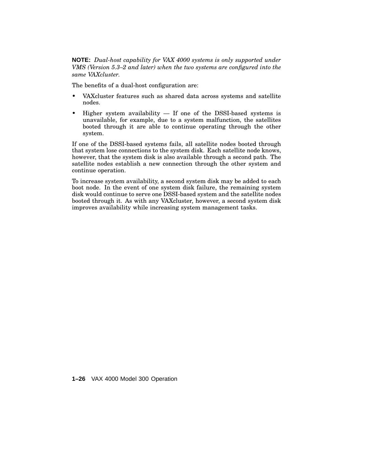**NOTE:** *Dual-host capability for VAX 4000 systems is only supported under VMS (Version 5.3–2 and later) when the two systems are configured into the same VAXcluster.*

The benefits of a dual-host configuration are:

- VAXcluster features such as shared data across systems and satellite nodes.
- Higher system availability  $-$  If one of the DSSI-based systems is unavailable, for example, due to a system malfunction, the satellites booted through it are able to continue operating through the other system.

If one of the DSSI-based systems fails, all satellite nodes booted through that system lose connections to the system disk. Each satellite node knows, however, that the system disk is also available through a second path. The satellite nodes establish a new connection through the other system and continue operation.

To increase system availability, a second system disk may be added to each boot node. In the event of one system disk failure, the remaining system disk would continue to serve one DSSI-based system and the satellite nodes booted through it. As with any VAXcluster, however, a second system disk improves availability while increasing system management tasks.

**1–26** VAX 4000 Model 300 Operation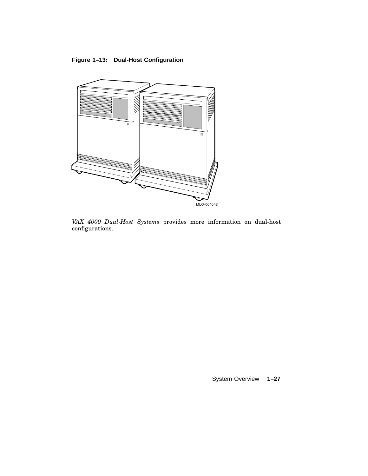# **Figure 1–13: Dual-Host Configuration**



*VAX 4000 Dual-Host Systems* provides more information on dual-host configurations.

System Overview **1–27**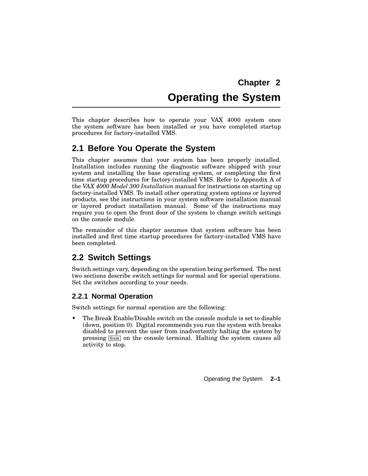# **Chapter 2 Operating the System**

This chapter describes how to operate your VAX 4000 system once the system software has been installed or you have completed startup procedures for factory-installed VMS.

# **2.1 Before You Operate the System**

This chapter assumes that your system has been properly installed. Installation includes running the diagnostic software shipped with your system and installing the base operating system, or completing the first time startup procedures for factory-installed VMS. Refer to Appendix A of the *VAX 4000 Model 300 Installation* manual for instructions on starting up factory-installed VMS. To install other operating system options or layered products, see the instructions in your system software installation manual or layered product installation manual. Some of the instructions may require you to open the front door of the system to change switch settings on the console module.

The remainder of this chapter assumes that system software has been installed and first time startup procedures for factory-installed VMS have been completed.

# **2.2 Switch Settings**

Switch settings vary, depending on the operation being performed. The next two sections describe switch settings for normal and for special operations. Set the switches according to your needs.

# **2.2.1 Normal Operation**

Switch settings for normal operation are the following:

• The Break Enable/Disable switch on the console module is set to disable (down, position 0). Digital recommends you run the system with breaks disabled to prevent the user from inadvertently halting the system by pressing Break on the console terminal. Halting the system causes all activity to stop.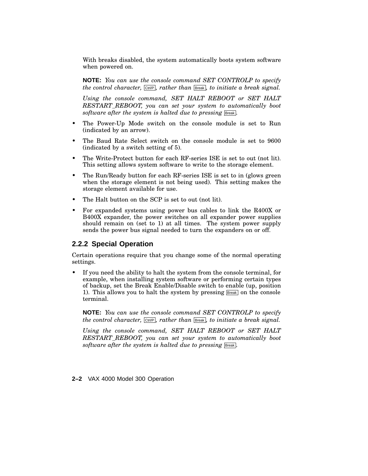With breaks disabled, the system automatically boots system software when powered on.

**NOTE:** *You can use the console command SET CONTROLP to specify the control character,* Ctrl/P *, rather than* Break *, to initiate a break signal.*

*Using the console command, SET HALT REBOOT or SET HALT RESTART\_REBOOT, you can set your system to automatically boot software after the system is halted due to pressing* Break *.*

- The Power-Up Mode switch on the console module is set to Run (indicated by an arrow).
- The Baud Rate Select switch on the console module is set to 9600 (indicated by a switch setting of 5).
- The Write-Protect button for each RF-series ISE is set to out (not lit). This setting allows system software to write to the storage element.
- The Run/Ready button for each RF-series ISE is set to in (glows green when the storage element is not being used). This setting makes the storage element available for use.
- The Halt button on the SCP is set to out (not lit).
- For expanded systems using power bus cables to link the R400X or B400X expander, the power switches on all expander power supplies should remain on (set to 1) at all times. The system power supply sends the power bus signal needed to turn the expanders on or off.

# **2.2.2 Special Operation**

Certain operations require that you change some of the normal operating settings.

• If you need the ability to halt the system from the console terminal, for example, when installing system software or performing certain types of backup, set the Break Enable/Disable switch to enable (up, position 1). This allows you to halt the system by pressing  $Breat$  on the console terminal.

**NOTE:** *You can use the console command SET CONTROLP to specify the* control character,  $\boxed{\text{CutVP}}$ , rather than  $\boxed{\text{Break}}$ , to *initiate* a break signal.

*Using the console command, SET HALT REBOOT or SET HALT RESTART\_REBOOT, you can set your system to automatically boot software after the system is halted due to pressing* Break *.*

**2–2** VAX 4000 Model 300 Operation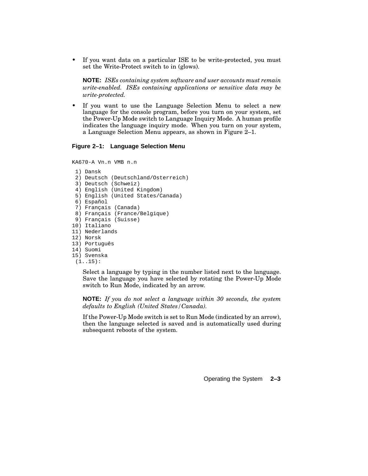• If you want data on a particular ISE to be write-protected, you must set the Write-Protect switch to in (glows).

**NOTE:** *ISEs containing system software and user accounts must remain write-enabled. ISEs containing applications or sensitive data may be write-protected.*

• If you want to use the Language Selection Menu to select a new language for the console program, before you turn on your system, set the Power-Up Mode switch to Language Inquiry Mode. A human profile indicates the language inquiry mode. When you turn on your system, a Language Selection Menu appears, as shown in Figure 2–1.

### **Figure 2–1: Language Selection Menu**

KA670-A Vn.n VMB n.n

```
1) Dansk
 2) Deutsch (Deutschland/Osterreich)
 3) Deutsch (Schweiz)
 4) English (United Kingdom)
 5) English (United States/Canada)
 6) Español
 7) Français (Canada)
 8) Français (France/Belgique)
 9) Français (Suisse)
10) Italiano
11) Nederlands
12) Norsk
13) Português
14) Suomi
15) Svenska
```
 $(1.15):$ 

Select a language by typing in the number listed next to the language. Save the language you have selected by rotating the Power-Up Mode switch to Run Mode, indicated by an arrow.

**NOTE:** *If you do not select a language within 30 seconds, the system defaults to English (United States/Canada).*

If the Power-Up Mode switch is set to Run Mode (indicated by an arrow), then the language selected is saved and is automatically used during subsequent reboots of the system.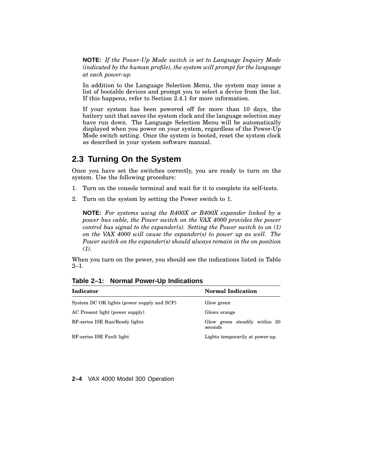**NOTE:** *If the Power-Up Mode switch is set to Language Inquiry Mode (indicated by the human profile), the system will prompt for the language at each power-up.*

In addition to the Language Selection Menu, the system may issue a list of bootable devices and prompt you to select a device from the list. If this happens, refer to Section 2.4.1 for more information.

If your system has been powered off for more than 10 days, the battery unit that saves the system clock and the language selection may have run down. The Language Selection Menu will be automatically displayed when you power on your system, regardless of the Power-Up Mode switch setting. Once the system is booted, reset the system clock as described in your system software manual.

# **2.3 Turning On the System**

Once you have set the switches correctly, you are ready to turn on the system. Use the following procedure:

- 1. Turn on the console terminal and wait for it to complete its self-tests.
- 2. Turn on the system by setting the Power switch to 1.

**NOTE:** *For systems using the R400X or B400X expander linked by a power bus cable, the Power switch on the VAX 4000 provides the power control bus signal to the expander(s). Setting the Power switch to on (1) on the VAX 4000 will cause the expander(s) to power up as well. The Power switch on the expander(s) should always remain in the on position (1).*

When you turn on the power, you should see the indications listed in Table 2–1.

| Indicator                                  | <b>Normal Indication</b>                 |
|--------------------------------------------|------------------------------------------|
| System DC OK lights (power supply and SCP) | Glow green                               |
| AC Present light (power supply)            | Glows orange                             |
| RF-series ISE Run/Ready lights             | Glow green steadily within 20<br>seconds |
| RF-series ISE Fault light                  | Lights temporarily at power-up.          |

**Table 2–1: Normal Power-Up Indications**

**2–4** VAX 4000 Model 300 Operation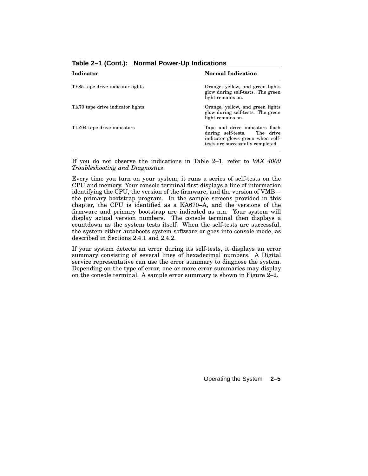| Indicator                        | <b>Normal Indication</b>                                                                                                                 |
|----------------------------------|------------------------------------------------------------------------------------------------------------------------------------------|
| TF85 tape drive indicator lights | Orange, yellow, and green lights<br>glow during self-tests. The green<br>light remains on.                                               |
| TK70 tape drive indicator lights | Orange, yellow, and green lights<br>glow during self-tests. The green<br>light remains on.                                               |
| TLZ04 tape drive indicators      | Tape and drive indicators flash<br>during self-tests. The drive<br>indicator glows green when self-<br>tests are successfully completed. |

**Table 2–1 (Cont.): Normal Power-Up Indications**

If you do not observe the indications in Table 2–1, refer to *VAX 4000 Troubleshooting and Diagnostics*.

Every time you turn on your system, it runs a series of self-tests on the CPU and memory. Your console terminal first displays a line of information identifying the CPU, the version of the firmware, and the version of VMB the primary bootstrap program. In the sample screens provided in this chapter, the CPU is identified as a KA670–A, and the versions of the firmware and primary bootstrap are indicated as n.n. Your system will display actual version numbers. The console terminal then displays a countdown as the system tests itself. When the self-tests are successful, the system either autoboots system software or goes into console mode, as described in Sections 2.4.1 and 2.4.2.

If your system detects an error during its self-tests, it displays an error summary consisting of several lines of hexadecimal numbers. A Digital service representative can use the error summary to diagnose the system. Depending on the type of error, one or more error summaries may display on the console terminal. A sample error summary is shown in Figure 2–2.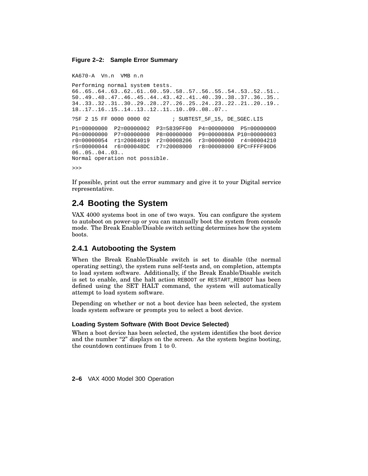#### **Figure 2–2: Sample Error Summary**

```
KA670-A Vn.n VMB n.n
Performing normal system tests.
66..65..64..63..62..61..60..59..58..57..56..55..54..53..52..51..
50..49..48..47..46..45..44..43..42..41..40..39..38..37..36..35..
34..33..32..31..30..29..28..27..26..25..24..23..22..21..20..19..
18..17..16..15..14..13..12..11..10..09..08..07..
?5F 2 15 FF 0000 0000 02 ; SUBTEST_5F_15, DE_SGEC.LIS
P1=00000000 P2=00000002 P3=5839FF00 P4=00000000 P5=00000000
P6=00000000 P7=00000000 P8=00000000 P9=0000080A P10=00000003
r0=00000054 r1=20084019 r2=00008206 r3=00000000 r4=00004210
r5=00000044 r6=000048DC r7=20008000 r8=00008000 EPC=FFFF90D6
06..05..04..03..
Normal operation not possible.
```
>>>

If possible, print out the error summary and give it to your Digital service representative.

# **2.4 Booting the System**

VAX 4000 systems boot in one of two ways. You can configure the system to autoboot on power-up or you can manually boot the system from console mode. The Break Enable/Disable switch setting determines how the system boots.

# **2.4.1 Autobooting the System**

When the Break Enable/Disable switch is set to disable (the normal operating setting), the system runs self-tests and, on completion, attempts to load system software. Additionally, if the Break Enable/Disable switch is set to enable, and the halt action REBOOT or RESTART\_REBOOT has been defined using the SET HALT command, the system will automatically attempt to load system software.

Depending on whether or not a boot device has been selected, the system loads system software or prompts you to select a boot device.

### **Loading System Software (With Boot Device Selected)**

When a boot device has been selected, the system identifies the boot device and the number " $2$ " displays on the screen. As the system begins booting, the countdown continues from 1 to 0.

**2–6** VAX 4000 Model 300 Operation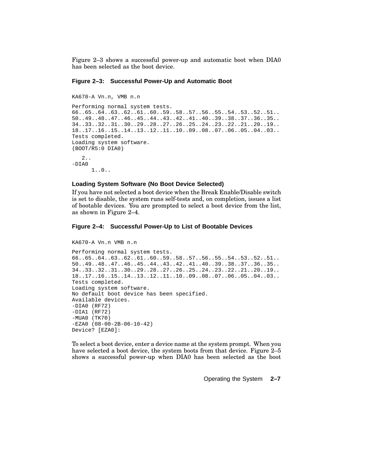Figure 2–3 shows a successful power-up and automatic boot when DIA0 has been selected as the boot device.

#### **Figure 2–3: Successful Power-Up and Automatic Boot**

```
KA670-A Vn.n, VMB n.n
Performing normal system tests.
66..65..64..63..62..61..60..59..58..57..56..55..54..53..52..51..
50..49..48..47..46..45..44..43..42..41..40..39..38..37..36..35..
34..33..32..31..30..29..28..27..26..25..24..23..22..21..20..19..
18..17..16..15..14..13..12..11..10..09..08..07..06..05..04..03..
Tests completed.
Loading system software.
(BOOT/R5:0 DIA0)
   2..
-DIA0
      1..0..
```
#### **Loading System Software (No Boot Device Selected)**

If you have not selected a boot device when the Break Enable/Disable switch is set to disable, the system runs self-tests and, on completion, issues a list of bootable devices. You are prompted to select a boot device from the list, as shown in Figure 2–4.

#### **Figure 2–4: Successful Power-Up to List of Bootable Devices**

```
KA670-A Vn.n VMB n.n
Performing normal system tests.
66..65..64..63..62..61..60..59..58..57..56..55..54..53..52..51..
50..49..48..47..46..45..44..43..42..41..40..39..38..37..36..35..
34..33..32..31..30..29..28..27..26..25..24..23..22..21..20..19..
18..17..16..15..14..13..12..11..10..09..08..07..06..05..04..03..
Tests completed.
Loading system software.
No default boot device has been specified.
Available devices.
-DIA0 (RF72)
-DIA1 (RF72)
-MUA0 (TK70)
-EZA0 (08-00-2B-06-10-42)
Device? [EZA0]:
```
To select a boot device, enter a device name at the system prompt. When you have selected a boot device, the system boots from that device. Figure 2–5 shows a successful power-up when DIA0 has been selected as the boot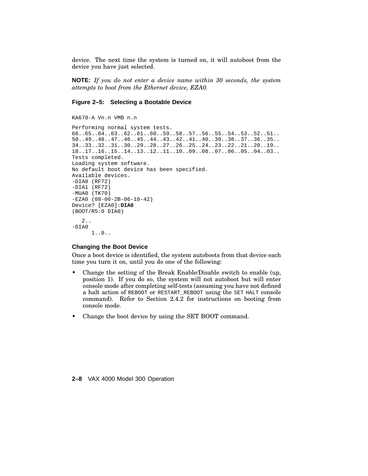device. The next time the system is turned on, it will autoboot from the device you have just selected.

**NOTE:** *If you do not enter a device name within 30 seconds, the system attempts to boot from the Ethernet device, EZA0.*

#### **Figure 2–5: Selecting a Bootable Device**

KA670-A Vn.n VMB n.n

```
Performing normal system tests.
66..65..64..63..62..61..60..59..58..57..56..55..54..53..52..51..
50..49..48..47..46..45..44..43..42..41..40..39..38..37..36..35..
34..33..32..31..30..29..28..27..26..25..24..23..22..21..20..19..
18..17..16..15..14..13..12..11..10..09..08..07..06..05..04..03..
Tests completed.
Loading system software.
No default boot device has been specified.
Available devices.
-DIA0 (RF72)
-DIA1 (RF72)
-MUA0 (TK70)
-EZA0 (08-00-2B-06-10-42)
Device? [EZA0]:DIA0
(BOOT/R5:0 DIA0)
   2..
-DIA0
      1..0..
```
## **Changing the Boot Device**

Once a boot device is identified, the system autoboots from that device each time you turn it on, until you do one of the following:

- Change the setting of the Break Enable/Disable switch to enable (up, position 1). If you do so, the system will not autoboot but will enter console mode after completing self-tests (assuming you have not defined a halt action of REBOOT or RESTART\_REBOOT using the SET HALT console command). Refer to Section 2.4.2 for instructions on booting from console mode.
- Change the boot device by using the SET BOOT command.

**2–8** VAX 4000 Model 300 Operation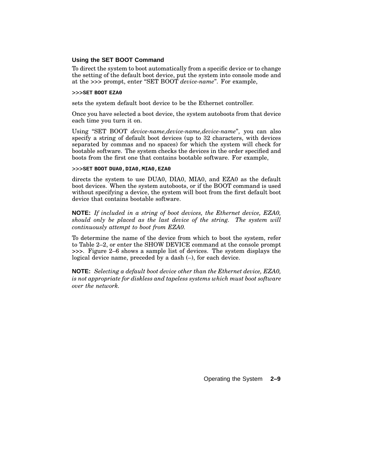#### **Using the SET BOOT Command**

To direct the system to boot automatically from a specific device or to change the setting of the default boot device, put the system into console mode and at the >>> prompt, enter ''SET BOOT *device-name*''. For example,

#### >>>**SET BOOT EZA0**

sets the system default boot device to be the Ethernet controller.

Once you have selected a boot device, the system autoboots from that device each time you turn it on.

Using ''SET BOOT *device-name,device-name,device-name*'', you can also specify a string of default boot devices (up to 32 characters, with devices separated by commas and no spaces) for which the system will check for bootable software. The system checks the devices in the order specified and boots from the first one that contains bootable software. For example,

#### >>>**SET BOOT DUA0,DIA0,MIA0,EZA0**

directs the system to use DUA0, DIA0, MIA0, and EZA0 as the default boot devices. When the system autoboots, or if the BOOT command is used without specifying a device, the system will boot from the first default boot device that contains bootable software.

**NOTE:** *If included in a string of boot devices, the Ethernet device, EZA0, should only be placed as the last device of the string. The system will continuously attempt to boot from EZA0.*

To determine the name of the device from which to boot the system, refer to Table 2–2, or enter the SHOW DEVICE command at the console prompt >>>. Figure 2–6 shows a sample list of devices. The system displays the logical device name, preceded by a dash (–), for each device.

**NOTE:** *Selecting a default boot device other than the Ethernet device, EZA0, is not appropriate for diskless and tapeless systems which must boot software over the network.*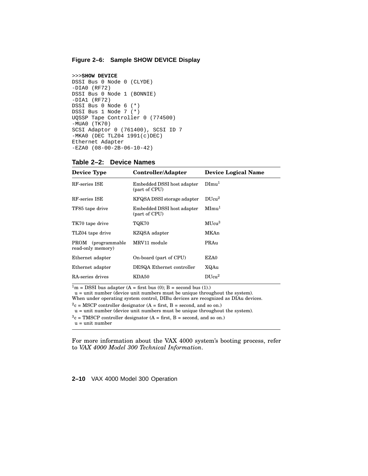#### **Figure 2–6: Sample SHOW DEVICE Display**

```
>>>SHOW DEVICE
DSSI Bus 0 Node 0 (CLYDE)
-DIA0 (RF72)
DSSI Bus 0 Node 1 (BONNIE)
-DIA1 (RF72)
DSSI Bus 0 Node 6 (*)
DSSI Bus 1 Node 7 (*)
UQSSP Tape Controller 0 (774500)
-MUA0 (TK70)
SCSI Adaptor 0 (761400), SCSI ID 7
-MKA0 (DEC TLZ04 1991(c)DEC)
Ethernet Adapter
-EZA0 (08-00-2B-06-10-42)
```

| <b>Device Type</b>                                           | Controller/Adapter                          | <b>Device Logical Name</b> |  |
|--------------------------------------------------------------|---------------------------------------------|----------------------------|--|
| RF-series ISE<br>Embedded DSSI host adapter<br>(part of CPU) |                                             | Dimu <sup>1</sup>          |  |
| RF-series ISE                                                | KFQSA DSSI storage adapter                  | DUcu <sup>2</sup>          |  |
| TF85 tape drive                                              | Embedded DSSI host adapter<br>(part of CPU) | MImu <sup>1</sup>          |  |
| TK70 tape drive                                              | TQK70                                       | MUcu <sup>3</sup>          |  |
| TLZ04 tape drive                                             | KZQSA adapter                               | MKAn                       |  |
| PROM (programmable)<br>read-only memory)                     | MRV11 module                                | PRAu                       |  |
| Ethernet adapter                                             | On-board (part of CPU)                      | EZA0                       |  |
| Ethernet adapter                                             | DESQA Ethernet controller                   | XQAu                       |  |
| RA-series drives                                             | KDA50                                       | DUcu <sup>2</sup>          |  |

**Table 2–2: Device Names**

 $1<sup>m</sup>$  = DSSI bus adapter (A = first bus (0); B = second bus (1).)

u = unit number (device unit numbers must be unique throughout the system).

When under operating system control, DIBu devices are recognized as DIAu devices.

 $2c = MSCP$  controller designator (A = first, B = second, and so on.)

u = unit number (device unit numbers must be unique throughout the system).

 $3c = TMSCP$  controller designator (A = first, B = second, and so on.)

u = unit number

For more information about the VAX 4000 system's booting process, refer to *VAX 4000 Model 300 Technical Information*.

**2–10** VAX 4000 Model 300 Operation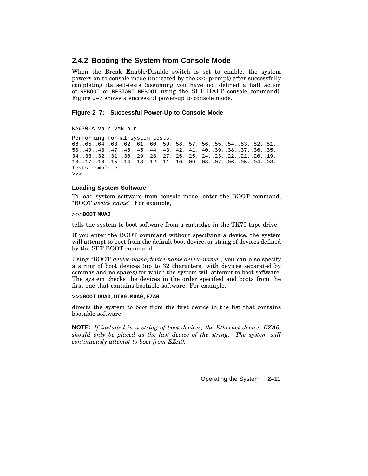# **2.4.2 Booting the System from Console Mode**

When the Break Enable/Disable switch is set to enable, the system powers on to console mode (indicated by the >>> prompt) after successfully completing its self-tests (assuming you have not defined a halt action of REBOOT or RESTART\_REBOOT using the SET HALT console command). Figure 2–7 shows a successful power-up to console mode.

## **Figure 2–7: Successful Power-Up to Console Mode**

KA670-A Vn.n VMB n.n

```
Performing normal system tests.
66..65..64..63..62..61..60..59..58..57..56..55..54..53..52..51..
50..49..48..47..46..45..44..43..42..41..40..39..38..37..36..35..
34..33..32..31..30..29..28..27..26..25..24..23..22..21..20..19..
18..17..16..15..14..13..12..11..10..09..08..07..06..05..04..03..
Tests completed.
>>>
```
### **Loading System Software**

To load system software from console mode, enter the BOOT command, ''BOOT *device name*''. For example,

#### >>>**BOOT MUA0**

tells the system to boot software from a cartridge in the TK70 tape drive.

If you enter the BOOT command without specifying a device, the system will attempt to boot from the default boot device, or string of devices defined by the SET BOOT command.

Using ''BOOT *device-name,device-name,device-name*'', you can also specify a string of boot devices (up to 32 characters, with devices separated by commas and no spaces) for which the system will attempt to boot software. The system checks the devices in the order specified and boots from the first one that contains bootable software. For example,

>>>**BOOT DUA0,DIA0,MUA0,EZA0**

directs the system to boot from the first device in the list that contains bootable software.

**NOTE:** *If included in a string of boot devices, the Ethernet device, EZA0, should only be placed as the last device of the string. The system will continuously attempt to boot from EZA0.*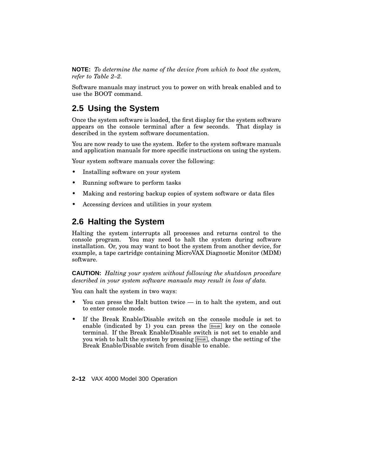**NOTE:** *To determine the name of the device from which to boot the system, refer to Table 2–2.*

Software manuals may instruct you to power on with break enabled and to use the BOOT command.

# **2.5 Using the System**

Once the system software is loaded, the first display for the system software appears on the console terminal after a few seconds. That display is described in the system software documentation.

You are now ready to use the system. Refer to the system software manuals and application manuals for more specific instructions on using the system.

Your system software manuals cover the following:

- Installing software on your system
- Running software to perform tasks
- Making and restoring backup copies of system software or data files
- Accessing devices and utilities in your system

# **2.6 Halting the System**

Halting the system interrupts all processes and returns control to the console program. You may need to halt the system during software installation. Or, you may want to boot the system from another device, for example, a tape cartridge containing MicroVAX Diagnostic Monitor (MDM) software.

**CAUTION:** *Halting your system without following the shutdown procedure described in your system software manuals may result in loss of data.*

You can halt the system in two ways:

- You can press the Halt button twice in to halt the system, and out to enter console mode.
- If the Break Enable/Disable switch on the console module is set to enable (indicated by 1) you can press the **Break** key on the console terminal. If the Break Enable/Disable switch is not set to enable and you wish to halt the system by pressing Break , change the setting of the Break Enable/Disable switch from disable to enable.

**2–12** VAX 4000 Model 300 Operation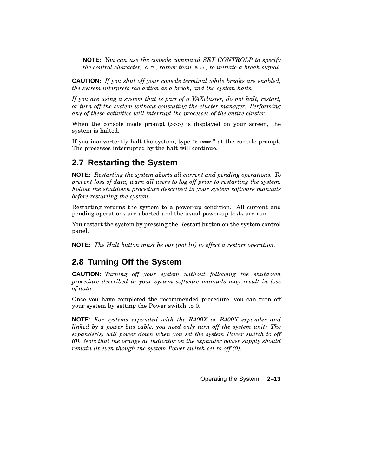**NOTE:** *You can use the console command SET CONTROLP to specify the control character,* Ctrl/P *, rather than* Break *, to initiate a break signal.*

**CAUTION:** *If you shut off your console terminal while breaks are enabled, the system interprets the action as a break, and the system halts.*

*If you are using a system that is part of a VAXcluster, do not halt, restart, or turn off the system without consulting the cluster manager. Performing any of these activities will interrupt the processes of the entire cluster.*

When the console mode prompt ( $\gg$ ) is displayed on your screen, the system is halted.

If you inadvertently halt the system, type " $c$  Return" at the console prompt. The processes interrupted by the halt will continue.

# **2.7 Restarting the System**

**NOTE:** *Restarting the system aborts all current and pending operations. To prevent loss of data, warn all users to log off prior to restarting the system. Follow the shutdown procedure described in your system software manuals before restarting the system.*

Restarting returns the system to a power-up condition. All current and pending operations are aborted and the usual power-up tests are run.

You restart the system by pressing the Restart button on the system control panel.

**NOTE:** *The Halt button must be out (not lit) to effect a restart operation.*

# **2.8 Turning Off the System**

**CAUTION:** *Turning off your system without following the shutdown procedure described in your system software manuals may result in loss of data.*

Once you have completed the recommended procedure, you can turn off your system by setting the Power switch to 0.

**NOTE:** *For systems expanded with the R400X or B400X expander and linked by a power bus cable, you need only turn off the system unit: The expander(s) will power down when you set the system Power switch to off (0). Note that the orange ac indicator on the expander power supply should remain lit even though the system Power switch set to off (0).*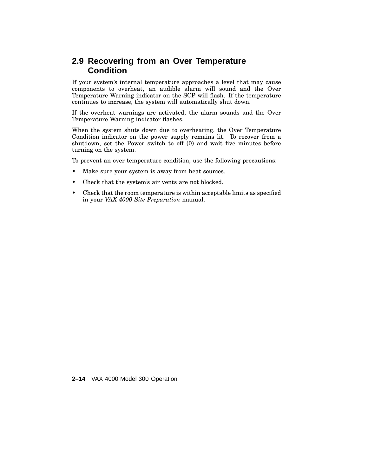# **2.9 Recovering from an Over Temperature Condition**

If your system's internal temperature approaches a level that may cause components to overheat, an audible alarm will sound and the Over Temperature Warning indicator on the SCP will flash. If the temperature continues to increase, the system will automatically shut down.

If the overheat warnings are activated, the alarm sounds and the Over Temperature Warning indicator flashes.

When the system shuts down due to overheating, the Over Temperature Condition indicator on the power supply remains lit. To recover from a shutdown, set the Power switch to off (0) and wait five minutes before turning on the system.

To prevent an over temperature condition, use the following precautions:

- Make sure your system is away from heat sources.
- Check that the system's air vents are not blocked.
- Check that the room temperature is within acceptable limits as specified in your *VAX 4000 Site Preparation* manual.

**2–14** VAX 4000 Model 300 Operation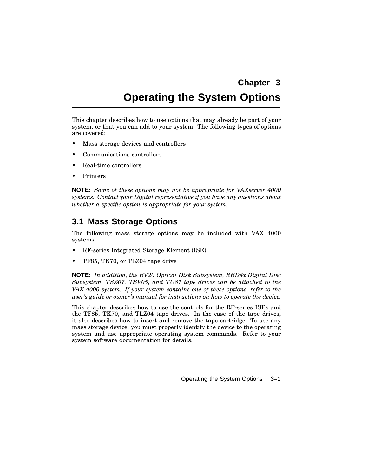# **Chapter 3**

# **Operating the System Options**

This chapter describes how to use options that may already be part of your system, or that you can add to your system. The following types of options are covered:

- Mass storage devices and controllers
- Communications controllers
- Real-time controllers
- **Printers**

**NOTE:** *Some of these options may not be appropriate for VAXserver 4000 systems. Contact your Digital representative if you have any questions about whether a specific option is appropriate for your system.*

# **3.1 Mass Storage Options**

The following mass storage options may be included with VAX 4000 systems:

- RF-series Integrated Storage Element (ISE)
- TF85, TK70, or TLZ04 tape drive

**NOTE:** *In addition, the RV20 Optical Disk Subsystem, RRD4x Digital Disc Subsystem, TSZ07, TSV05, and TU81 tape drives can be attached to the VAX 4000 system. If your system contains one of these options, refer to the user's guide or owner's manual for instructions on how to operate the device.*

This chapter describes how to use the controls for the RF-series ISEs and the TF85, TK70, and TLZ04 tape drives. In the case of the tape drives, it also describes how to insert and remove the tape cartridge. To use any mass storage device, you must properly identify the device to the operating system and use appropriate operating system commands. Refer to your system software documentation for details.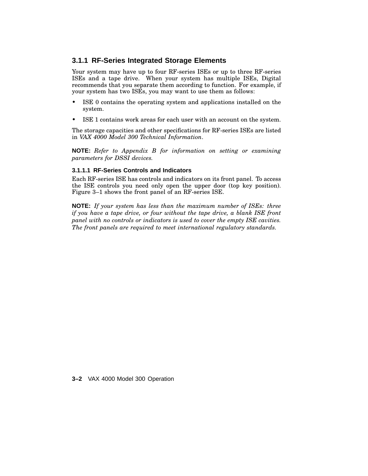# **3.1.1 RF-Series Integrated Storage Elements**

Your system may have up to four RF-series ISEs or up to three RF-series ISEs and a tape drive. When your system has multiple ISEs, Digital recommends that you separate them according to function. For example, if your system has two ISEs, you may want to use them as follows:

- ISE 0 contains the operating system and applications installed on the system.
- ISE 1 contains work areas for each user with an account on the system.

The storage capacities and other specifications for RF-series ISEs are listed in *VAX 4000 Model 300 Technical Information*.

**NOTE:** *Refer to Appendix B for information on setting or examining parameters for DSSI devices.*

### **3.1.1.1 RF-Series Controls and Indicators**

Each RF-series ISE has controls and indicators on its front panel. To access the ISE controls you need only open the upper door (top key position). Figure 3–1 shows the front panel of an RF-series ISE.

**NOTE:** *If your system has less than the maximum number of ISEs: three if you have a tape drive, or four without the tape drive, a blank ISE front panel with no controls or indicators is used to cover the empty ISE cavities. The front panels are required to meet international regulatory standards.*

**3–2** VAX 4000 Model 300 Operation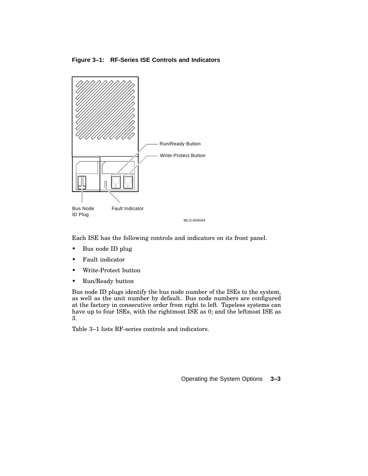**Figure 3–1: RF-Series ISE Controls and Indicators**



Each ISE has the following controls and indicators on its front panel.

- Bus node ID plug
- Fault indicator
- Write-Protect button
- Run/Ready button

Bus node ID plugs identify the bus node number of the ISEs to the system, as well as the unit number by default. Bus node numbers are configured at the factory in consecutive order from right to left. Tapeless systems can have up to four ISEs, with the rightmost ISE as 0; and the leftmost ISE as 3.

Table 3–1 lists RF-series controls and indicators.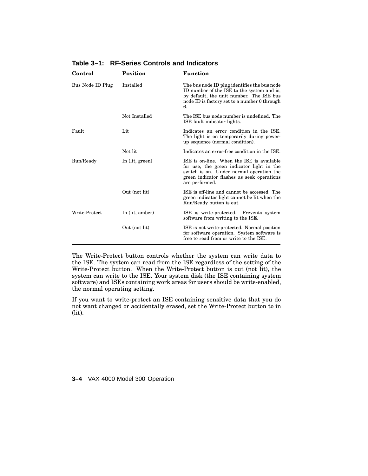| Control          | Position        | <b>Function</b>                                                                                                                                                                                    |
|------------------|-----------------|----------------------------------------------------------------------------------------------------------------------------------------------------------------------------------------------------|
| Bus Node ID Plug | Installed       | The bus node ID plug identifies the bus node<br>ID number of the ISE to the system and is,<br>by default, the unit number. The ISE bus<br>node ID is factory set to a number 0 through<br>6.       |
|                  | Not Installed   | The ISE bus node number is undefined. The<br>ISE fault indicator lights.                                                                                                                           |
| Fault            | Lit             | Indicates an error condition in the ISE.<br>The light is on temporarily during power-<br>up sequence (normal condition).                                                                           |
|                  | Not lit         | Indicates an error-free condition in the ISE.                                                                                                                                                      |
| Run/Ready        | In (lit, green) | ISE is on-line. When the ISE is available<br>for use, the green indicator light in the<br>switch is on. Under normal operation the<br>green indicator flashes as seek operations<br>are performed. |
|                  | Out (not lit)   | ISE is off-line and cannot be accessed. The<br>green indicator light cannot be lit when the<br>Run/Ready button is out.                                                                            |
| Write-Protect    | In (lit, amber) | ISE is write-protected. Prevents system<br>software from writing to the ISE.                                                                                                                       |
|                  | Out (not lit)   | ISE is not write-protected. Normal position<br>for software operation. System software is<br>free to read from or write to the ISE.                                                                |

**Table 3–1: RF-Series Controls and Indicators**

The Write-Protect button controls whether the system can write data to the ISE. The system can read from the ISE regardless of the setting of the Write-Protect button. When the Write-Protect button is out (not lit), the system can write to the ISE. Your system disk (the ISE containing system software) and ISEs containing work areas for users should be write-enabled, the normal operating setting.

If you want to write-protect an ISE containing sensitive data that you do not want changed or accidentally erased, set the Write-Protect button to in (lit).

**3–4** VAX 4000 Model 300 Operation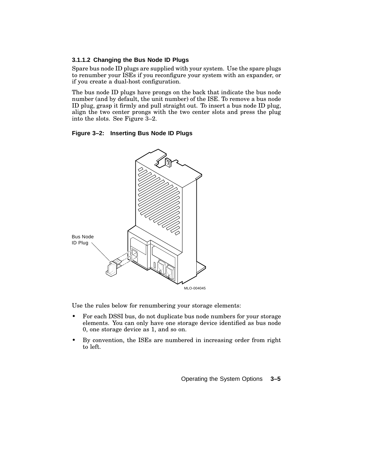# **3.1.1.2 Changing the Bus Node ID Plugs**

Spare bus node ID plugs are supplied with your system. Use the spare plugs to renumber your ISEs if you reconfigure your system with an expander, or if you create a dual-host configuration.

The bus node ID plugs have prongs on the back that indicate the bus node number (and by default, the unit number) of the ISE. To remove a bus node ID plug, grasp it firmly and pull straight out. To insert a bus node ID plug, align the two center prongs with the two center slots and press the plug into the slots. See Figure 3–2.

## **Figure 3–2: Inserting Bus Node ID Plugs**



Use the rules below for renumbering your storage elements:

- For each DSSI bus, do not duplicate bus node numbers for your storage elements. You can only have one storage device identified as bus node 0, one storage device as 1, and so on.
- By convention, the ISEs are numbered in increasing order from right to left.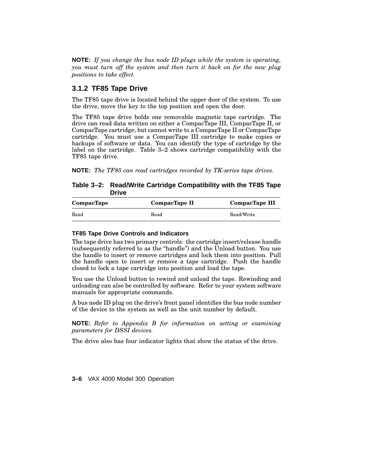**NOTE:** *If you change the bus node ID plugs while the system is operating, you must turn off the system and then turn it back on for the new plug positions to take effect.*

# **3.1.2 TF85 Tape Drive**

The TF85 tape drive is located behind the upper door of the system. To use the drive, move the key to the top position and open the door.

The TF85 tape drive holds one removable magnetic tape cartridge. The drive can read data written on either a CompacTape III, CompacTape II, or CompacTape cartridge; but cannot write to a CompacTape II or CompacTape cartridge. You must use a CompacTape III cartridge to make copies or backups of software or data. You can identify the type of cartridge by the label on the cartridge. Table 3–2 shows cartridge compatibility with the TF85 tape drive.

**NOTE:** *The TF85 can read cartridges recorded by TK-series tape drives.*

# **Table 3–2: Read/Write Cartridge Compatibility with the TF85 Tape Drive**

| CompacTape | CompacTape II | CompacTape III |
|------------|---------------|----------------|
| Read       | Read          | Read/Write     |

### **TF85 Tape Drive Controls and Indicators**

The tape drive has two primary controls: the cartridge insert/release handle (subsequently referred to as the ''handle'') and the Unload button. You use the handle to insert or remove cartridges and lock them into position. Pull the handle open to insert or remove a tape cartridge. Push the handle closed to lock a tape cartridge into position and load the tape.

You use the Unload button to rewind and unload the tape. Rewinding and unloading can also be controlled by software. Refer to your system software manuals for appropriate commands.

A bus node ID plug on the drive's front panel identifies the bus node number of the device to the system as well as the unit number by default.

**NOTE:** *Refer to Appendix B for information on setting or examining parameters for DSSI devices.*

The drive also has four indicator lights that show the status of the drive.

**3–6** VAX 4000 Model 300 Operation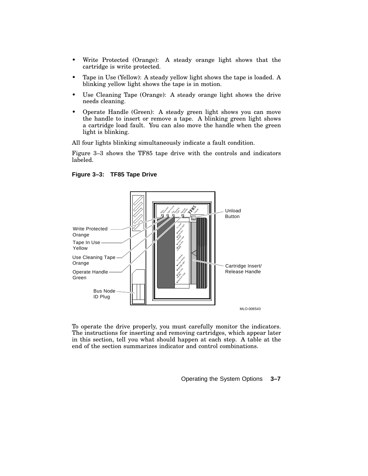- Write Protected (Orange): A steady orange light shows that the cartridge is write protected.
- Tape in Use (Yellow): A steady yellow light shows the tape is loaded. A blinking yellow light shows the tape is in motion.
- Use Cleaning Tape (Orange): A steady orange light shows the drive needs cleaning.
- Operate Handle (Green): A steady green light shows you can move the handle to insert or remove a tape. A blinking green light shows a cartridge load fault. You can also move the handle when the green light is blinking.

All four lights blinking simultaneously indicate a fault condition.

Figure 3–3 shows the TF85 tape drive with the controls and indicators labeled.



**Figure 3–3: TF85 Tape Drive**

To operate the drive properly, you must carefully monitor the indicators. The instructions for inserting and removing cartridges, which appear later in this section, tell you what should happen at each step. A table at the end of the section summarizes indicator and control combinations.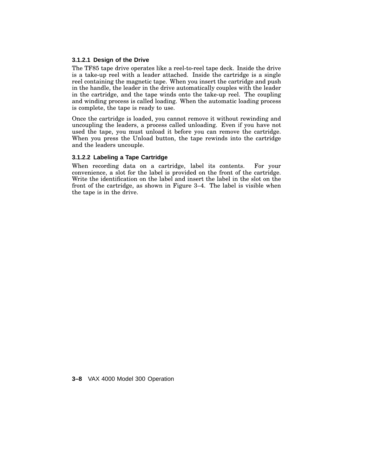### **3.1.2.1 Design of the Drive**

The TF85 tape drive operates like a reel-to-reel tape deck. Inside the drive is a take-up reel with a leader attached. Inside the cartridge is a single reel containing the magnetic tape. When you insert the cartridge and push in the handle, the leader in the drive automatically couples with the leader in the cartridge, and the tape winds onto the take-up reel. The coupling and winding process is called loading. When the automatic loading process is complete, the tape is ready to use.

Once the cartridge is loaded, you cannot remove it without rewinding and uncoupling the leaders, a process called unloading. Even if you have not used the tape, you must unload it before you can remove the cartridge. When you press the Unload button, the tape rewinds into the cartridge and the leaders uncouple.

### **3.1.2.2 Labeling a Tape Cartridge**

When recording data on a cartridge, label its contents. For your convenience, a slot for the label is provided on the front of the cartridge. Write the identification on the label and insert the label in the slot on the front of the cartridge, as shown in Figure 3–4. The label is visible when the tape is in the drive.

**3–8** VAX 4000 Model 300 Operation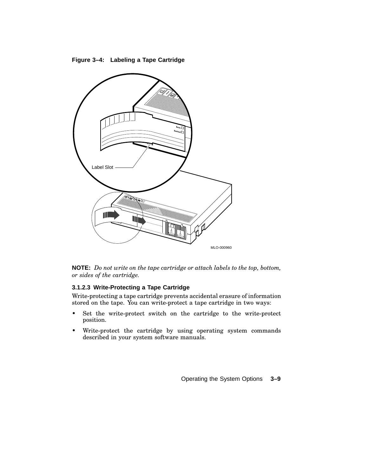**Figure 3–4: Labeling a Tape Cartridge**



**NOTE:** *Do not write on the tape cartridge or attach labels to the top, bottom, or sides of the cartridge.*

# **3.1.2.3 Write-Protecting a Tape Cartridge**

Write-protecting a tape cartridge prevents accidental erasure of information stored on the tape. You can write-protect a tape cartridge in two ways:

- Set the write-protect switch on the cartridge to the write-protect position.
- Write-protect the cartridge by using operating system commands described in your system software manuals.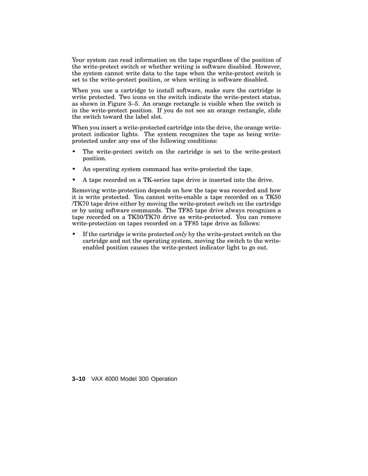Your system can read information on the tape regardless of the position of the write-protect switch or whether writing is software disabled. However, the system cannot write data to the tape when the write-protect switch is set to the write-protect position, or when writing is software disabled.

When you use a cartridge to install software, make sure the cartridge is write protected. Two icons on the switch indicate the write-protect status, as shown in Figure 3–5. An orange rectangle is visible when the switch is in the write-protect position. If you do not see an orange rectangle, slide the switch toward the label slot.

When you insert a write-protected cartridge into the drive, the orange writeprotect indicator lights. The system recognizes the tape as being writeprotected under any one of the following conditions:

- The write-protect switch on the cartridge is set to the write-protect position.
- An operating system command has write-protected the tape.
- A tape recorded on a TK-series tape drive is inserted into the drive.

Removing write-protection depends on how the tape was recorded and how it is write protected. You cannot write-enable a tape recorded on a TK50 /TK70 tape drive either by moving the write-protect switch on the cartridge or by using software commands. The TF85 tape drive always recognizes a tape recorded on a TK50/TK70 drive as write-protected. You can remove write-protection on tapes recorded on a TF85 tape drive as follows:

• If the cartridge is write protected *only* by the write-protect switch on the cartridge and not the operating system, moving the switch to the writeenabled position causes the write-protect indicator light to go out.

**3–10** VAX 4000 Model 300 Operation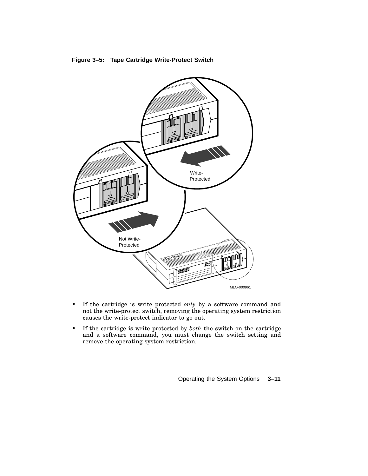



- If the cartridge is write protected *only* by a software command and not the write-protect switch, removing the operating system restriction causes the write-protect indicator to go out.
- If the cartridge is write protected by *both* the switch on the cartridge and a software command, you must change the switch setting and remove the operating system restriction.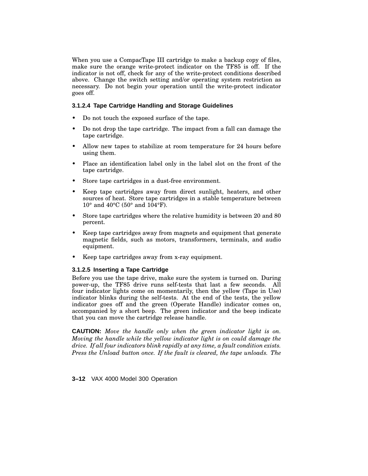When you use a CompacTape III cartridge to make a backup copy of files, make sure the orange write-protect indicator on the TF85 is off. If the indicator is not off, check for any of the write-protect conditions described above. Change the switch setting and/or operating system restriction as necessary. Do not begin your operation until the write-protect indicator goes off.

### **3.1.2.4 Tape Cartridge Handling and Storage Guidelines**

- Do not touch the exposed surface of the tape.
- Do not drop the tape cartridge. The impact from a fall can damage the tape cartridge.
- Allow new tapes to stabilize at room temperature for 24 hours before using them.
- Place an identification label only in the label slot on the front of the tape cartridge.
- Store tape cartridges in a dust-free environment.
- Keep tape cartridges away from direct sunlight, heaters, and other sources of heat. Store tape cartridges in a stable temperature between  $10^{\circ}$  and  $40^{\circ}$ C (50° and  $104^{\circ}$ F).
- Store tape cartridges where the relative humidity is between 20 and 80 percent.
- Keep tape cartridges away from magnets and equipment that generate magnetic fields, such as motors, transformers, terminals, and audio equipment.
- Keep tape cartridges away from x-ray equipment.

#### **3.1.2.5 Inserting a Tape Cartridge**

Before you use the tape drive, make sure the system is turned on. During power-up, the TF85 drive runs self-tests that last a few seconds. All four indicator lights come on momentarily, then the yellow (Tape in Use) indicator blinks during the self-tests. At the end of the tests, the yellow indicator goes off and the green (Operate Handle) indicator comes on, accompanied by a short beep. The green indicator and the beep indicate that you can move the cartridge release handle.

**CAUTION:** *Move the handle only when the green indicator light is on. Moving the handle while the yellow indicator light is on could damage the drive. If all four indicators blink rapidly at any time, a fault condition exists. Press the Unload button once. If the fault is cleared, the tape unloads. The*

**3–12** VAX 4000 Model 300 Operation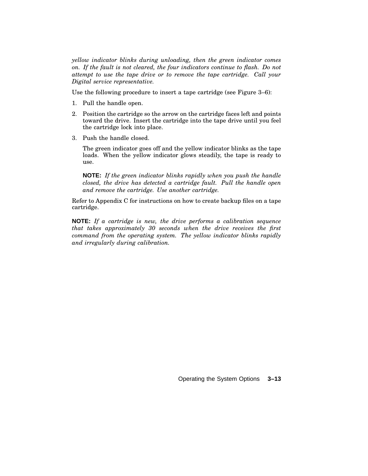*yellow indicator blinks during unloading, then the green indicator comes on. If the fault is not cleared, the four indicators continue to flash. Do not attempt to use the tape drive or to remove the tape cartridge. Call your Digital service representative.*

Use the following procedure to insert a tape cartridge (see Figure 3–6):

- 1. Pull the handle open.
- 2. Position the cartridge so the arrow on the cartridge faces left and points toward the drive. Insert the cartridge into the tape drive until you feel the cartridge lock into place.
- 3. Push the handle closed.

The green indicator goes off and the yellow indicator blinks as the tape loads. When the yellow indicator glows steadily, the tape is ready to use.

**NOTE:** *If the green indicator blinks rapidly when you push the handle closed, the drive has detected a cartridge fault. Pull the handle open and remove the cartridge. Use another cartridge.*

Refer to Appendix C for instructions on how to create backup files on a tape cartridge.

**NOTE:** *If a cartridge is new, the drive performs a calibration sequence that takes approximately 30 seconds when the drive receives the first command from the operating system. The yellow indicator blinks rapidly and irregularly during calibration.*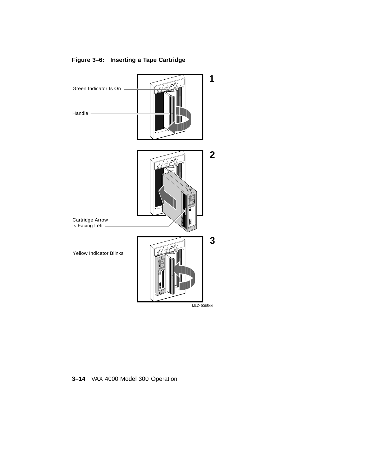

# **Figure 3–6: Inserting a Tape Cartridge**

**3–14** VAX 4000 Model 300 Operation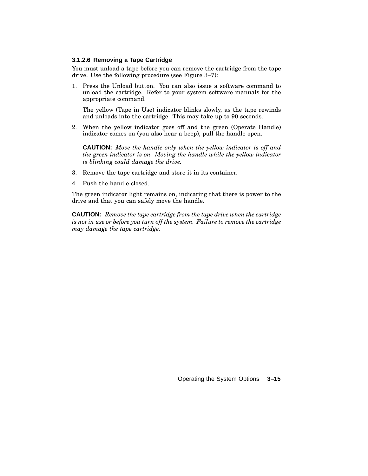### **3.1.2.6 Removing a Tape Cartridge**

You must unload a tape before you can remove the cartridge from the tape drive. Use the following procedure (see Figure 3–7):

1. Press the Unload button. You can also issue a software command to unload the cartridge. Refer to your system software manuals for the appropriate command.

The yellow (Tape in Use) indicator blinks slowly, as the tape rewinds and unloads into the cartridge. This may take up to 90 seconds.

2. When the yellow indicator goes off and the green (Operate Handle) indicator comes on (you also hear a beep), pull the handle open.

**CAUTION:** *Move the handle only when the yellow indicator is off and the green indicator is on. Moving the handle while the yellow indicator is blinking could damage the drive.*

- 3. Remove the tape cartridge and store it in its container.
- 4. Push the handle closed.

The green indicator light remains on, indicating that there is power to the drive and that you can safely move the handle.

**CAUTION:** *Remove the tape cartridge from the tape drive when the cartridge is not in use or before you turn off the system. Failure to remove the cartridge may damage the tape cartridge.*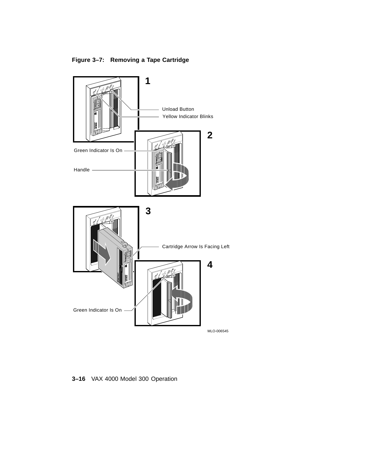**Figure 3–7: Removing a Tape Cartridge**



**3–16** VAX 4000 Model 300 Operation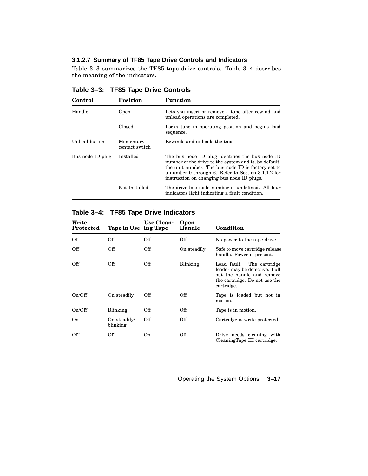# **3.1.2.7 Summary of TF85 Tape Drive Controls and Indicators**

Table 3–3 summarizes the TF85 tape drive controls. Table 3–4 describes the meaning of the indicators.

| Control          | <b>Position</b>             | <b>Function</b>                                                                                                                                                                                                                                                    |
|------------------|-----------------------------|--------------------------------------------------------------------------------------------------------------------------------------------------------------------------------------------------------------------------------------------------------------------|
| Handle           | Open                        | Lets you insert or remove a tape after rewind and<br>unload operations are completed.                                                                                                                                                                              |
|                  | Closed                      | Locks tape in operating position and begins load<br>sequence.                                                                                                                                                                                                      |
| Unload button    | Momentary<br>contact switch | Rewinds and unloads the tape.                                                                                                                                                                                                                                      |
| Bus node ID plug | Installed                   | The bus node ID plug identifies the bus node ID<br>number of the drive to the system and is, by default,<br>the unit number. The bus node ID is factory set to<br>a number 0 through 6. Refer to Section 3.1.1.2 for<br>instruction on changing bus node ID plugs. |
|                  | Not Installed               | The drive bus node number is undefined. All four<br>indicators light indicating a fault condition.                                                                                                                                                                 |

**Table 3–3: TF85 Tape Drive Controls**

**Table 3–4: TF85 Tape Drive Indicators**

| Write<br>Protected | Tape in Use ing Tape     | Use Clean- | Open<br>Handle | Condition                                                                                                                                 |
|--------------------|--------------------------|------------|----------------|-------------------------------------------------------------------------------------------------------------------------------------------|
| Off                | Off                      | Off        | Off            | No power to the tape drive.                                                                                                               |
| Off                | Off                      | Off        | On steadily    | Safe to move cartridge release<br>handle. Power is present.                                                                               |
| Off                | Off                      | Off        | Blinking       | Load fault.<br>The cartridge<br>leader may be defective. Pull<br>out the handle and remove<br>the cartridge. Do not use the<br>cartridge. |
| On/Off             | On steadily              | Off        | <b>Off</b>     | Tape is loaded but not in<br>motion.                                                                                                      |
| On/Off             | Blinking                 | Off        | <b>Off</b>     | Tape is in motion.                                                                                                                        |
| On.                | On steadily/<br>blinking | Off        | <b>Off</b>     | Cartridge is write protected.                                                                                                             |
| Off                | Off                      | On         | <b>Off</b>     | Drive needs cleaning with<br>CleaningTape III cartridge.                                                                                  |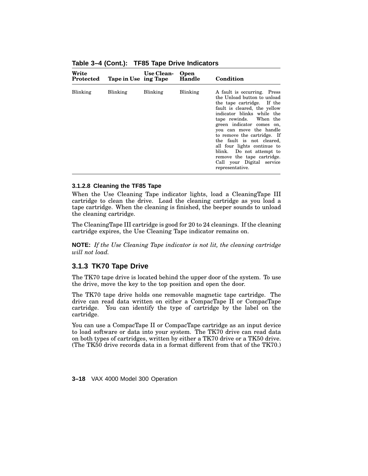| Write<br>Protected | Tape in Use ing Tape | Use Clean-      | Open<br>Handle | Condition                                                                                                                                                                                                                                                                                                                                                                                                                                     |
|--------------------|----------------------|-----------------|----------------|-----------------------------------------------------------------------------------------------------------------------------------------------------------------------------------------------------------------------------------------------------------------------------------------------------------------------------------------------------------------------------------------------------------------------------------------------|
| Blinking           | <b>Blinking</b>      | <b>Blinking</b> | Blinking       | A fault is occurring. Press<br>the Unload button to unload<br>the tape cartridge. If the<br>fault is cleared, the yellow<br>indicator blinks while the<br>tape rewinds. When the<br>green indicator comes on,<br>you can move the handle<br>to remove the cartridge. If<br>the fault is not cleared,<br>all four lights continue to<br>blink. Do not attempt to<br>remove the tape cartridge.<br>Call your Digital service<br>representative. |

**Table 3–4 (Cont.): TF85 Tape Drive Indicators**

### **3.1.2.8 Cleaning the TF85 Tape**

When the Use Cleaning Tape indicator lights, load a CleaningTape III cartridge to clean the drive. Load the cleaning cartridge as you load a tape cartridge. When the cleaning is finished, the beeper sounds to unload the cleaning cartridge.

The CleaningTape III cartridge is good for 20 to 24 cleanings. If the cleaning cartridge expires, the Use Cleaning Tape indicator remains on.

**NOTE:** *If the Use Cleaning Tape indicator is not lit, the cleaning cartridge will not load.*

# **3.1.3 TK70 Tape Drive**

The TK70 tape drive is located behind the upper door of the system. To use the drive, move the key to the top position and open the door.

The TK70 tape drive holds one removable magnetic tape cartridge. The drive can read data written on either a CompacTape II or CompacTape cartridge. You can identify the type of cartridge by the label on the cartridge.

You can use a CompacTape II or CompacTape cartridge as an input device to load software or data into your system. The TK70 drive can read data on both types of cartridges, written by either a TK70 drive or a TK50 drive. (The TK50 drive records data in a format different from that of the TK70.)

**3–18** VAX 4000 Model 300 Operation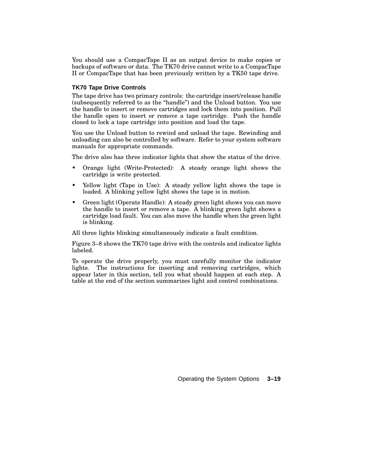You should use a CompacTape II as an output device to make copies or backups of software or data. The TK70 drive cannot write to a CompacTape II or CompacTape that has been previously written by a TK50 tape drive.

### **TK70 Tape Drive Controls**

The tape drive has two primary controls: the cartridge insert/release handle (subsequently referred to as the ''handle'') and the Unload button. You use the handle to insert or remove cartridges and lock them into position. Pull the handle open to insert or remove a tape cartridge. Push the handle closed to lock a tape cartridge into position and load the tape.

You use the Unload button to rewind and unload the tape. Rewinding and unloading can also be controlled by software. Refer to your system software manuals for appropriate commands.

The drive also has three indicator lights that show the status of the drive.

- Orange light (Write-Protected): A steady orange light shows the cartridge is write protected.
- Yellow light (Tape in Use): A steady yellow light shows the tape is loaded. A blinking yellow light shows the tape is in motion.
- Green light (Operate Handle): A steady green light shows you can move the handle to insert or remove a tape. A blinking green light shows a cartridge load fault. You can also move the handle when the green light is blinking.

All three lights blinking simultaneously indicate a fault condition.

Figure 3–8 shows the TK70 tape drive with the controls and indicator lights labeled.

To operate the drive properly, you must carefully monitor the indicator lights. The instructions for inserting and removing cartridges, which appear later in this section, tell you what should happen at each step. A table at the end of the section summarizes light and control combinations.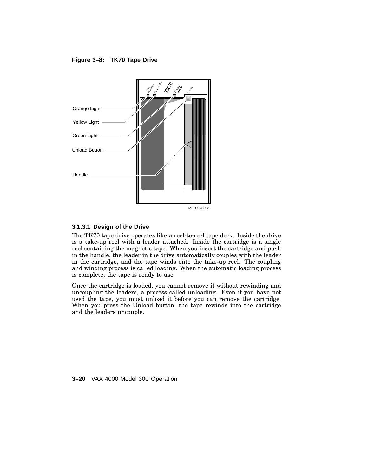**Figure 3–8: TK70 Tape Drive**



### **3.1.3.1 Design of the Drive**

The TK70 tape drive operates like a reel-to-reel tape deck. Inside the drive is a take-up reel with a leader attached. Inside the cartridge is a single reel containing the magnetic tape. When you insert the cartridge and push in the handle, the leader in the drive automatically couples with the leader in the cartridge, and the tape winds onto the take-up reel. The coupling and winding process is called loading. When the automatic loading process is complete, the tape is ready to use.

Once the cartridge is loaded, you cannot remove it without rewinding and uncoupling the leaders, a process called unloading. Even if you have not used the tape, you must unload it before you can remove the cartridge. When you press the Unload button, the tape rewinds into the cartridge and the leaders uncouple.

**3–20** VAX 4000 Model 300 Operation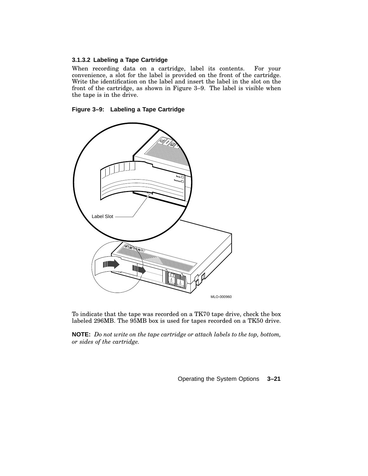# **3.1.3.2 Labeling a Tape Cartridge**

When recording data on a cartridge, label its contents. For your convenience, a slot for the label is provided on the front of the cartridge. Write the identification on the label and insert the label in the slot on the front of the cartridge, as shown in Figure 3–9. The label is visible when the tape is in the drive.





To indicate that the tape was recorded on a TK70 tape drive, check the box labeled 296MB. The 95MB box is used for tapes recorded on a TK50 drive.

**NOTE:** *Do not write on the tape cartridge or attach labels to the top, bottom, or sides of the cartridge.*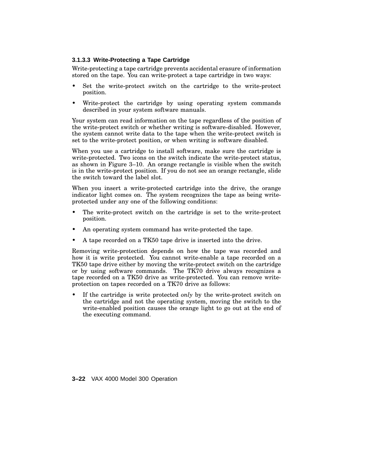### **3.1.3.3 Write-Protecting a Tape Cartridge**

Write-protecting a tape cartridge prevents accidental erasure of information stored on the tape. You can write-protect a tape cartridge in two ways:

- Set the write-protect switch on the cartridge to the write-protect position.
- Write-protect the cartridge by using operating system commands described in your system software manuals.

Your system can read information on the tape regardless of the position of the write-protect switch or whether writing is software-disabled. However, the system cannot write data to the tape when the write-protect switch is set to the write-protect position, or when writing is software disabled.

When you use a cartridge to install software, make sure the cartridge is write-protected. Two icons on the switch indicate the write-protect status, as shown in Figure 3–10. An orange rectangle is visible when the switch is in the write-protect position. If you do not see an orange rectangle, slide the switch toward the label slot.

When you insert a write-protected cartridge into the drive, the orange indicator light comes on. The system recognizes the tape as being writeprotected under any one of the following conditions:

- The write-protect switch on the cartridge is set to the write-protect position.
- An operating system command has write-protected the tape.
- A tape recorded on a TK50 tape drive is inserted into the drive.

Removing write-protection depends on how the tape was recorded and how it is write protected. You cannot write-enable a tape recorded on a TK50 tape drive either by moving the write-protect switch on the cartridge or by using software commands. The TK70 drive always recognizes a tape recorded on a TK50 drive as write-protected. You can remove writeprotection on tapes recorded on a TK70 drive as follows:

If the cartridge is write protected *only* by the write-protect switch on the cartridge and not the operating system, moving the switch to the write-enabled position causes the orange light to go out at the end of the executing command.

**3–22** VAX 4000 Model 300 Operation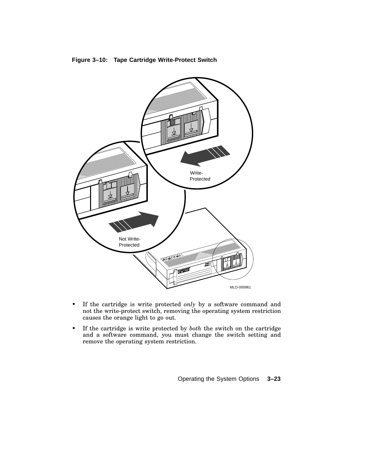



- If the cartridge is write protected *only* by a software command and not the write-protect switch, removing the operating system restriction causes the orange light to go out.
- If the cartridge is write protected by *both* the switch on the cartridge and a software command, you must change the switch setting and remove the operating system restriction.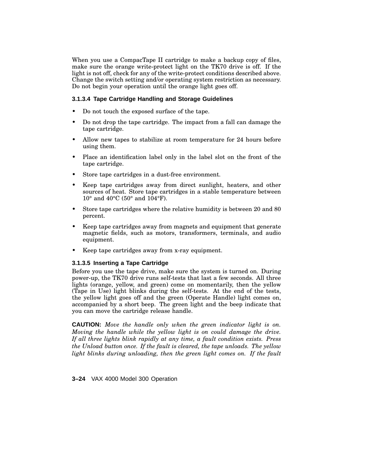When you use a CompacTape II cartridge to make a backup copy of files, make sure the orange write-protect light on the TK70 drive is off. If the light is not off, check for any of the write-protect conditions described above. Change the switch setting and/or operating system restriction as necessary. Do not begin your operation until the orange light goes off.

### **3.1.3.4 Tape Cartridge Handling and Storage Guidelines**

- Do not touch the exposed surface of the tape.
- Do not drop the tape cartridge. The impact from a fall can damage the tape cartridge.
- Allow new tapes to stabilize at room temperature for 24 hours before using them.
- Place an identification label only in the label slot on the front of the tape cartridge.
- Store tape cartridges in a dust-free environment.
- Keep tape cartridges away from direct sunlight, heaters, and other sources of heat. Store tape cartridges in a stable temperature between 10° and 40°C (50° and 104°F).
- Store tape cartridges where the relative humidity is between 20 and 80 percent.
- Keep tape cartridges away from magnets and equipment that generate magnetic fields, such as motors, transformers, terminals, and audio equipment.
- Keep tape cartridges away from x-ray equipment.

### **3.1.3.5 Inserting a Tape Cartridge**

Before you use the tape drive, make sure the system is turned on. During power-up, the TK70 drive runs self-tests that last a few seconds. All three lights (orange, yellow, and green) come on momentarily, then the yellow (Tape in Use) light blinks during the self-tests. At the end of the tests, the yellow light goes off and the green (Operate Handle) light comes on, accompanied by a short beep. The green light and the beep indicate that you can move the cartridge release handle.

**CAUTION:** *Move the handle only when the green indicator light is on. Moving the handle while the yellow light is on could damage the drive. If all three lights blink rapidly at any time, a fault condition exists. Press the Unload button once. If the fault is cleared, the tape unloads. The yellow light blinks during unloading, then the green light comes on. If the fault*

**3–24** VAX 4000 Model 300 Operation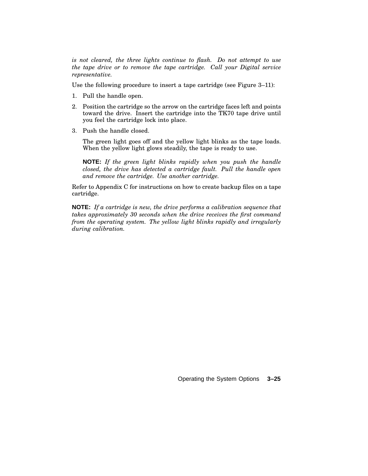*is not cleared, the three lights continue to flash. Do not attempt to use the tape drive or to remove the tape cartridge. Call your Digital service representative.*

Use the following procedure to insert a tape cartridge (see Figure 3–11):

- 1. Pull the handle open.
- 2. Position the cartridge so the arrow on the cartridge faces left and points toward the drive. Insert the cartridge into the TK70 tape drive until you feel the cartridge lock into place.
- 3. Push the handle closed.

The green light goes off and the yellow light blinks as the tape loads. When the yellow light glows steadily, the tape is ready to use.

**NOTE:** *If the green light blinks rapidly when you push the handle closed, the drive has detected a cartridge fault. Pull the handle open and remove the cartridge. Use another cartridge.*

Refer to Appendix C for instructions on how to create backup files on a tape cartridge.

**NOTE:** *If a cartridge is new, the drive performs a calibration sequence that takes approximately 30 seconds when the drive receives the first command from the operating system. The yellow light blinks rapidly and irregularly during calibration.*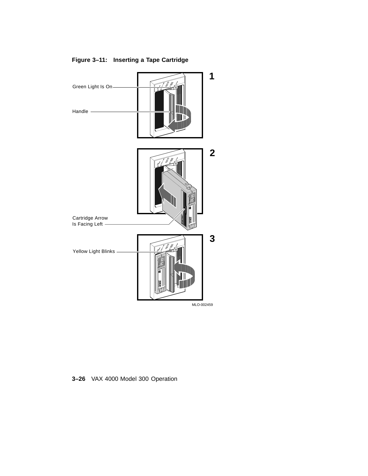

# **Figure 3–11: Inserting a Tape Cartridge**

**3–26** VAX 4000 Model 300 Operation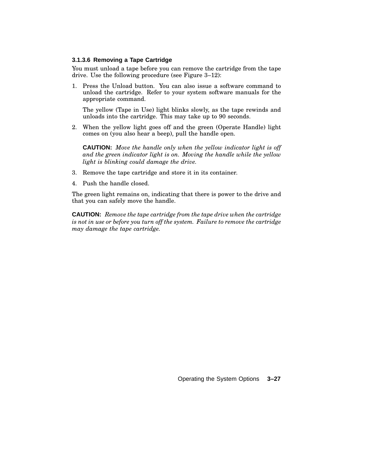### **3.1.3.6 Removing a Tape Cartridge**

You must unload a tape before you can remove the cartridge from the tape drive. Use the following procedure (see Figure 3–12):

1. Press the Unload button. You can also issue a software command to unload the cartridge. Refer to your system software manuals for the appropriate command.

The yellow (Tape in Use) light blinks slowly, as the tape rewinds and unloads into the cartridge. This may take up to 90 seconds.

2. When the yellow light goes off and the green (Operate Handle) light comes on (you also hear a beep), pull the handle open.

**CAUTION:** *Move the handle only when the yellow indicator light is off and the green indicator light is on. Moving the handle while the yellow light is blinking could damage the drive.*

- 3. Remove the tape cartridge and store it in its container.
- 4. Push the handle closed.

The green light remains on, indicating that there is power to the drive and that you can safely move the handle.

**CAUTION:** *Remove the tape cartridge from the tape drive when the cartridge is not in use or before you turn off the system. Failure to remove the cartridge may damage the tape cartridge.*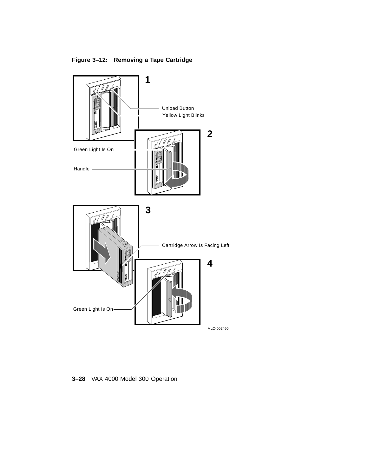**Figure 3–12: Removing a Tape Cartridge**



**3–28** VAX 4000 Model 300 Operation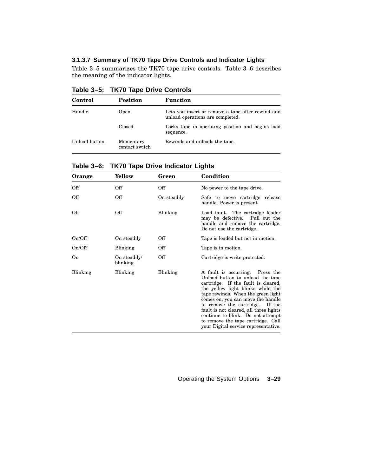### **3.1.3.7 Summary of TK70 Tape Drive Controls and Indicator Lights**

Table 3–5 summarizes the TK70 tape drive controls. Table 3–6 describes the meaning of the indicator lights.

**Table 3–5: TK70 Tape Drive Controls**

| Control       | Position                    | <b>Function</b>                                                                       |
|---------------|-----------------------------|---------------------------------------------------------------------------------------|
| Handle        | Open                        | Lets you insert or remove a tape after rewind and<br>unload operations are completed. |
|               | Closed                      | Locks tape in operating position and begins load<br>sequence.                         |
| Unload button | Momentary<br>contact switch | Rewinds and unloads the tape.                                                         |

**Table 3–6: TK70 Tape Drive Indicator Lights**

| Orange   | Yellow                   | Green       | Condition                                                                                                                                                                                                                                                                                                                                                                                                                  |
|----------|--------------------------|-------------|----------------------------------------------------------------------------------------------------------------------------------------------------------------------------------------------------------------------------------------------------------------------------------------------------------------------------------------------------------------------------------------------------------------------------|
| Off      | Off                      | Off         | No power to the tape drive.                                                                                                                                                                                                                                                                                                                                                                                                |
| Off      | Off                      | On steadily | Safe to move cartridge release<br>handle. Power is present.                                                                                                                                                                                                                                                                                                                                                                |
| Off      | Off                      | Blinking    | Load fault. The cartridge leader<br>may be defective. Pull out the<br>handle and remove the cartridge.<br>Do not use the cartridge.                                                                                                                                                                                                                                                                                        |
| On/Off   | On steadily              | Off         | Tape is loaded but not in motion.                                                                                                                                                                                                                                                                                                                                                                                          |
| On/Off   | Blinking                 | Off         | Tape is in motion.                                                                                                                                                                                                                                                                                                                                                                                                         |
| On.      | On steadily/<br>blinking | Off         | Cartridge is write protected.                                                                                                                                                                                                                                                                                                                                                                                              |
| Blinking | Blinking                 | Blinking    | A fault is occurring. Press the<br>Unload button to unload the tape<br>cartridge. If the fault is cleared,<br>the yellow light blinks while the<br>tape rewinds. When the green light<br>comes on, you can move the handle<br>to remove the cartridge. If the<br>fault is not cleared, all three lights<br>continue to blink. Do not attempt<br>to remove the tape cartridge. Call<br>your Digital service representative. |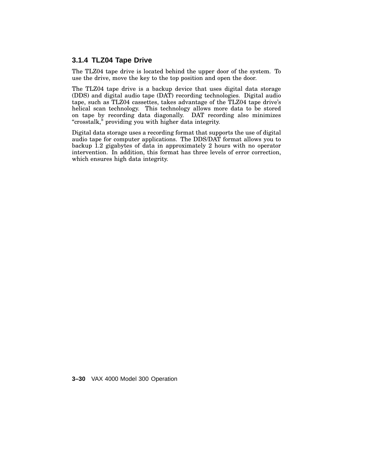### **3.1.4 TLZ04 Tape Drive**

The TLZ04 tape drive is located behind the upper door of the system. To use the drive, move the key to the top position and open the door.

The TLZ04 tape drive is a backup device that uses digital data storage (DDS) and digital audio tape (DAT) recording technologies. Digital audio tape, such as TLZ04 cassettes, takes advantage of the TLZ04 tape drive's helical scan technology. This technology allows more data to be stored on tape by recording data diagonally. DAT recording also minimizes "crosstalk," providing you with higher data integrity.

Digital data storage uses a recording format that supports the use of digital audio tape for computer applications. The DDS/DAT format allows you to backup 1.2 gigabytes of data in approximately 2 hours with no operator intervention. In addition, this format has three levels of error correction, which ensures high data integrity.

**3–30** VAX 4000 Model 300 Operation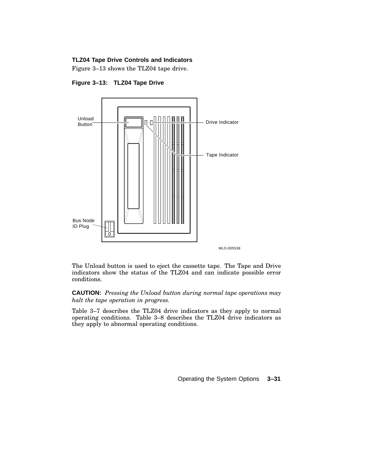#### **TLZ04 Tape Drive Controls and Indicators**

Figure 3–13 shows the TLZ04 tape drive.



**Figure 3–13: TLZ04 Tape Drive**

The Unload button is used to eject the cassette tape. The Tape and Drive indicators show the status of the TLZ04 and can indicate possible error conditions.

**CAUTION:** *Pressing the Unload button during normal tape operations may halt the tape operation in progress.*

Table 3–7 describes the TLZ04 drive indicators as they apply to normal operating conditions. Table 3–8 describes the TLZ04 drive indicators as they apply to abnormal operating conditions.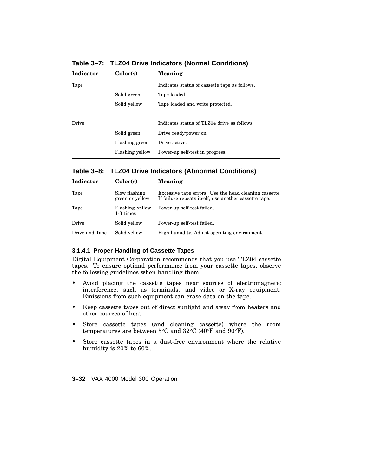| Color(s)        | <b>Meaning</b>                                |
|-----------------|-----------------------------------------------|
|                 | Indicates status of cassette tape as follows. |
| Solid green     | Tape loaded.                                  |
| Solid yellow    | Tape loaded and write protected.              |
|                 |                                               |
|                 | Indicates status of TLZ04 drive as follows.   |
| Solid green     | Drive ready/power on.                         |
| Flashing green  | Drive active.                                 |
| Flashing yellow | Power-up self-test in progress.               |
|                 |                                               |

**Table 3–7: TLZ04 Drive Indicators (Normal Conditions)**

### **Table 3–8: TLZ04 Drive Indicators (Abnormal Conditions)**

| <b>Indicator</b> | Color(s)                         | Meaning                                                                                                         |
|------------------|----------------------------------|-----------------------------------------------------------------------------------------------------------------|
| Tape             | Slow flashing<br>green or yellow | Excessive tape errors. Use the head cleaning cassette.<br>If failure repeats itself, use another cassette tape. |
| Tape             | Flashing yellow<br>1-3 times     | Power-up self-test failed.                                                                                      |
| Drive            | Solid yellow                     | Power-up self-test failed.                                                                                      |
| Drive and Tape   | Solid yellow                     | High humidity. Adjust operating environment.                                                                    |

### **3.1.4.1 Proper Handling of Cassette Tapes**

Digital Equipment Corporation recommends that you use TLZ04 cassette tapes. To ensure optimal performance from your cassette tapes, observe the following guidelines when handling them.

- Avoid placing the cassette tapes near sources of electromagnetic interference, such as terminals, and video or X-ray equipment. Emissions from such equipment can erase data on the tape.
- Keep cassette tapes out of direct sunlight and away from heaters and other sources of heat.
- Store cassette tapes (and cleaning cassette) where the room temperatures are between 5°C and 32°C (40°F and 90°F).
- Store cassette tapes in a dust-free environment where the relative humidity is 20% to 60%.

**3–32** VAX 4000 Model 300 Operation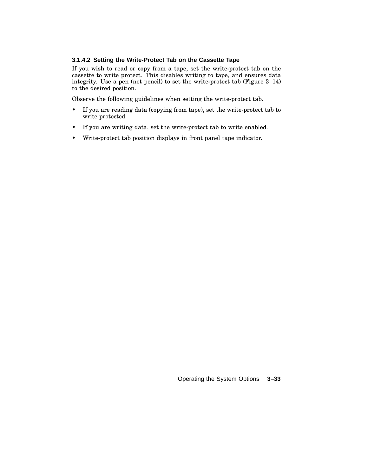### **3.1.4.2 Setting the Write-Protect Tab on the Cassette Tape**

If you wish to read or copy from a tape, set the write-protect tab on the cassette to write protect. This disables writing to tape, and ensures data integrity. Use a pen (not pencil) to set the write-protect tab (Figure 3–14) to the desired position.

Observe the following guidelines when setting the write-protect tab.

- If you are reading data (copying from tape), set the write-protect tab to write protected.
- If you are writing data, set the write-protect tab to write enabled.
- Write-protect tab position displays in front panel tape indicator.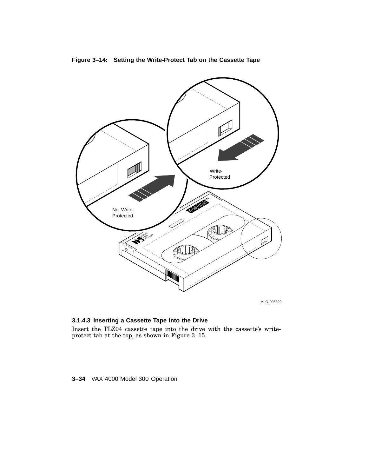

## **Figure 3–14: Setting the Write-Protect Tab on the Cassette Tape**

### **3.1.4.3 Inserting a Cassette Tape into the Drive**

Insert the TLZ04 cassette tape into the drive with the cassette's writeprotect tab at the top, as shown in Figure 3–15.

### **3–34** VAX 4000 Model 300 Operation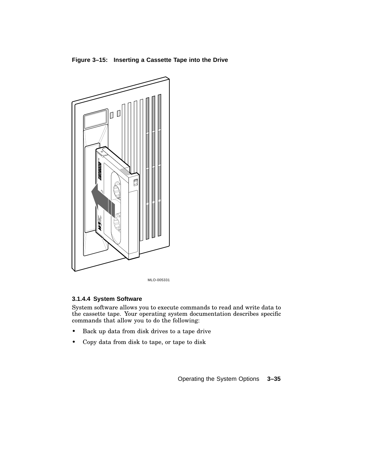**Figure 3–15: Inserting a Cassette Tape into the Drive**



MLO-005331

### **3.1.4.4 System Software**

System software allows you to execute commands to read and write data to the cassette tape. Your operating system documentation describes specific commands that allow you to do the following:

- Back up data from disk drives to a tape drive
- Copy data from disk to tape, or tape to disk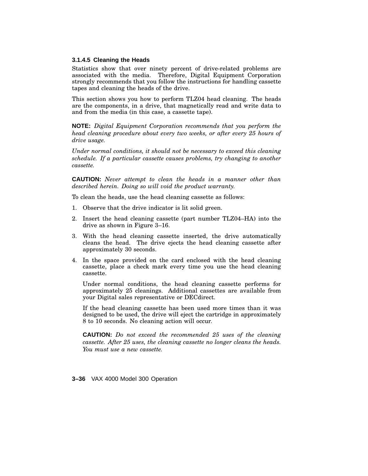### **3.1.4.5 Cleaning the Heads**

Statistics show that over ninety percent of drive-related problems are associated with the media. Therefore, Digital Equipment Corporation strongly recommends that you follow the instructions for handling cassette tapes and cleaning the heads of the drive.

This section shows you how to perform TLZ04 head cleaning. The heads are the components, in a drive, that magnetically read and write data to and from the media (in this case, a cassette tape).

**NOTE:** *Digital Equipment Corporation recommends that you perform the head cleaning procedure about every two weeks, or after every 25 hours of drive usage.*

*Under normal conditions, it should not be necessary to exceed this cleaning schedule. If a particular cassette causes problems, try changing to another cassette.*

**CAUTION:** *Never attempt to clean the heads in a manner other than described herein. Doing so will void the product warranty.*

To clean the heads, use the head cleaning cassette as follows:

- 1. Observe that the drive indicator is lit solid green.
- 2. Insert the head cleaning cassette (part number TLZ04–HA) into the drive as shown in Figure 3–16.
- 3. With the head cleaning cassette inserted, the drive automatically cleans the head. The drive ejects the head cleaning cassette after approximately 30 seconds.
- 4. In the space provided on the card enclosed with the head cleaning cassette, place a check mark every time you use the head cleaning cassette.

Under normal conditions, the head cleaning cassette performs for approximately 25 cleanings. Additional cassettes are available from your Digital sales representative or DECdirect.

If the head cleaning cassette has been used more times than it was designed to be used, the drive will eject the cartridge in approximately 8 to 10 seconds. No cleaning action will occur.

**CAUTION:** *Do not exceed the recommended 25 uses of the cleaning cassette. After 25 uses, the cleaning cassette no longer cleans the heads. You must use a new cassette.*

**3–36** VAX 4000 Model 300 Operation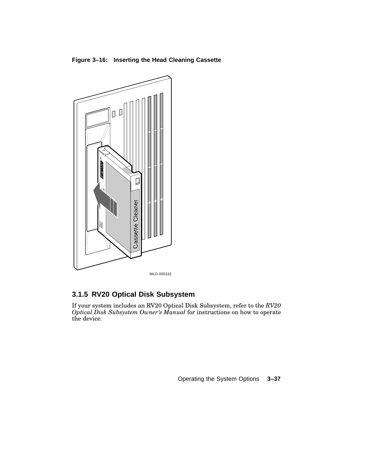**Figure 3–16: Inserting the Head Cleaning Cassette**



# **3.1.5 RV20 Optical Disk Subsystem**

If your system includes an RV20 Optical Disk Subsystem, refer to the *RV20 Optical Disk Subsystem Owner's Manual* for instructions on how to operate the device.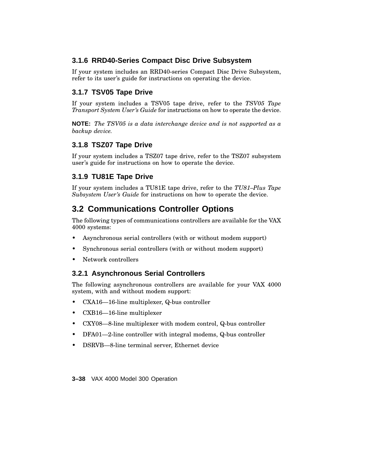## **3.1.6 RRD40-Series Compact Disc Drive Subsystem**

If your system includes an RRD40-series Compact Disc Drive Subsystem, refer to its user's guide for instructions on operating the device.

# **3.1.7 TSV05 Tape Drive**

If your system includes a TSV05 tape drive, refer to the *TSV05 Tape Transport System User's Guide* for instructions on how to operate the device.

**NOTE:** *The TSV05 is a data interchange device and is not supported as a backup device.*

# **3.1.8 TSZ07 Tape Drive**

If your system includes a TSZ07 tape drive, refer to the TSZ07 subsystem user's guide for instructions on how to operate the device.

# **3.1.9 TU81E Tape Drive**

If your system includes a TU81E tape drive, refer to the *TU81–Plus Tape Subsystem User's Guide* for instructions on how to operate the device.

# **3.2 Communications Controller Options**

The following types of communications controllers are available for the VAX 4000 systems:

- Asynchronous serial controllers (with or without modem support)
- Synchronous serial controllers (with or without modem support)
- Network controllers

# **3.2.1 Asynchronous Serial Controllers**

The following asynchronous controllers are available for your VAX 4000 system, with and without modem support:

- CXA16—16-line multiplexer, Q-bus controller
- CXB16—16-line multiplexer
- CXY08—8-line multiplexer with modem control, Q-bus controller
- DFA01—2-line controller with integral modems, Q-bus controller
- DSRVB—8-line terminal server, Ethernet device

**3–38** VAX 4000 Model 300 Operation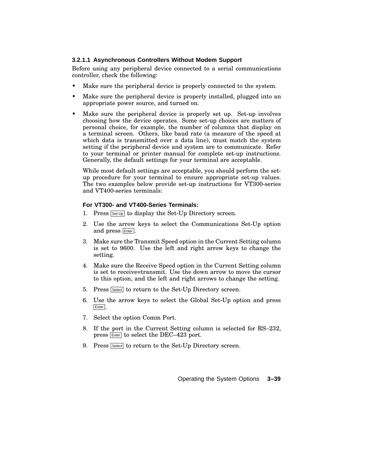### **3.2.1.1 Asynchronous Controllers Without Modem Support**

Before using any peripheral device connected to a serial communications controller, check the following:

- Make sure the peripheral device is properly connected to the system.
- Make sure the peripheral device is properly installed, plugged into an appropriate power source, and turned on.
- Make sure the peripheral device is properly set up. Set-up involves choosing how the device operates. Some set-up choices are matters of personal choice, for example, the number of columns that display on a terminal screen. Others, like baud rate (a measure of the speed at which data is transmitted over a data line), must match the system setting if the peripheral device and system are to communicate. Refer to your terminal or printer manual for complete set-up instructions. Generally, the default settings for your terminal are acceptable.

While most default settings are acceptable, you should perform the setup procedure for your terminal to ensure appropriate set-up values. The two examples below provide set-up instructions for VT300-series and VT400-series terminals:

#### **For VT300- and VT400-Series Terminals:**

- 1. Press  $\boxed{\mathsf{Set}\cup\mathsf{p}}$  to display the Set-Up Directory screen.
- 2. Use the arrow keys to select the Communications Set-Up option and press **Enter**.
- 3. Make sure the Transmit Speed option in the Current Setting column is set to 9600. Use the left and right arrow keys to change the setting.
- 4. Make sure the Receive Speed option in the Current Setting column is set to receive=transmit. Use the down arrow to move the cursor to this option, and the left and right arrows to change the setting.
- 5. Press Select to return to the Set-Up Directory screen.
- 6. Use the arrow keys to select the Global Set-Up option and press Enter.
- 7. Select the option Comm Port.
- 8. If the port in the Current Setting column is selected for RS–232, press Enter to select the DEC-423 port.
- 9. Press Select to return to the Set-Up Directory screen.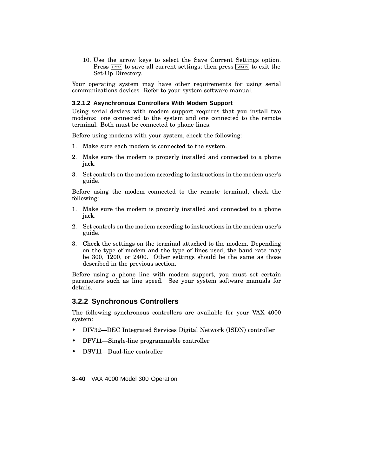10. Use the arrow keys to select the Save Current Settings option. Press  $\boxed{\text{Enter}}$  to save all current settings; then press  $\boxed{\text{Set-Up}}$  to exit the Set-Up Directory.

Your operating system may have other requirements for using serial communications devices. Refer to your system software manual.

#### **3.2.1.2 Asynchronous Controllers With Modem Support**

Using serial devices with modem support requires that you install two modems: one connected to the system and one connected to the remote terminal. Both must be connected to phone lines.

Before using modems with your system, check the following:

- 1. Make sure each modem is connected to the system.
- 2. Make sure the modem is properly installed and connected to a phone jack.
- 3. Set controls on the modem according to instructions in the modem user's guide.

Before using the modem connected to the remote terminal, check the following:

- 1. Make sure the modem is properly installed and connected to a phone jack.
- 2. Set controls on the modem according to instructions in the modem user's guide.
- 3. Check the settings on the terminal attached to the modem. Depending on the type of modem and the type of lines used, the baud rate may be 300, 1200, or 2400. Other settings should be the same as those described in the previous section.

Before using a phone line with modem support, you must set certain parameters such as line speed. See your system software manuals for details.

### **3.2.2 Synchronous Controllers**

The following synchronous controllers are available for your VAX 4000 system:

- DIV32—DEC Integrated Services Digital Network (ISDN) controller
- DPV11—Single-line programmable controller
- DSV11—Dual-line controller

**3–40** VAX 4000 Model 300 Operation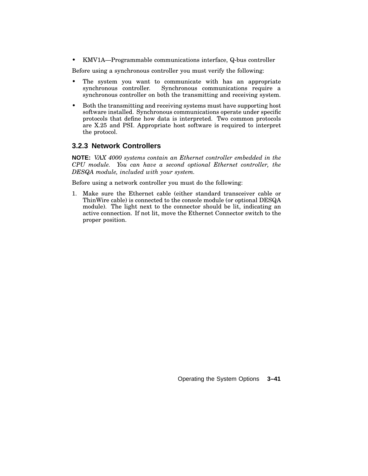• KMV1A—Programmable communications interface, Q-bus controller

Before using a synchronous controller you must verify the following:

- The system you want to communicate with has an appropriate synchronous controller. Synchronous communications require a Synchronous communications require a synchronous controller on both the transmitting and receiving system.
- Both the transmitting and receiving systems must have supporting host software installed. Synchronous communications operate under specific protocols that define how data is interpreted. Two common protocols are X.25 and PSI. Appropriate host software is required to interpret the protocol.

### **3.2.3 Network Controllers**

**NOTE:** *VAX 4000 systems contain an Ethernet controller embedded in the CPU module. You can have a second optional Ethernet controller, the DESQA module, included with your system.*

Before using a network controller you must do the following:

1. Make sure the Ethernet cable (either standard transceiver cable or ThinWire cable) is connected to the console module (or optional DESQA module). The light next to the connector should be lit, indicating an active connection. If not lit, move the Ethernet Connector switch to the proper position.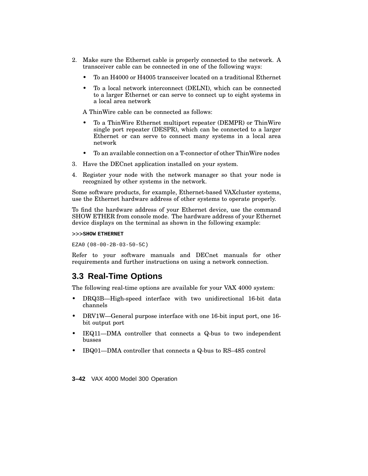- 2. Make sure the Ethernet cable is properly connected to the network. A transceiver cable can be connected in one of the following ways:
	- To an H4000 or H4005 transceiver located on a traditional Ethernet
	- To a local network interconnect (DELNI), which can be connected to a larger Ethernet or can serve to connect up to eight systems in a local area network

A ThinWire cable can be connected as follows:

- To a ThinWire Ethernet multiport repeater (DEMPR) or ThinWire single port repeater (DESPR), which can be connected to a larger Ethernet or can serve to connect many systems in a local area network
- To an available connection on a T-connector of other ThinWire nodes
- 3. Have the DECnet application installed on your system.
- 4. Register your node with the network manager so that your node is recognized by other systems in the network.

Some software products, for example, Ethernet-based VAXcluster systems, use the Ethernet hardware address of other systems to operate properly.

To find the hardware address of your Ethernet device, use the command SHOW ETHER from console mode. The hardware address of your Ethernet device displays on the terminal as shown in the following example:

>>>**SHOW ETHERNET**

EZA0 (08-00-2B-03-50-5C)

Refer to your software manuals and DECnet manuals for other requirements and further instructions on using a network connection.

# **3.3 Real-Time Options**

The following real-time options are available for your VAX 4000 system:

- DRQ3B—High-speed interface with two unidirectional 16-bit data channels
- DRV1W—General purpose interface with one 16-bit input port, one 16 bit output port
- IEQ11—DMA controller that connects a Q-bus to two independent busses
- IBQ01—DMA controller that connects a Q-bus to RS–485 control

**3–42** VAX 4000 Model 300 Operation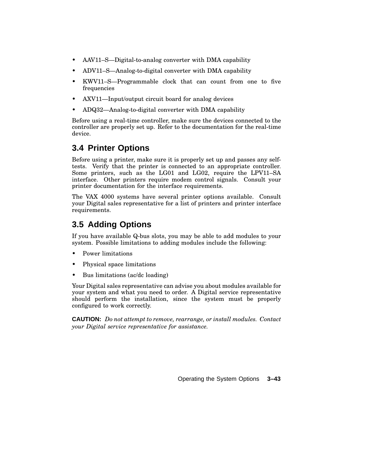- AAV11–S—Digital-to-analog converter with DMA capability
- ADV11–S—Analog-to-digital converter with DMA capability
- KWV11–S—Programmable clock that can count from one to five frequencies
- AXV11—Input/output circuit board for analog devices
- ADQ32—Analog-to-digital converter with DMA capability

Before using a real-time controller, make sure the devices connected to the controller are properly set up. Refer to the documentation for the real-time device.

# **3.4 Printer Options**

Before using a printer, make sure it is properly set up and passes any selftests. Verify that the printer is connected to an appropriate controller. Some printers, such as the LG01 and LG02, require the LPV11–SA interface. Other printers require modem control signals. Consult your printer documentation for the interface requirements.

The VAX 4000 systems have several printer options available. Consult your Digital sales representative for a list of printers and printer interface requirements.

# **3.5 Adding Options**

If you have available Q-bus slots, you may be able to add modules to your system. Possible limitations to adding modules include the following:

- Power limitations
- Physical space limitations
- Bus limitations (ac/dc loading)

Your Digital sales representative can advise you about modules available for your system and what you need to order. A Digital service representative should perform the installation, since the system must be properly configured to work correctly.

**CAUTION:** *Do not attempt to remove, rearrange, or install modules. Contact your Digital service representative for assistance.*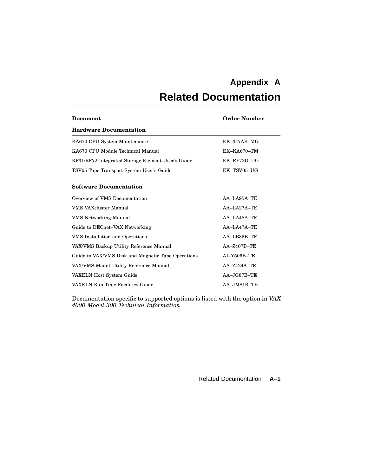# **Appendix A**

# **Related Documentation**

| <b>Document</b>                                    | <b>Order Number</b> |  |  |
|----------------------------------------------------|---------------------|--|--|
| <b>Hardware Documentation</b>                      |                     |  |  |
| KA670 CPU System Maintenance                       | $EK-347AB-MG$       |  |  |
| KA670 CPU Module Technical Manual                  | $EK-KA670-TM$       |  |  |
| RF31/RF72 Integrated Storage Element User's Guide  | EK-RF72D-UG         |  |  |
| TSV05 Tape Transport System User's Guide           | EK-TSV05-UG         |  |  |
| <b>Software Documentation</b>                      |                     |  |  |
| Overview of VMS Documentation                      | $AA$ -LA95A-TE      |  |  |
| <b>VMS VAXcluster Manual</b>                       | $AA-LA27A-TE$       |  |  |
| <b>VMS</b> Networking Manual                       | $AA-LA48A-TE$       |  |  |
| Guide to DECnet-VAX Networking                     | $AA-I.A47A-TE$      |  |  |
| VMS Installation and Operations                    | $AA-LB35B-TE$       |  |  |
| VAX/VMS Backup Utility Reference Manual            | $AA - Z407B - TE$   |  |  |
| Guide to VAX/VMS Disk and Magnetic Tape Operations | $AI-Y506B-TE$       |  |  |
| VAX/VMS Mount Utility Reference Manual             | $AA - Z424A - TE$   |  |  |
| VAXELN Host System Guide                           | $AA - JG87B - TE$   |  |  |
| VAXELN Run-Time Facilities Guide                   | AA-JM81B-TE         |  |  |

Documentation specific to supported options is listed with the option in *VAX 4000 Model 300 Technical Information*.

Related Documentation **A–1**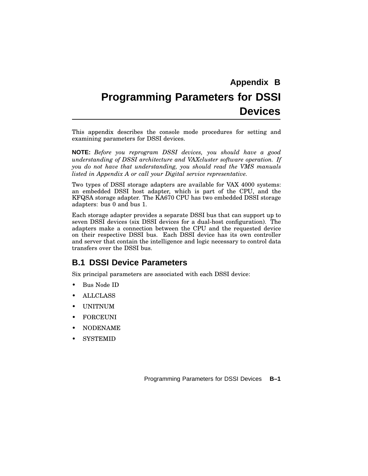# **Appendix B Programming Parameters for DSSI Devices**

This appendix describes the console mode procedures for setting and examining parameters for DSSI devices.

**NOTE:** *Before you reprogram DSSI devices, you should have a good understanding of DSSI architecture and VAXcluster software operation. If you do not have that understanding, you should read the VMS manuals listed in Appendix A or call your Digital service representative.*

Two types of DSSI storage adapters are available for VAX 4000 systems: an embedded DSSI host adapter, which is part of the CPU, and the KFQSA storage adapter. The KA670 CPU has two embedded DSSI storage adapters: bus 0 and bus 1.

Each storage adapter provides a separate DSSI bus that can support up to seven DSSI devices (six DSSI devices for a dual-host configuration). The adapters make a connection between the CPU and the requested device on their respective DSSI bus. Each DSSI device has its own controller and server that contain the intelligence and logic necessary to control data transfers over the DSSI bus.

# **B.1 DSSI Device Parameters**

Six principal parameters are associated with each DSSI device:

- Bus Node ID
- ALLCLASS
- UNITNUM
- **FORCEUNI**
- NODENAME
- **SYSTEMID**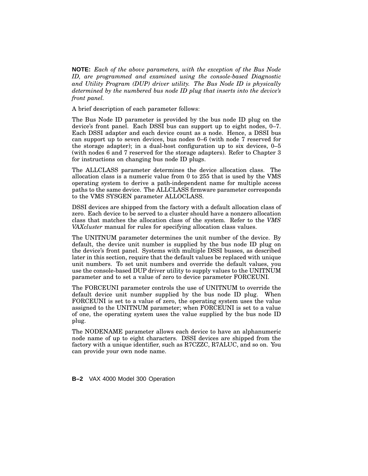**NOTE:** *Each of the above parameters, with the exception of the Bus Node ID, are programmed and examined using the console-based Diagnostic and Utility Program (DUP) driver utility. The Bus Node ID is physically determined by the numbered bus node ID plug that inserts into the device's front panel.*

A brief description of each parameter follows:

The Bus Node ID parameter is provided by the bus node ID plug on the device's front panel. Each DSSI bus can support up to eight nodes, 0–7. Each DSSI adapter and each device count as a node. Hence, a DSSI bus can support up to seven devices, bus nodes 0–6 (with node 7 reserved for the storage adapter); in a dual-host configuration up to six devices, 0–5 (with nodes 6 and 7 reserved for the storage adapters). Refer to Chapter 3 for instructions on changing bus node ID plugs.

The ALLCLASS parameter determines the device allocation class. The allocation class is a numeric value from 0 to 255 that is used by the VMS operating system to derive a path-independent name for multiple access paths to the same device. The ALLCLASS firmware parameter corresponds to the VMS SYSGEN parameter ALLOCLASS.

DSSI devices are shipped from the factory with a default allocation class of zero. Each device to be served to a cluster should have a nonzero allocation class that matches the allocation class of the system. Refer to the *VMS VAXcluster* manual for rules for specifying allocation class values.

The UNITNUM parameter determines the unit number of the device. By default, the device unit number is supplied by the bus node ID plug on the device's front panel. Systems with multiple DSSI busses, as described later in this section, require that the default values be replaced with unique unit numbers. To set unit numbers and override the default values, you use the console-based DUP driver utility to supply values to the UNITNUM parameter and to set a value of zero to device parameter FORCEUNI.

The FORCEUNI parameter controls the use of UNITNUM to override the default device unit number supplied by the bus node ID plug. When FORCEUNI is set to a value of zero, the operating system uses the value assigned to the UNITNUM parameter; when FORCEUNI is set to a value of one, the operating system uses the value supplied by the bus node ID plug.

The NODENAME parameter allows each device to have an alphanumeric node name of up to eight characters. DSSI devices are shipped from the factory with a unique identifier, such as R7CZZC, R7ALUC, and so on. You can provide your own node name.

**B–2** VAX 4000 Model 300 Operation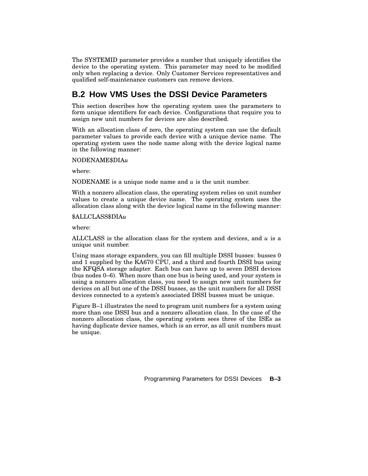The SYSTEMID parameter provides a number that uniquely identifies the device to the operating system. This parameter may need to be modified only when replacing a device. Only Customer Services representatives and qualified self-maintenance customers can remove devices.

# **B.2 How VMS Uses the DSSI Device Parameters**

This section describes how the operating system uses the parameters to form unique identifiers for each device. Configurations that require you to assign new unit numbers for devices are also described.

With an allocation class of zero, the operating system can use the default parameter values to provide each device with a unique device name. The operating system uses the node name along with the device logical name in the following manner:

### NODENAME\$DIA*u*

where:

NODENAME is a unique node name and *u* is the unit number.

With a nonzero allocation class, the operating system relies on unit number values to create a unique device name. The operating system uses the allocation class along with the device logical name in the following manner:

### \$ALLCLASS\$DIA*u*

where:

ALLCLASS is the allocation class for the system and devices, and *u* is a unique unit number.

Using mass storage expanders, you can fill multiple DSSI busses: busses 0 and 1 supplied by the KA670 CPU, and a third and fourth DSSI bus using the KFQSA storage adapter. Each bus can have up to seven DSSI devices (bus nodes 0–6). When more than one bus is being used, and your system is using a nonzero allocation class, you need to assign new unit numbers for devices on all but one of the DSSI busses, as the unit numbers for all DSSI devices connected to a system's associated DSSI busses must be unique.

Figure B–1 illustrates the need to program unit numbers for a system using more than one DSSI bus and a nonzero allocation class. In the case of the nonzero allocation class, the operating system sees three of the ISEs as having duplicate device names, which is an error, as all unit numbers must be unique.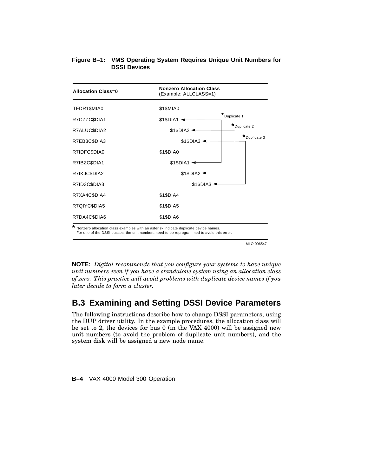### **Figure B–1: VMS Operating System Requires Unique Unit Numbers for DSSI Devices**



MLO-006547

**NOTE:** *Digital recommends that you configure your systems to have unique unit numbers even if you have a standalone system using an allocation class of zero. This practice will avoid problems with duplicate device names if you later decide to form a cluster.*

# **B.3 Examining and Setting DSSI Device Parameters**

The following instructions describe how to change DSSI parameters, using the DUP driver utility. In the example procedures, the allocation class will be set to 2, the devices for bus 0 (in the VAX 4000) will be assigned new unit numbers (to avoid the problem of duplicate unit numbers), and the system disk will be assigned a new node name.

**B–4** VAX 4000 Model 300 Operation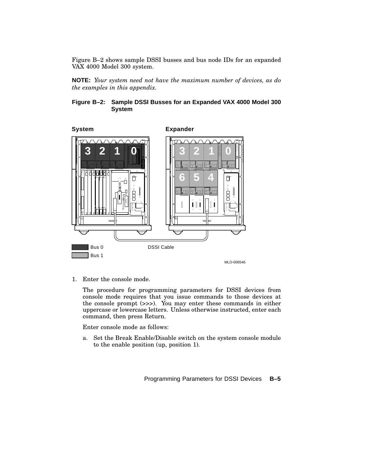Figure B–2 shows sample DSSI busses and bus node IDs for an expanded VAX 4000 Model 300 system.

**NOTE:** *Your system need not have the maximum number of devices, as do the examples in this appendix.*

### **Figure B–2: Sample DSSI Busses for an Expanded VAX 4000 Model 300 System**



1. Enter the console mode.

The procedure for programming parameters for DSSI devices from console mode requires that you issue commands to those devices at the console prompt (>>>). You may enter these commands in either uppercase or lowercase letters. Unless otherwise instructed, enter each command, then press Return.

Enter console mode as follows:

a. Set the Break Enable/Disable switch on the system console module to the enable position (up, position 1).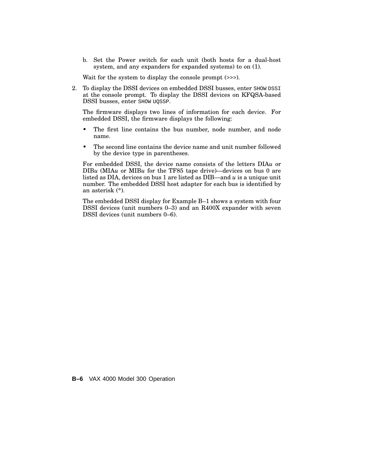b. Set the Power switch for each unit (both hosts for a dual-host system, and any expanders for expanded systems) to on (1).

Wait for the system to display the console prompt (>>>).

2. To display the DSSI devices on embedded DSSI busses, enter SHOW DSSI at the console prompt. To display the DSSI devices on KFQSA-based DSSI busses, enter SHOW UQSSP.

The firmware displays two lines of information for each device. For embedded DSSI, the firmware displays the following:

- The first line contains the bus number, node number, and node name.
- The second line contains the device name and unit number followed by the device type in parentheses.

For embedded DSSI, the device name consists of the letters DIA*u* or DIB*u* (MIA*u* or MIB*u* for the TF85 tape drive)—devices on bus 0 are listed as DIA, devices on bus 1 are listed as DIB—and *u* is a unique unit number. The embedded DSSI host adapter for each bus is identified by an asterisk (\*).

The embedded DSSI display for Example B–1 shows a system with four DSSI devices (unit numbers 0–3) and an R400X expander with seven DSSI devices (unit numbers 0–6).

**B–6** VAX 4000 Model 300 Operation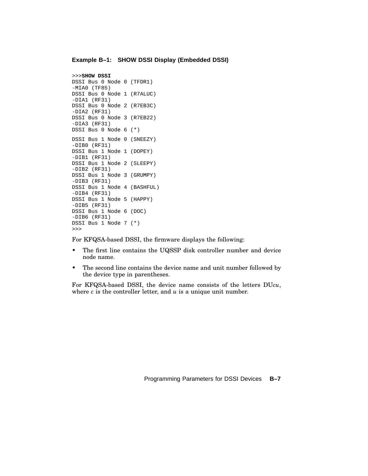#### **Example B–1: SHOW DSSI Display (Embedded DSSI)**

```
>>>SHOW DSSI
DSSI Bus 0 Node 0 (TFDR1)
-MIA0 (TF85)
DSSI Bus 0 Node 1 (R7ALUC)
-DIA1 (RF31)
DSSI Bus 0 Node 2 (R7EB3C)
-DIA2 (RF31)
DSSI Bus 0 Node 3 (R7EB22)
-DIA3 (RF31)
DSSI Bus 0 Node 6 (*)
DSSI Bus 1 Node 0 (SNEEZY)
-DIB0 (RF31)
DSSI Bus 1 Node 1 (DOPEY)
-DIB1 (RF31)
DSSI Bus 1 Node 2 (SLEEPY)
-DIB2 (RF31)
DSSI Bus 1 Node 3 (GRUMPY)
-DIB3 (RF31)
DSSI Bus 1 Node 4 (BASHFUL)
-DIB4 (RF31)
DSSI Bus 1 Node 5 (HAPPY)
-DIB5 (RF31)
DSSI Bus 1 Node 6 (DOC)
-DIB6 (RF31)
DSSI Bus 1 Node 7 (*)
>>>
```
For KFQSA-based DSSI, the firmware displays the following:

- The first line contains the UQSSP disk controller number and device node name.
- The second line contains the device name and unit number followed by the device type in parentheses.

For KFQSA-based DSSI, the device name consists of the letters DU*cu*, where *c* is the controller letter, and *u* is a unique unit number.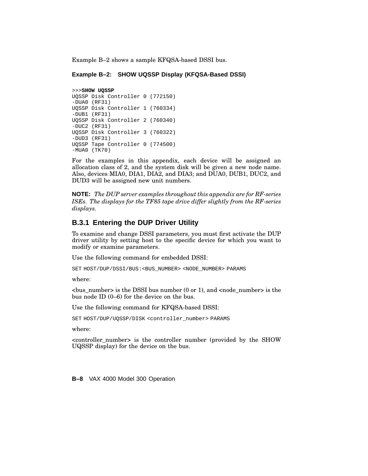Example B–2 shows a sample KFQSA-based DSSI bus.

#### **Example B–2: SHOW UQSSP Display (KFQSA-Based DSSI)**

#### >>>**SHOW UQSSP**

```
UQSSP Disk Controller 0 (772150)
-DUA0 (RF31)
UQSSP Disk Controller 1 (760334)
-DUB1 (RF31)
UQSSP Disk Controller 2 (760340)
-DUC2 (RF31)
UQSSP Disk Controller 3 (760322)
-DUD3 (RF31)
UQSSP Tape Controller 0 (774500)
-MUA0 (TK70)
```
For the examples in this appendix, each device will be assigned an allocation class of 2, and the system disk will be given a new node name. Also, devices MIA0, DIA1, DIA2, and DIA3; and DUA0, DUB1, DUC2, and DUD3 will be assigned new unit numbers.

**NOTE:** *The DUP server examples throughout this appendix are for RF-series ISEs. The displays for the TF85 tape drive differ slightly from the RF-series displays.*

### **B.3.1 Entering the DUP Driver Utility**

To examine and change DSSI parameters, you must first activate the DUP driver utility by setting host to the specific device for which you want to modify or examine parameters.

Use the following command for embedded DSSI:

SET HOST/DUP/DSSI/BUS:<BUS\_NUMBER> <NODE\_NUMBER> PARAMS

where:

 $\langle$ bus number> is the DSSI bus number (0 or 1), and  $\langle$  node number> is the bus node ID (0–6) for the device on the bus.

Use the following command for KFQSA-based DSSI:

SET HOST/DUP/UOSSP/DISK <controller\_number> PARAMS

where:

<controller\_number> is the controller number (provided by the SHOW UQSSP display) for the device on the bus.

**B–8** VAX 4000 Model 300 Operation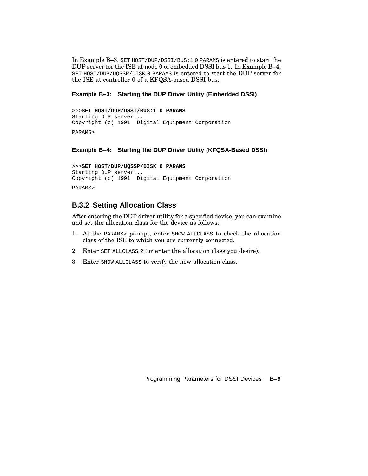In Example B–3, SET HOST/DUP/DSSI/BUS:1 0 PARAMS is entered to start the DUP server for the ISE at node 0 of embedded DSSI bus 1. In Example B–4, SET HOST/DUP/UQSSP/DISK 0 PARAMS is entered to start the DUP server for the ISE at controller 0 of a KFQSA-based DSSI bus.

### **Example B–3: Starting the DUP Driver Utility (Embedded DSSI)**

```
>>>SET HOST/DUP/DSSI/BUS:1 0 PARAMS
Starting DUP server...
Copyright (c) 1991 Digital Equipment Corporation
PARAMS>
```
### **Example B–4: Starting the DUP Driver Utility (KFQSA-Based DSSI)**

```
>>>SET HOST/DUP/UQSSP/DISK 0 PARAMS
Starting DUP server...
Copyright (c) 1991 Digital Equipment Corporation
PARAMS>
```
## **B.3.2 Setting Allocation Class**

After entering the DUP driver utility for a specified device, you can examine and set the allocation class for the device as follows:

- 1. At the PARAMS> prompt, enter SHOW ALLCLASS to check the allocation class of the ISE to which you are currently connected.
- 2. Enter SET ALLCLASS 2 (or enter the allocation class you desire).
- 3. Enter SHOW ALLCLASS to verify the new allocation class.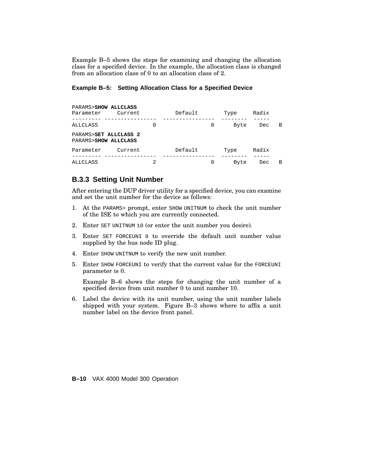Example B–5 shows the steps for examining and changing the allocation class for a specified device. In the example, the allocation class is changed from an allocation class of 0 to an allocation class of 2.

### **Example B–5: Setting Allocation Class for a Specified Device**

| PARAMS>SHOW ALLCLASS<br>Parameter             | Current |   | Default |   | Type | Radix |   |
|-----------------------------------------------|---------|---|---------|---|------|-------|---|
| ALLCLASS                                      |         | 0 |         | 0 | Byte | Dec   | B |
| PARAMS>SET ALLCLASS 2<br>PARAMS>SHOW ALLCLASS |         |   |         |   |      |       |   |
| Parameter                                     | Current |   | Default |   | Type | Radix |   |
| ALLCLASS                                      |         | 2 |         | 0 | Byte | Dec   | B |

## **B.3.3 Setting Unit Number**

After entering the DUP driver utility for a specified device, you can examine and set the unit number for the device as follows:

- 1. At the PARAMS> prompt, enter SHOW UNITNUM to check the unit number of the ISE to which you are currently connected.
- 2. Enter SET UNITNUM 10 (or enter the unit number you desire).
- 3. Enter SET FORCEUNI 0 to override the default unit number value supplied by the bus node ID plug.
- 4. Enter SHOW UNITNUM to verify the new unit number.
- 5. Enter SHOW FORCEUNI to verify that the current value for the FORCEUNI parameter is 0.

Example B–6 shows the steps for changing the unit number of a specified device from unit number 0 to unit number 10.

6. Label the device with its unit number, using the unit number labels shipped with your system. Figure B–3 shows where to affix a unit number label on the device front panel.

**B–10** VAX 4000 Model 300 Operation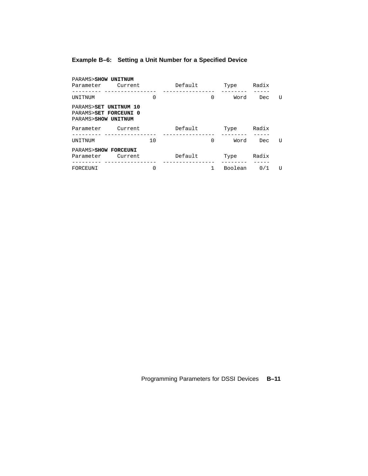# **Example B–6: Setting a Unit Number for a Specified Device**

| PARAMS>SHOW UNITNUM<br>Parameter Current                              |          | Default |          | Type    | Radix |   |
|-----------------------------------------------------------------------|----------|---------|----------|---------|-------|---|
| UNITNUM                                                               | 0        |         | $\Omega$ | Word    | Dec.  | U |
| PARAMS>SET UNITNUM 10<br>PARAMS>SET FORCEUNI 0<br>PARAMS>SHOW UNITNUM |          |         |          |         |       |   |
| Parameter Current                                                     |          | Default |          | Type    | Radix |   |
| UNITNUM                                                               | 10       |         | $\Omega$ | Word    | Dec.  | U |
| PARAMS>SHOW FORCEUNI<br>Parameter Current                             |          | Default |          | Type    | Radix |   |
| FORCEUNI                                                              | $\Omega$ |         |          | Boolean | 0/1   | U |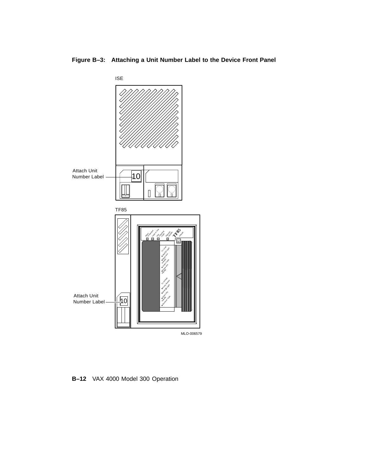ISE Attach Unit Number Label  $-10$  $\overline{\mathsf{I}}$ 0 TF85 Tape in Use  $\mathbb{C}^3$ P<sub>rotected</sub> Cleaning Operate ge Julas Write Use To Load Light Water Open this **Handle** Insert Tape Close this Handle To Union o Vine Button Light Wait Open this Attach Unit Remove Tape Handle Number Label  $-$  11 MLO-006579

**Figure B–3: Attaching a Unit Number Label to the Device Front Panel**

**B–12** VAX 4000 Model 300 Operation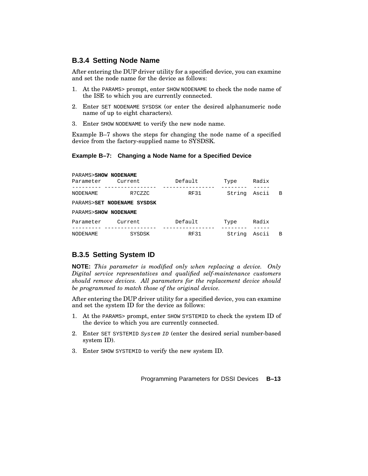### **B.3.4 Setting Node Name**

After entering the DUP driver utility for a specified device, you can examine and set the node name for the device as follows:

- 1. At the PARAMS> prompt, enter SHOW NODENAME to check the node name of the ISE to which you are currently connected.
- 2. Enter SET NODENAME SYSDSK (or enter the desired alphanumeric node name of up to eight characters).
- 3. Enter SHOW NODENAME to verify the new node name.

Example B–7 shows the steps for changing the node name of a specified device from the factory-supplied name to SYSDSK.

### **Example B–7: Changing a Node Name for a Specified Device**

| PARAMS>SHOW NODENAME<br>Parameter | Current                    | Default     | Type   | Radix |   |
|-----------------------------------|----------------------------|-------------|--------|-------|---|
| NODENAME                          | R7CZZC                     | <b>RF31</b> | String | Ascii | B |
|                                   | PARAMS>SET NODENAME SYSDSK |             |        |       |   |
| PARAMS>SHOW NODENAME              |                            |             |        |       |   |
| Parameter                         | Current                    | Default     | Type   | Radix |   |
| <b>NODENAME</b>                   | SYSDSK                     | <b>RF31</b> | String | Ascii | B |

### **B.3.5 Setting System ID**

**NOTE:** *This parameter is modified only when replacing a device. Only Digital service representatives and qualified self-maintenance customers should remove devices. All parameters for the replacement device should be programmed to match those of the original device.*

After entering the DUP driver utility for a specified device, you can examine and set the system ID for the device as follows:

- 1. At the PARAMS> prompt, enter SHOW SYSTEMID to check the system ID of the device to which you are currently connected.
- 2. Enter SET SYSTEMID System ID (enter the desired serial number-based system ID).
- 3. Enter SHOW SYSTEMID to verify the new system ID.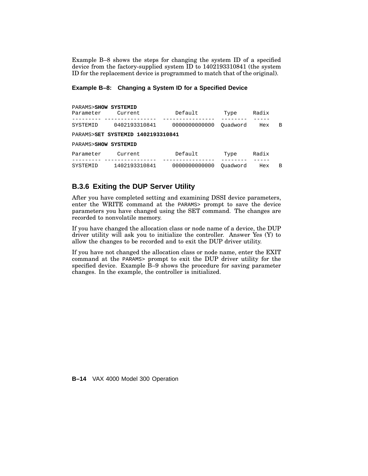Example B–8 shows the steps for changing the system ID of a specified device from the factory-supplied system ID to 1402193310841 (the system ID for the replacement device is programmed to match that of the original).

# **Example B–8: Changing a System ID for a Specified Device**

| PARAMS>SHOW SYSTEMID |                                   |               |          |       |   |
|----------------------|-----------------------------------|---------------|----------|-------|---|
| Parameter            | Current                           | Default       | Type     | Radix |   |
| SYSTEMID             | 0402193310841                     | 0000000000000 | Ouadword | Hex   | B |
|                      | PARAMS>SET SYSTEMID 1402193310841 |               |          |       |   |
| PARAMS>SHOW SYSTEMID |                                   |               |          |       |   |
| Parameter            | Current                           | Default       | Type     | Radix |   |
| SYSTEMID             | 1402193310841                     | 0000000000000 | Ouadword | Hex   | B |

# **B.3.6 Exiting the DUP Server Utility**

After you have completed setting and examining DSSI device parameters, enter the WRITE command at the PARAMS> prompt to save the device parameters you have changed using the SET command. The changes are recorded to nonvolatile memory.

If you have changed the allocation class or node name of a device, the DUP driver utility will ask you to initialize the controller. Answer Yes (Y) to allow the changes to be recorded and to exit the DUP driver utility.

If you have not changed the allocation class or node name, enter the EXIT command at the PARAMS> prompt to exit the DUP driver utility for the specified device. Example B–9 shows the procedure for saving parameter changes. In the example, the controller is initialized.

**B–14** VAX 4000 Model 300 Operation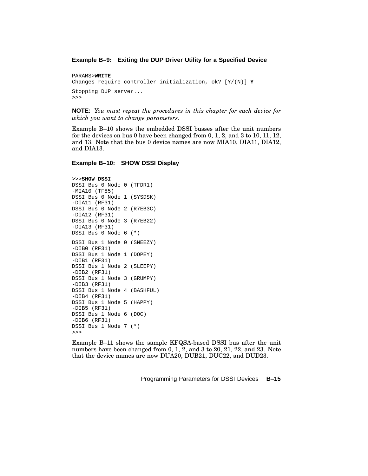#### **Example B–9: Exiting the DUP Driver Utility for a Specified Device**

```
PARAMS>WRITE
Changes require controller initialization, ok? [Y/(N)] Y
Stopping DUP server...
>>>
```
**NOTE:** *You must repeat the procedures in this chapter for each device for which you want to change parameters.*

Example B–10 shows the embedded DSSI busses after the unit numbers for the devices on bus 0 have been changed from 0, 1, 2, and 3 to 10, 11, 12, and 13. Note that the bus 0 device names are now MIA10, DIA11, DIA12, and DIA13.

#### **Example B–10: SHOW DSSI Display**

```
>>>SHOW DSSI
DSSI Bus 0 Node 0 (TFDR1)
-MIA10 (TF85)
DSSI Bus 0 Node 1 (SYSDSK)
-DIA11 (RF31)
DSSI Bus 0 Node 2 (R7EB3C)
-DIA12 (RF31)
DSSI Bus 0 Node 3 (R7EB22)
-DIA13 (RF31)
DSSI Bus 0 Node 6 (*)
DSSI Bus 1 Node 0 (SNEEZY)
-DIB0 (RF31)
DSSI Bus 1 Node 1 (DOPEY)
-DIB1 (RF31)
DSSI Bus 1 Node 2 (SLEEPY)
-DIB2 (RF31)
DSSI Bus 1 Node 3 (GRUMPY)
-DIB3 (RF31)
DSSI Bus 1 Node 4 (BASHFUL)
-DIB4 (RF31)
DSSI Bus 1 Node 5 (HAPPY)
-DIB5 (RF31)
DSSI Bus 1 Node 6 (DOC)
-DIB6 (RF31)
DSSI Bus 1 Node 7 (*)
>>>
```
Example B–11 shows the sample KFQSA-based DSSI bus after the unit numbers have been changed from 0, 1, 2, and 3 to 20, 21, 22, and 23. Note that the device names are now DUA20, DUB21, DUC22, and DUD23.

Programming Parameters for DSSI Devices **B–15**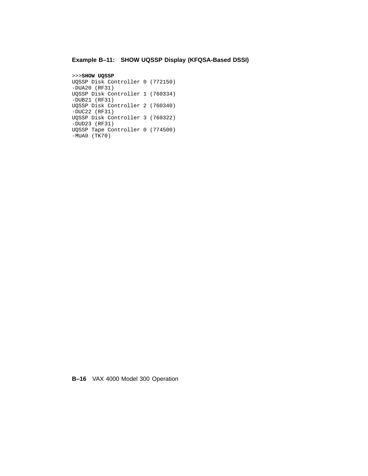# **Example B–11: SHOW UQSSP Display (KFQSA-Based DSSI)**

```
>>>SHOW UQSSP
UQSSP Disk Controller 0 (772150)
-DUA20 (RF31)
UQSSP Disk Controller 1 (760334)
-DUB21 (RF31)
UQSSP Disk Controller 2 (760340)
-DUC22 (RF31)
UQSSP Disk Controller 3 (760322)
-DUD23 (RF31)
UQSSP Tape Controller 0 (774500)
-MUAO (TK70)
```
**B–16** VAX 4000 Model 300 Operation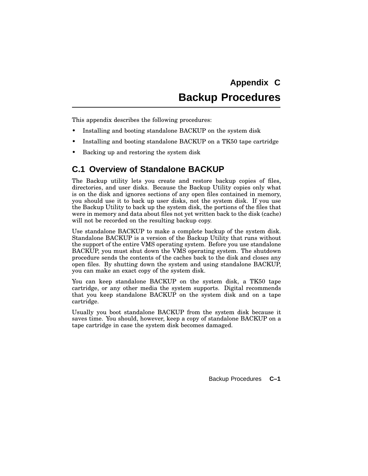# **Appendix C Backup Procedures**

This appendix describes the following procedures:

- Installing and booting standalone BACKUP on the system disk
- Installing and booting standalone BACKUP on a TK50 tape cartridge
- Backing up and restoring the system disk

# **C.1 Overview of Standalone BACKUP**

The Backup utility lets you create and restore backup copies of files, directories, and user disks. Because the Backup Utility copies only what is on the disk and ignores sections of any open files contained in memory, you should use it to back up user disks, not the system disk. If you use the Backup Utility to back up the system disk, the portions of the files that were in memory and data about files not yet written back to the disk (cache) will not be recorded on the resulting backup copy.

Use standalone BACKUP to make a complete backup of the system disk. Standalone BACKUP is a version of the Backup Utility that runs without the support of the entire VMS operating system. Before you use standalone BACKUP, you must shut down the VMS operating system. The shutdown procedure sends the contents of the caches back to the disk and closes any open files. By shutting down the system and using standalone BACKUP, you can make an exact copy of the system disk.

You can keep standalone BACKUP on the system disk, a TK50 tape cartridge, or any other media the system supports. Digital recommends that you keep standalone BACKUP on the system disk and on a tape cartridge.

Usually you boot standalone BACKUP from the system disk because it saves time. You should, however, keep a copy of standalone BACKUP on a tape cartridge in case the system disk becomes damaged.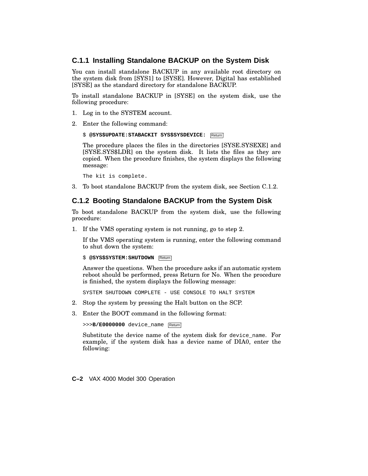# **C.1.1 Installing Standalone BACKUP on the System Disk**

You can install standalone BACKUP in any available root directory on the system disk from [SYS1] to [SYSE]. However, Digital has established [SYSE] as the standard directory for standalone BACKUP.

To install standalone BACKUP in [SYSE] on the system disk, use the following procedure:

- 1. Log in to the SYSTEM account.
- 2. Enter the following command:

```
$ @SYS$UPDATE:STABACKIT SYS$SYSDEVICE: Return
```
The procedure places the files in the directories [SYSE.SYSEXE] and [SYSE.SYS\$LDR] on the system disk. It lists the files as they are copied. When the procedure finishes, the system displays the following message:

The kit is complete.

3. To boot standalone BACKUP from the system disk, see Section C.1.2.

# **C.1.2 Booting Standalone BACKUP from the System Disk**

To boot standalone BACKUP from the system disk, use the following procedure:

1. If the VMS operating system is not running, go to step 2.

If the VMS operating system is running, enter the following command to shut down the system:

```
$ @SYS$SYSTEM: SHUTDOWN Return
```
Answer the questions. When the procedure asks if an automatic system reboot should be performed, press Return for No. When the procedure is finished, the system displays the following message:

SYSTEM SHUTDOWN COMPLETE - USE CONSOLE TO HALT SYSTEM

- 2. Stop the system by pressing the Halt button on the SCP.
- 3. Enter the BOOT command in the following format:

>>>**B/E0000000** device\_name Return

Substitute the device name of the system disk for device\_name. For example, if the system disk has a device name of DIA0, enter the following:

**C–2** VAX 4000 Model 300 Operation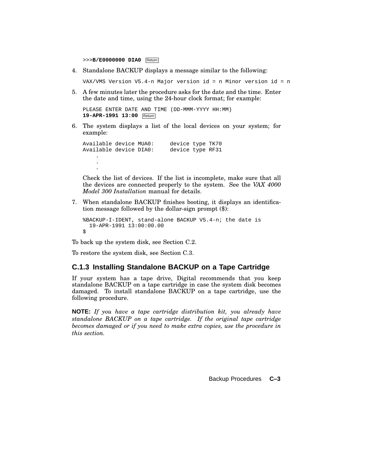>>>**B/E0000000 DIA0** Return

4. Standalone BACKUP displays a message similar to the following:

VAX/VMS Version V5.4-n Major version id = n Minor version id = n

5. A few minutes later the procedure asks for the date and the time. Enter the date and time, using the 24-hour clock format; for example:

```
PLEASE ENTER DATE AND TIME (DD-MMM-YYYY HH:MM)
19-APR-1991 13:00 Return
```
6. The system displays a list of the local devices on your system; for example:

```
Available device MUA0: device type TK70
Available device DIA0: device type RF31
    .
    .
    .
```
Check the list of devices. If the list is incomplete, make sure that all the devices are connected properly to the system. See the *VAX 4000 Model 300 Installation* manual for details.

7. When standalone BACKUP finishes booting, it displays an identification message followed by the dollar-sign prompt (\$):

```
%BACKUP-I-IDENT, stand-alone BACKUP V5.4-n; the date is
  19-APR-1991 13:00:00.00
\dot{\mathsf{S}}
```
To back up the system disk, see Section C.2.

To restore the system disk, see Section C.3.

# **C.1.3 Installing Standalone BACKUP on a Tape Cartridge**

If your system has a tape drive, Digital recommends that you keep standalone BACKUP on a tape cartridge in case the system disk becomes damaged. To install standalone BACKUP on a tape cartridge, use the following procedure.

**NOTE:** *If you have a tape cartridge distribution kit, you already have standalone BACKUP on a tape cartridge. If the original tape cartridge becomes damaged or if you need to make extra copies, use the procedure in this section.*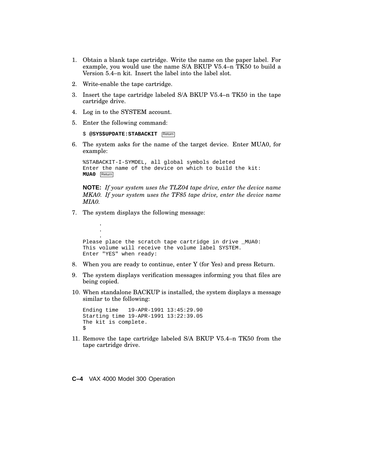- 1. Obtain a blank tape cartridge. Write the name on the paper label. For example, you would use the name S/A BKUP V5.4–n TK50 to build a Version 5.4–n kit. Insert the label into the label slot.
- 2. Write-enable the tape cartridge.
- 3. Insert the tape cartridge labeled S/A BKUP V5.4–n TK50 in the tape cartridge drive.
- 4. Log in to the SYSTEM account.
- 5. Enter the following command:

```
$ @SYS$UPDATE: STABACKIT Return
```
6. The system asks for the name of the target device. Enter MUA0, for example:

```
%STABACKIT-I-SYMDEL, all global symbols deleted
Enter the name of the device on which to build the kit:
MUA0 Return
```
**NOTE:** *If your system uses the TLZ04 tape drive, enter the device name MKA0. If your system uses the TF85 tape drive, enter the device name MIA0.*

7. The system displays the following message:

```
.
     .
     .
Please place the scratch tape cartridge in drive _MUA0:
This volume will receive the volume label SYSTEM.
Enter "YES" when ready:
```
- 8. When you are ready to continue, enter Y (for Yes) and press Return.
- 9. The system displays verification messages informing you that files are being copied.
- 10. When standalone BACKUP is installed, the system displays a message similar to the following:

```
Ending time 19-APR-1991 13:45:29.90
Starting time 19-APR-1991 13:22:39.05
The kit is complete.
$
```
11. Remove the tape cartridge labeled S/A BKUP V5.4–n TK50 from the tape cartridge drive.

```
C–4 VAX 4000 Model 300 Operation
```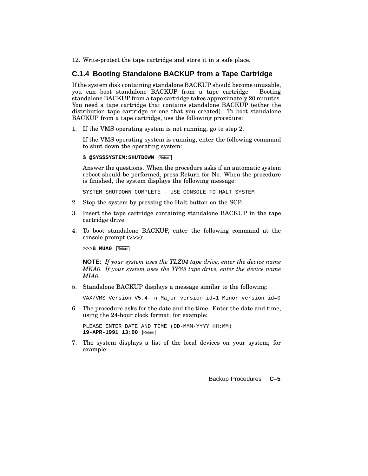12. Write-protect the tape cartridge and store it in a safe place.

# **C.1.4 Booting Standalone BACKUP from a Tape Cartridge**

If the system disk containing standalone BACKUP should become unusable, you can boot standalone BACKUP from a tape cartridge. Booting standalone BACKUP from a tape cartridge takes approximately 20 minutes. You need a tape cartridge that contains standalone BACKUP (either the distribution tape cartridge or one that you created). To boot standalone BACKUP from a tape cartridge, use the following procedure:

1. If the VMS operating system is not running, go to step 2.

If the VMS operating system is running, enter the following command to shut down the operating system:

 $$$  @SYS\$SYSTEM: SHUTDOWN Return

Answer the questions. When the procedure asks if an automatic system reboot should be performed, press Return for No. When the procedure is finished, the system displays the following message:

SYSTEM SHUTDOWN COMPLETE - USE CONSOLE TO HALT SYSTEM

- 2. Stop the system by pressing the Halt button on the SCP.
- 3. Insert the tape cartridge containing standalone BACKUP in the tape cartridge drive.
- 4. To boot standalone BACKUP, enter the following command at the console prompt (>>>):

>>>**B MUA0** Return

**NOTE:** *If your system uses the TLZ04 tape drive, enter the device name MKA0. If your system uses the TF85 tape drive, enter the device name MIA0.*

5. Standalone BACKUP displays a message similar to the following:

VAX/VMS Version V5.4--n Major version id=1 Minor version id=0

6. The procedure asks for the date and the time. Enter the date and time, using the 24-hour clock format; for example:

PLEASE ENTER DATE AND TIME (DD-MMM-YYYY HH:MM) **19-APR-1991 13:00** Return

7. The system displays a list of the local devices on your system; for example: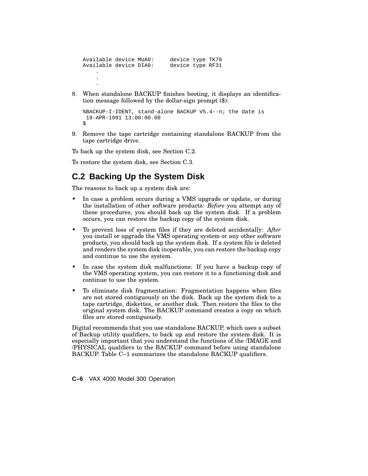```
Available device MUA0: device type TK70<br>Available device DIA0: device type RF31
Available device DIA0:
      .
      .
      .
```
8. When standalone BACKUP finishes booting, it displays an identification message followed by the dollar-sign prompt (\$):

```
%BACKUP-I-IDENT, stand-alone BACKUP V5.4--n; the date is
19-APR-1991 13:00:00.00
\ddot{\rm S}
```
9. Remove the tape cartridge containing standalone BACKUP from the tape cartridge drive.

To back up the system disk, see Section C.2.

To restore the system disk, see Section C.3.

# **C.2 Backing Up the System Disk**

The reasons to back up a system disk are:

- In case a problem occurs during a VMS upgrade or update, or during the installation of other software products: *Before* you attempt any of these procedures, you should back up the system disk. If a problem occurs, you can restore the backup copy of the system disk.
- To prevent loss of system files if they are deleted accidentally: *After* you install or upgrade the VMS operating system or any other software products, you should back up the system disk. If a system file is deleted and renders the system disk inoperable, you can restore the backup copy and continue to use the system.
- In case the system disk malfunctions: If you have a backup copy of the VMS operating system, you can restore it to a functioning disk and continue to use the system.
- To eliminate disk fragmentation: Fragmentation happens when files are not stored contiguously on the disk. Back up the system disk to a tape cartridge, diskettes, or another disk. Then restore the files to the original system disk. The BACKUP command creates a copy on which files are stored contiguously.

Digital recommends that you use standalone BACKUP, which uses a subset of Backup utility qualifiers, to back up and restore the system disk. It is especially important that you understand the functions of the /IMAGE and /PHYSICAL qualifiers to the BACKUP command before using standalone BACKUP. Table C–1 summarizes the standalone BACKUP qualifiers.

**C–6** VAX 4000 Model 300 Operation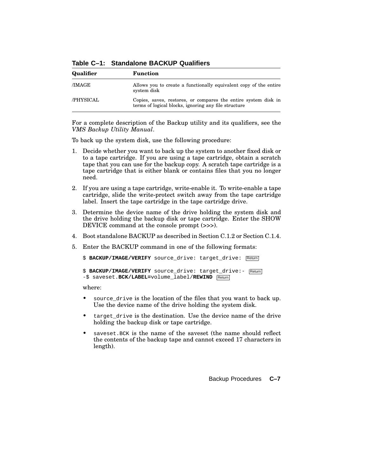**Qualifier Function** /IMAGE Allows you to create a functionally equivalent copy of the entire system disk /PHYSICAL Copies, saves, restores, or compares the entire system disk in terms of logical blocks, ignoring any file structure

**Table C–1: Standalone BACKUP Qualifiers**

For a complete description of the Backup utility and its qualifiers, see the *VMS Backup Utility Manual*.

To back up the system disk, use the following procedure:

- 1. Decide whether you want to back up the system to another fixed disk or to a tape cartridge. If you are using a tape cartridge, obtain a scratch tape that you can use for the backup copy. A scratch tape cartridge is a tape cartridge that is either blank or contains files that you no longer need.
- 2. If you are using a tape cartridge, write-enable it. To write-enable a tape cartridge, slide the write-protect switch away from the tape cartridge label. Insert the tape cartridge in the tape cartridge drive.
- 3. Determine the device name of the drive holding the system disk and the drive holding the backup disk or tape cartridge. Enter the SHOW DEVICE command at the console prompt (>>>).
- 4. Boot standalone BACKUP as described in Section C.1.2 or Section C.1.4.
- 5. Enter the BACKUP command in one of the following formats:

```
$ BACKUP/IMAGE/VERIFY source_drive: target_drive: Return
```

```
$ BACKUP/IMAGE/VERIFY source_drive: target_drive:- Return
-$ saveset.BCK/LABEL=volume_label/REWIND Return
```
where:

- source\_drive is the location of the files that you want to back up. Use the device name of the drive holding the system disk.
- target\_drive is the destination. Use the device name of the drive holding the backup disk or tape cartridge.
- saveset. BCK is the name of the saveset (the name should reflect the contents of the backup tape and cannot exceed 17 characters in length).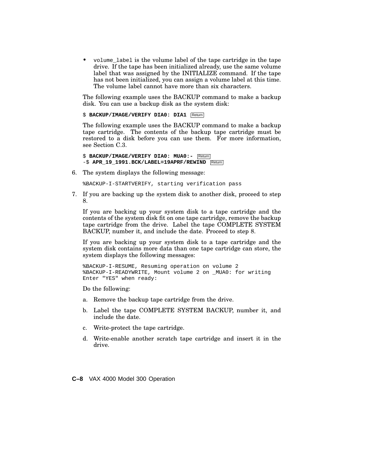• volume\_label is the volume label of the tape cartridge in the tape drive. If the tape has been initialized already, use the same volume label that was assigned by the INITIALIZE command. If the tape has not been initialized, you can assign a volume label at this time. The volume label cannot have more than six characters.

The following example uses the BACKUP command to make a backup disk. You can use a backup disk as the system disk:

\$ **BACKUP/IMAGE/VERIFY DIA0: DIA1** Return

The following example uses the BACKUP command to make a backup tape cartridge. The contents of the backup tape cartridge must be restored to a disk before you can use them. For more information, see Section C.3.

\$ **BACKUP/IMAGE/VERIFY DIA0: MUA0:-** Return -\$ **APR\_19\_1991.BCK/LABEL=19APRF/REWIND Return** 

6. The system displays the following message:

%BACKUP-I-STARTVERIFY, starting verification pass

7. If you are backing up the system disk to another disk, proceed to step 8.

If you are backing up your system disk to a tape cartridge and the contents of the system disk fit on one tape cartridge, remove the backup tape cartridge from the drive. Label the tape COMPLETE SYSTEM BACKUP, number it, and include the date. Proceed to step 8.

If you are backing up your system disk to a tape cartridge and the system disk contains more data than one tape cartridge can store, the system displays the following messages:

%BACKUP-I-RESUME, Resuming operation on volume 2 %BACKUP-I-READYWRITE, Mount volume 2 on \_MUA0: for writing Enter "YES" when ready:

Do the following:

- a. Remove the backup tape cartridge from the drive.
- b. Label the tape COMPLETE SYSTEM BACKUP, number it, and include the date.
- c. Write-protect the tape cartridge.
- d. Write-enable another scratch tape cartridge and insert it in the drive.

**C–8** VAX 4000 Model 300 Operation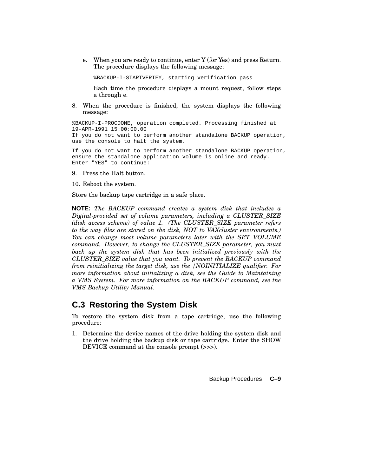e. When you are ready to continue, enter Y (for Yes) and press Return. The procedure displays the following message:

%BACKUP-I-STARTVERIFY, starting verification pass

Each time the procedure displays a mount request, follow steps a through e.

8. When the procedure is finished, the system displays the following message:

%BACKUP-I-PROCDONE, operation completed. Processing finished at 19-APR-1991 15:00:00.00 If you do not want to perform another standalone BACKUP operation, use the console to halt the system.

If you do not want to perform another standalone BACKUP operation, ensure the standalone application volume is online and ready. Enter "YES" to continue:

- 9. Press the Halt button.
- 10. Reboot the system.

Store the backup tape cartridge in a safe place.

**NOTE:** *The BACKUP command creates a system disk that includes a Digital-provided set of volume parameters, including a CLUSTER\_SIZE (disk access scheme) of value 1. (The CLUSTER\_SIZE parameter refers to the way files are stored on the disk, NOT to VAXcluster environments.) You can change most volume parameters later with the SET VOLUME command. However, to change the CLUSTER\_SIZE parameter, you must back up the system disk that has been initialized previously with the CLUSTER\_SIZE value that you want. To prevent the BACKUP command from reinitializing the target disk, use the /NOINITIALIZE qualifier. For more information about initializing a disk, see the Guide to Maintaining a VMS System. For more information on the BACKUP command, see the VMS Backup Utility Manual.*

# **C.3 Restoring the System Disk**

To restore the system disk from a tape cartridge, use the following procedure:

1. Determine the device names of the drive holding the system disk and the drive holding the backup disk or tape cartridge. Enter the SHOW DEVICE command at the console prompt (>>>).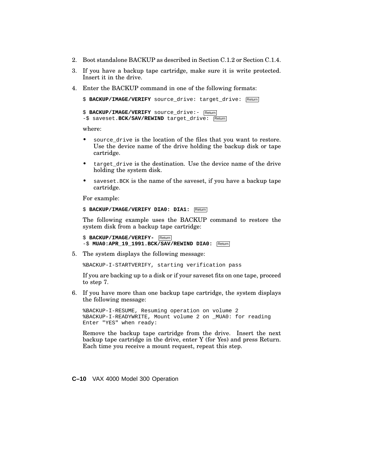- 2. Boot standalone BACKUP as described in Section C.1.2 or Section C.1.4.
- 3. If you have a backup tape cartridge, make sure it is write protected. Insert it in the drive.
- 4. Enter the BACKUP command in one of the following formats:

```
$ BACKUP/IMAGE/VERIFY source_drive: target_drive: Return
$ BACKUP/IMAGE/VERIFY source_drive:- Return
-$ saveset. BCK/SAV/REWIND target_drive: Return
```
where:

- source drive is the location of the files that you want to restore. Use the device name of the drive holding the backup disk or tape cartridge.
- target\_drive is the destination. Use the device name of the drive holding the system disk.
- saveset. BCK is the name of the saveset, if you have a backup tape cartridge.

For example:

```
$ BACKUP/IMAGE/VERIFY DIA0: DIA1: Return
```
The following example uses the BACKUP command to restore the system disk from a backup tape cartridge:

```
$ BACKUP/IMAGE/VERIFY- Return
-$ MUA0:APR_19_1991.BCK/SAV/REWIND DIA0: Return
```
5. The system displays the following message:

%BACKUP-I-STARTVERIFY, starting verification pass

If you are backing up to a disk or if your saveset fits on one tape, proceed to step 7.

6. If you have more than one backup tape cartridge, the system displays the following message:

%BACKUP-I-RESUME, Resuming operation on volume 2 %BACKUP-I-READYWRITE, Mount volume 2 on \_MUA0: for reading Enter "YES" when ready:

Remove the backup tape cartridge from the drive. Insert the next backup tape cartridge in the drive, enter Y (for Yes) and press Return. Each time you receive a mount request, repeat this step.

**C–10** VAX 4000 Model 300 Operation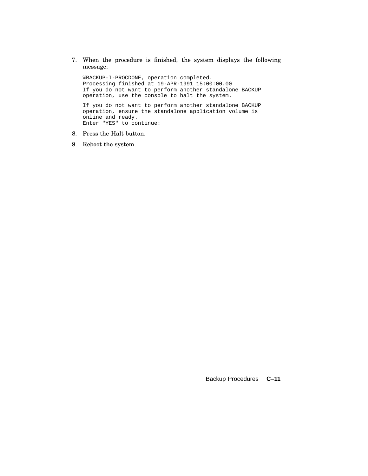7. When the procedure is finished, the system displays the following message:

%BACKUP-I-PROCDONE, operation completed. Processing finished at 19-APR-1991 15:00:00.00 If you do not want to perform another standalone BACKUP operation, use the console to halt the system. If you do not want to perform another standalone BACKUP operation, ensure the standalone application volume is

online and ready. Enter "YES" to continue:

- 8. Press the Halt button.
- 9. Reboot the system.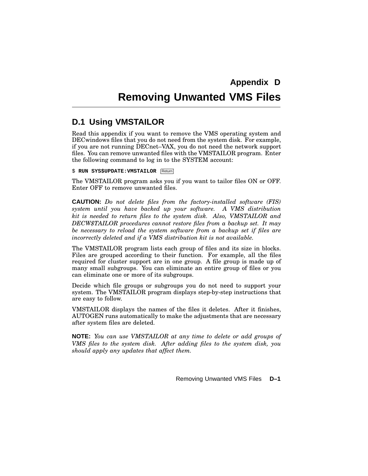# **Removing Unwanted VMS Files**

# **D.1 Using VMSTAILOR**

Read this appendix if you want to remove the VMS operating system and DECwindows files that you do not need from the system disk. For example, if you are not running DECnet–VAX, you do not need the network support files. You can remove unwanted files with the VMSTAILOR program. Enter the following command to log in to the SYSTEM account:

 $$$  **RUN** SYS\$UPDATE: VMSTAILOR Return

The VMSTAILOR program asks you if you want to tailor files ON or OFF. Enter OFF to remove unwanted files.

**CAUTION:** *Do not delete files from the factory-installed software (FIS) system until you have backed up your software. A VMS distribution kit is needed to return files to the system disk. Also, VMSTAILOR and DECW\$TAILOR procedures cannot restore files from a backup set. It may be necessary to reload the system software from a backup set if files are incorrectly deleted and if a VMS distribution kit is not available.*

The VMSTAILOR program lists each group of files and its size in blocks. Files are grouped according to their function. For example, all the files required for cluster support are in one group. A file group is made up of many small subgroups. You can eliminate an entire group of files or you can eliminate one or more of its subgroups.

Decide which file groups or subgroups you do not need to support your system. The VMSTAILOR program displays step-by-step instructions that are easy to follow.

VMSTAILOR displays the names of the files it deletes. After it finishes, AUTOGEN runs automatically to make the adjustments that are necessary after system files are deleted.

**NOTE:** *You can use VMSTAILOR at any time to delete or add groups of VMS files to the system disk. After adding files to the system disk, you should apply any updates that affect them.*

Removing Unwanted VMS Files **D–1**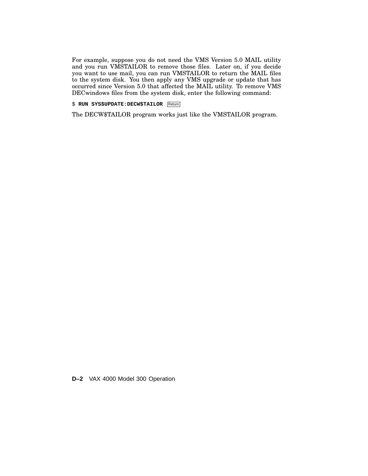For example, suppose you do not need the VMS Version 5.0 MAIL utility and you run VMSTAILOR to remove those files. Later on, if you decide you want to use mail, you can run VMSTAILOR to return the MAIL files to the system disk. You then apply any VMS upgrade or update that has occurred since Version 5.0 that affected the MAIL utility. To remove VMS DECwindows files from the system disk, enter the following command:

\$ **RUN SYS\$UPDATE:DECW\$TAILOR** Return

The DECW\$TAILOR program works just like the VMSTAILOR program.

**D–2** VAX 4000 Model 300 Operation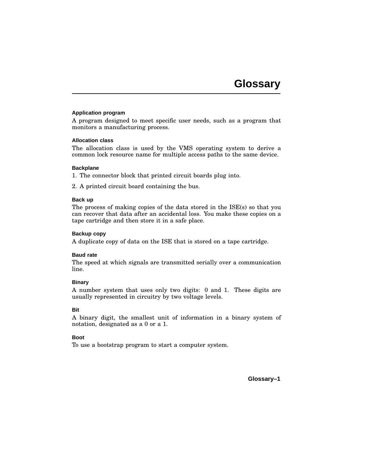#### **Application program**

A program designed to meet specific user needs, such as a program that monitors a manufacturing process.

#### **Allocation class**

The allocation class is used by the VMS operating system to derive a common lock resource name for multiple access paths to the same device.

#### **Backplane**

1. The connector block that printed circuit boards plug into.

2. A printed circuit board containing the bus.

#### **Back up**

The process of making copies of the data stored in the ISE(s) so that you can recover that data after an accidental loss. You make these copies on a tape cartridge and then store it in a safe place.

#### **Backup copy**

A duplicate copy of data on the ISE that is stored on a tape cartridge.

### **Baud rate**

The speed at which signals are transmitted serially over a communication line.

### **Binary**

A number system that uses only two digits: 0 and 1. These digits are usually represented in circuitry by two voltage levels.

### **Bit**

A binary digit, the smallest unit of information in a binary system of notation, designated as a 0 or a 1.

# **Boot**

To use a bootstrap program to start a computer system.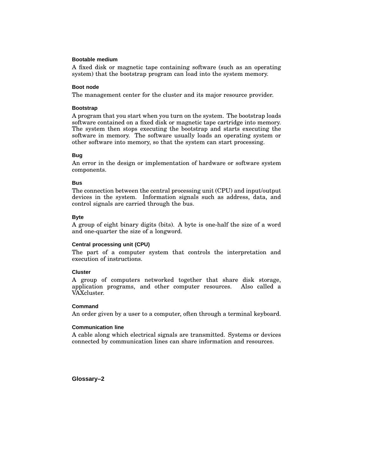#### **Bootable medium**

A fixed disk or magnetic tape containing software (such as an operating system) that the bootstrap program can load into the system memory.

#### **Boot node**

The management center for the cluster and its major resource provider.

### **Bootstrap**

A program that you start when you turn on the system. The bootstrap loads software contained on a fixed disk or magnetic tape cartridge into memory. The system then stops executing the bootstrap and starts executing the software in memory. The software usually loads an operating system or other software into memory, so that the system can start processing.

#### **Bug**

An error in the design or implementation of hardware or software system components.

#### **Bus**

The connection between the central processing unit (CPU) and input/output devices in the system. Information signals such as address, data, and control signals are carried through the bus.

#### **Byte**

A group of eight binary digits (bits). A byte is one-half the size of a word and one-quarter the size of a longword.

# **Central processing unit (CPU)**

The part of a computer system that controls the interpretation and execution of instructions.

# **Cluster**

A group of computers networked together that share disk storage, application programs, and other computer resources. Also called a VAXcluster.

### **Command**

An order given by a user to a computer, often through a terminal keyboard.

### **Communication line**

A cable along which electrical signals are transmitted. Systems or devices connected by communication lines can share information and resources.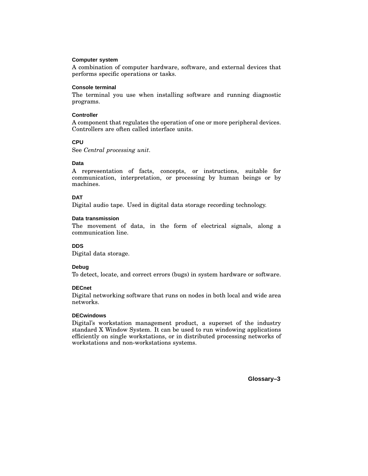### **Computer system**

A combination of computer hardware, software, and external devices that performs specific operations or tasks.

# **Console terminal**

The terminal you use when installing software and running diagnostic programs.

# **Controller**

A component that regulates the operation of one or more peripheral devices. Controllers are often called interface units.

# **CPU**

See *Central processing unit*.

# **Data**

A representation of facts, concepts, or instructions, suitable for communication, interpretation, or processing by human beings or by machines.

# **DAT**

Digital audio tape. Used in digital data storage recording technology.

# **Data transmission**

The movement of data, in the form of electrical signals, along a communication line.

# **DDS**

Digital data storage.

# **Debug**

To detect, locate, and correct errors (bugs) in system hardware or software.

# **DECnet**

Digital networking software that runs on nodes in both local and wide area networks.

# **DECwindows**

Digital's workstation management product, a superset of the industry standard X Window System. It can be used to run windowing applications efficiently on single workstations, or in distributed processing networks of workstations and non-workstations systems.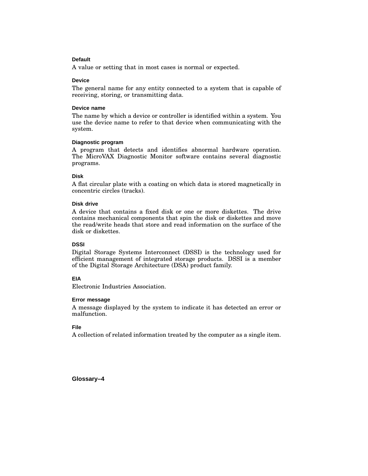# **Default**

A value or setting that in most cases is normal or expected.

#### **Device**

The general name for any entity connected to a system that is capable of receiving, storing, or transmitting data.

#### **Device name**

The name by which a device or controller is identified within a system. You use the device name to refer to that device when communicating with the system.

#### **Diagnostic program**

A program that detects and identifies abnormal hardware operation. The MicroVAX Diagnostic Monitor software contains several diagnostic programs.

#### **Disk**

A flat circular plate with a coating on which data is stored magnetically in concentric circles (tracks).

#### **Disk drive**

A device that contains a fixed disk or one or more diskettes. The drive contains mechanical components that spin the disk or diskettes and move the read/write heads that store and read information on the surface of the disk or diskettes.

# **DSSI**

Digital Storage Systems Interconnect (DSSI) is the technology used for efficient management of integrated storage products. DSSI is a member of the Digital Storage Architecture (DSA) product family.

### **EIA**

Electronic Industries Association.

#### **Error message**

A message displayed by the system to indicate it has detected an error or malfunction.

# **File**

A collection of related information treated by the computer as a single item.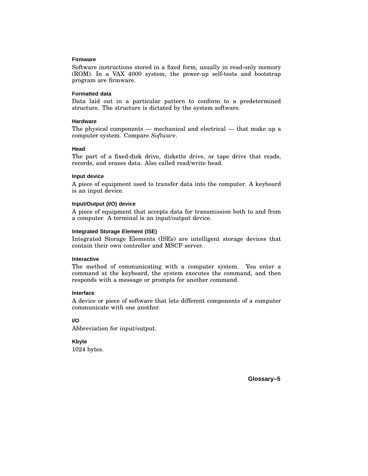#### **Firmware**

Software instructions stored in a fixed form, usually in read-only memory (ROM). In a VAX 4000 system, the power-up self-tests and bootstrap program are firmware.

#### **Formatted data**

Data laid out in a particular pattern to conform to a predetermined structure. The structure is dictated by the system software.

### **Hardware**

The physical components — mechanical and electrical — that make up a computer system. Compare *Software*.

### **Head**

The part of a fixed-disk drive, diskette drive, or tape drive that reads, records, and erases data. Also called read/write head.

#### **Input device**

A piece of equipment used to transfer data into the computer. A keyboard is an input device.

#### **Input/Output (I/O) device**

A piece of equipment that accepts data for transmission both to and from a computer. A terminal is an input/output device.

#### **Integrated Storage Element (ISE)**

Integrated Storage Elements (ISEs) are intelligent storage devices that contain their own controller and MSCP server.

#### **Interactive**

The method of communicating with a computer system. You enter a command at the keyboard, the system executes the command, and then responds with a message or prompts for another command.

#### **Interface**

A device or piece of software that lets different components of a computer communicate with one another.

# **I/O**

Abbreviation for input/output.

**Kbyte**

1024 bytes.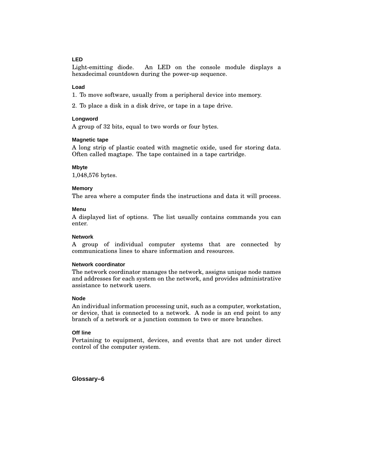# **LED**

Light-emitting diode. An LED on the console module displays a hexadecimal countdown during the power-up sequence.

#### **Load**

1. To move software, usually from a peripheral device into memory.

2. To place a disk in a disk drive, or tape in a tape drive.

#### **Longword**

A group of 32 bits, equal to two words or four bytes.

#### **Magnetic tape**

A long strip of plastic coated with magnetic oxide, used for storing data. Often called magtape. The tape contained in a tape cartridge.

#### **Mbyte**

1,048,576 bytes.

#### **Memory**

The area where a computer finds the instructions and data it will process.

#### **Menu**

A displayed list of options. The list usually contains commands you can enter.

#### **Network**

A group of individual computer systems that are connected by communications lines to share information and resources.

### **Network coordinator**

The network coordinator manages the network, assigns unique node names and addresses for each system on the network, and provides administrative assistance to network users.

#### **Node**

An individual information processing unit, such as a computer, workstation, or device, that is connected to a network. A node is an end point to any branch of a network or a junction common to two or more branches.

## **Off line**

Pertaining to equipment, devices, and events that are not under direct control of the computer system.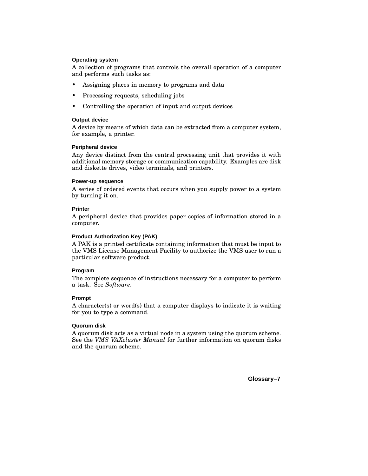# **Operating system**

A collection of programs that controls the overall operation of a computer and performs such tasks as:

- Assigning places in memory to programs and data
- Processing requests, scheduling jobs
- Controlling the operation of input and output devices

# **Output device**

A device by means of which data can be extracted from a computer system, for example, a printer.

# **Peripheral device**

Any device distinct from the central processing unit that provides it with additional memory storage or communication capability. Examples are disk and diskette drives, video terminals, and printers.

# **Power-up sequence**

A series of ordered events that occurs when you supply power to a system by turning it on.

# **Printer**

A peripheral device that provides paper copies of information stored in a computer.

# **Product Authorization Key (PAK)**

A PAK is a printed certificate containing information that must be input to the VMS License Management Facility to authorize the VMS user to run a particular software product.

# **Program**

The complete sequence of instructions necessary for a computer to perform a task. See *Software*.

# **Prompt**

A character(s) or word(s) that a computer displays to indicate it is waiting for you to type a command.

### **Quorum disk**

A quorum disk acts as a virtual node in a system using the quorum scheme. See the *VMS VAXcluster Manual* for further information on quorum disks and the quorum scheme.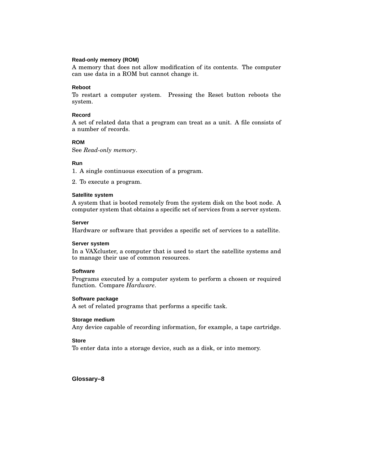### **Read-only memory (ROM)**

A memory that does not allow modification of its contents. The computer can use data in a ROM but cannot change it.

#### **Reboot**

To restart a computer system. Pressing the Reset button reboots the system.

#### **Record**

A set of related data that a program can treat as a unit. A file consists of a number of records.

### **ROM**

See *Read-only memory*.

### **Run**

1. A single continuous execution of a program.

2. To execute a program.

#### **Satellite system**

A system that is booted remotely from the system disk on the boot node. A computer system that obtains a specific set of services from a server system.

### **Server**

Hardware or software that provides a specific set of services to a satellite.

### **Server system**

In a VAXcluster, a computer that is used to start the satellite systems and to manage their use of common resources.

### **Software**

Programs executed by a computer system to perform a chosen or required function. Compare *Hardware*.

### **Software package**

A set of related programs that performs a specific task.

### **Storage medium**

Any device capable of recording information, for example, a tape cartridge.

# **Store**

To enter data into a storage device, such as a disk, or into memory.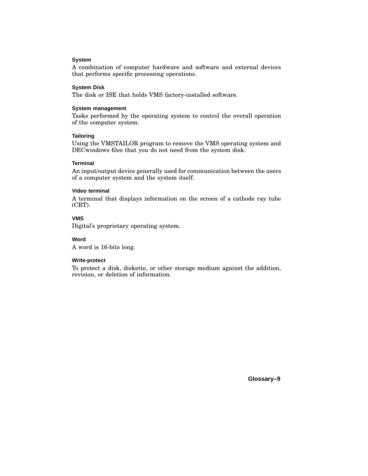# **System**

A combination of computer hardware and software and external devices that performs specific processing operations.

### **System Disk**

The disk or ISE that holds VMS factory-installed software.

#### **System management**

Tasks performed by the operating system to control the overall operation of the computer system.

#### **Tailoring**

Using the VMSTAILOR program to remove the VMS operating system and DECwindows files that you do not need from the system disk.

#### **Terminal**

An input/output device generally used for communication between the users of a computer system and the system itself.

### **Video terminal**

A terminal that displays information on the screen of a cathode ray tube (CRT).

# **VMS**

Digital's proprietary operating system.

### **Word**

A word is 16-bits long.

# **Write-protect**

To protect a disk, diskette, or other storage medium against the addition, revision, or deletion of information.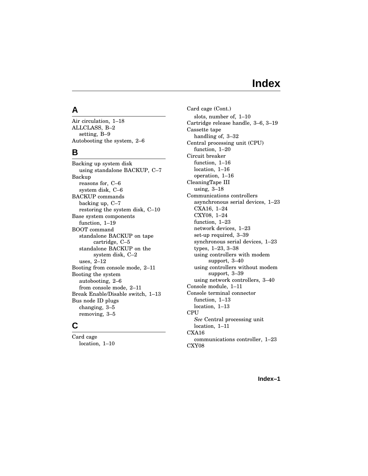# **Index**

# **A**

Air circulation, 1–18 ALLCLASS, B–2 setting, B–9 Autobooting the system, 2–6

# **B**

Backing up system disk using standalone BACKUP, C–7 Backup reasons for, C–6 system disk, C–6 BACKUP commands backing up, C–7 restoring the system disk, C–10 Base system components function, 1–19 BOOT command standalone BACKUP on tape cartridge, C–5 standalone BACKUP on the system disk, C–2 uses, 2–12 Booting from console mode, 2–11 Booting the system autobooting, 2–6 from console mode, 2–11 Break Enable/Disable switch, 1–13 Bus node ID plugs changing, 3–5 removing, 3–5

# **C**

Card cage location, 1–10 Card cage (Cont.) slots, number of, 1–10 Cartridge release handle, 3–6, 3–19 Cassette tape handling of, 3–32 Central processing unit (CPU) function, 1–20 Circuit breaker function, 1–16 location, 1–16 operation, 1–16 CleaningTape III using, 3–18 Communications controllers asynchronous serial devices, 1–23 CXA16, 1–24 CXY08, 1–24 function, 1–23 network devices, 1–23 set-up required, 3–39 synchronous serial devices, 1–23 types, 1–23, 3–38 using controllers with modem support, 3–40 using controllers without modem support, 3–39 using network controllers, 3–40 Console module, 1–11 Console terminal connector function, 1–13 location, 1–13 **CPU** *See* Central processing unit location, 1–11 CXA16 communications controller, 1–23 CXY08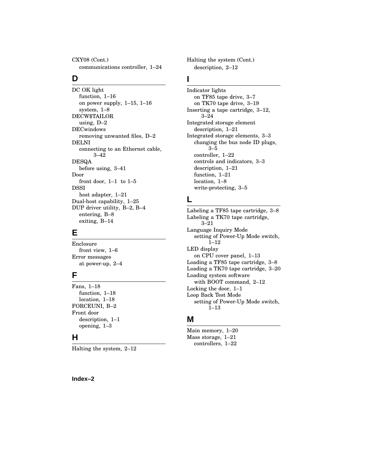CXY08 (Cont.) communications controller, 1–24

# **D**

DC OK light function, 1–16 on power supply, 1–15, 1–16 system, 1–8 DECW\$TAILOR using, D–2 DECwindows removing unwanted files, D–2 DELNI connecting to an Ethernet cable, 3–42 DESQA before using, 3–41 Door front door,  $1-1$  to  $1-5$ DSSI host adapter, 1–21 Dual-host capability, 1–25 DUP driver utility, B–2, B–4 entering, B–8 exiting, B–14

# **E**

Enclosure front view, 1–6 Error messages at power-up, 2–4

# **F**

Fans, 1–18 function, 1–18 location, 1–18 FORCEUNI, B–2 Front door description, 1–1 opening, 1–3

# **H**

Halting the system, 2–12

Halting the system (Cont.) description, 2–12

# **I**

Indicator lights on TF85 tape drive, 3–7 on TK70 tape drive, 3–19 Inserting a tape cartridge, 3–12, 3–24 Integrated storage element description, 1–21 Integrated storage elements, 3–3 changing the bus node ID plugs,  $3 - 5$ controller, 1–22 controls and indicators, 3–3 description, 1–21 function, 1–21 location, 1–8 write-protecting, 3–5

# **L**

Labeling a TF85 tape cartridge, 3–8 Labeling a TK70 tape cartridge, 3–21 Language Inquiry Mode setting of Power-Up Mode switch, 1–12 LED display on CPU cover panel, 1–13 Loading a TF85 tape cartridge, 3–8 Loading a TK70 tape cartridge, 3–20 Loading system software with BOOT command, 2–12 Locking the door, 1–1 Loop Back Test Mode setting of Power-Up Mode switch, 1–13

# **M**

Main memory, 1–20 Mass storage, 1–21 controllers, 1–22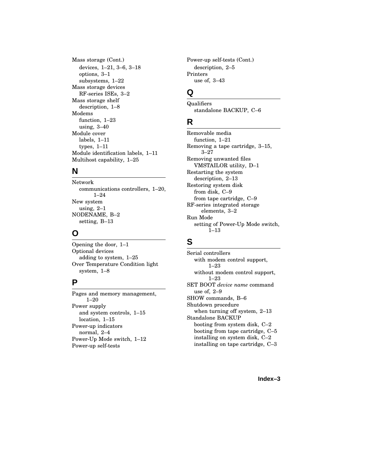Mass storage (Cont.) devices, 1–21, 3–6, 3–18 options, 3–1 subsystems, 1–22 Mass storage devices RF-series ISEs, 3–2 Mass storage shelf description, 1–8 Modems function, 1–23 using, 3–40 Module cover labels, 1–11 types, 1–11 Module identification labels, 1–11 Multihost capability, 1–25

# **N**

Network communications controllers, 1–20, 1–24 New system using, 2–1 NODENAME, B–2 setting, B–13

# **O**

Opening the door, 1–1 Optional devices adding to system, 1–25 Over Temperature Condition light system, 1–8

# **P**

Pages and memory management, 1–20 Power supply and system controls, 1–15 location, 1–15 Power-up indicators normal, 2–4 Power-Up Mode switch, 1–12 Power-up self-tests

Power-up self-tests (Cont.) description, 2–5 Printers use of, 3–43

# **Q**

Qualifiers standalone BACKUP, C–6

# **R**

Removable media function, 1–21 Removing a tape cartridge, 3–15, 3–27 Removing unwanted files VMSTAILOR utility, D–1 Restarting the system description, 2–13 Restoring system disk from disk, C–9 from tape cartridge, C–9 RF-series integrated storage elements, 3–2 Run Mode setting of Power-Up Mode switch, 1–13

# **S**

Serial controllers with modem control support, 1–23 without modem control support, 1–23 SET BOOT *device name* command use of, 2–9 SHOW commands, B–6 Shutdown procedure when turning off system, 2–13 Standalone BACKUP booting from system disk, C–2 booting from tape cartridge, C–5 installing on system disk, C–2 installing on tape cartridge, C–3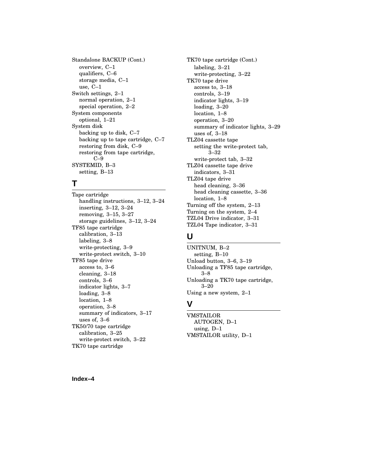Standalone BACKUP (Cont.) overview, C–1 qualifiers, C–6 storage media, C–1 use, C–1 Switch settings, 2–1 normal operation, 2–1 special operation, 2–2 System components optional, 1–21 System disk backing up to disk, C–7 backing up to tape cartridge, C–7 restoring from disk, C–9 restoring from tape cartridge, C–9 SYSTEMID, B–3 setting, B–13

# **T**

Tape cartridge handling instructions, 3–12, 3–24 inserting, 3–12, 3–24 removing, 3–15, 3–27 storage guidelines, 3–12, 3–24 TF85 tape cartridge calibration, 3–13 labeling, 3–8 write-protecting, 3–9 write-protect switch, 3–10 TF85 tape drive access to, 3–6 cleaning, 3–18 controls, 3–6 indicator lights, 3–7 loading, 3–8 location, 1–8 operation, 3–8 summary of indicators, 3–17 uses of, 3–6 TK50/70 tape cartridge calibration, 3–25 write-protect switch, 3–22 TK70 tape cartridge

TK70 tape cartridge (Cont.) labeling, 3–21 write-protecting, 3–22 TK70 tape drive access to, 3–18 controls, 3–19 indicator lights, 3–19 loading, 3–20 location, 1–8 operation, 3–20 summary of indicator lights, 3–29 uses of, 3–18 TLZ04 cassette tape setting the write-protect tab, 3–32 write-protect tab, 3–32 TLZ04 cassette tape drive indicators, 3–31 TLZ04 tape drive head cleaning, 3–36 head cleaning cassette, 3–36 location, 1–8 Turning off the system, 2–13 Turning on the system, 2–4 TZL04 Drive indicator, 3–31 TZL04 Tape indicator, 3–31

# **U**

UNITNUM, B–2 setting, B–10 Unload button, 3–6, 3–19 Unloading a TF85 tape cartridge, 3–8 Unloading a TK70 tape cartridge, 3–20 Using a new system, 2–1

# **V**

VMSTAILOR AUTOGEN, D–1 using, D–1 VMSTAILOR utility, D–1